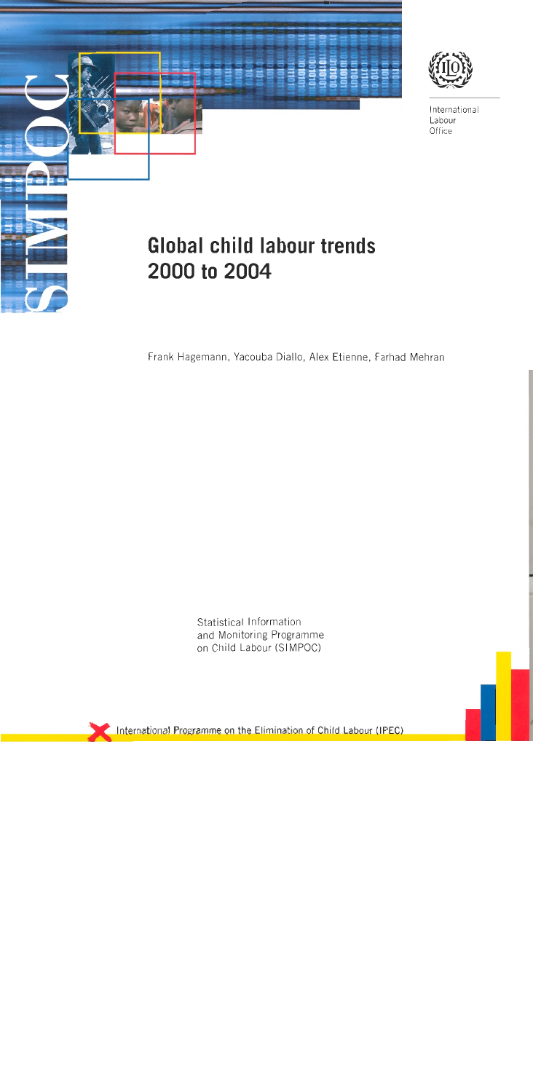

International Labour Office

# **Global child labour trends** 2000 to 2004

Frank Hagemann, Yacouba Diallo, Alex Etienne, Farhad Mehran

Statistical Information and Monitoring Programme on Child Labour (SIMPOC)

International Programme on the Elimination of Child Labour (IPEC)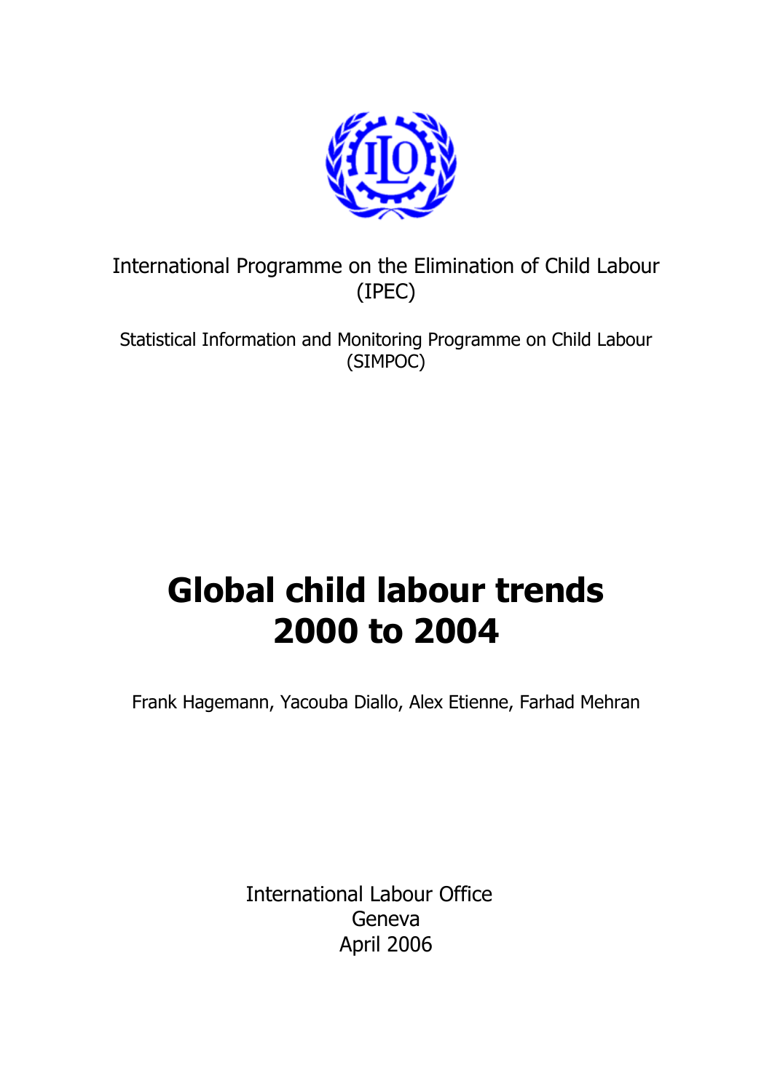

International Programme on the Elimination of Child Labour (IPEC)

Statistical Information and Monitoring Programme on Child Labour (SIMPOC)

# Global child labour trends 2000 to 2004

Frank Hagemann, Yacouba Diallo, Alex Etienne, Farhad Mehran

International Labour Office Geneva April 2006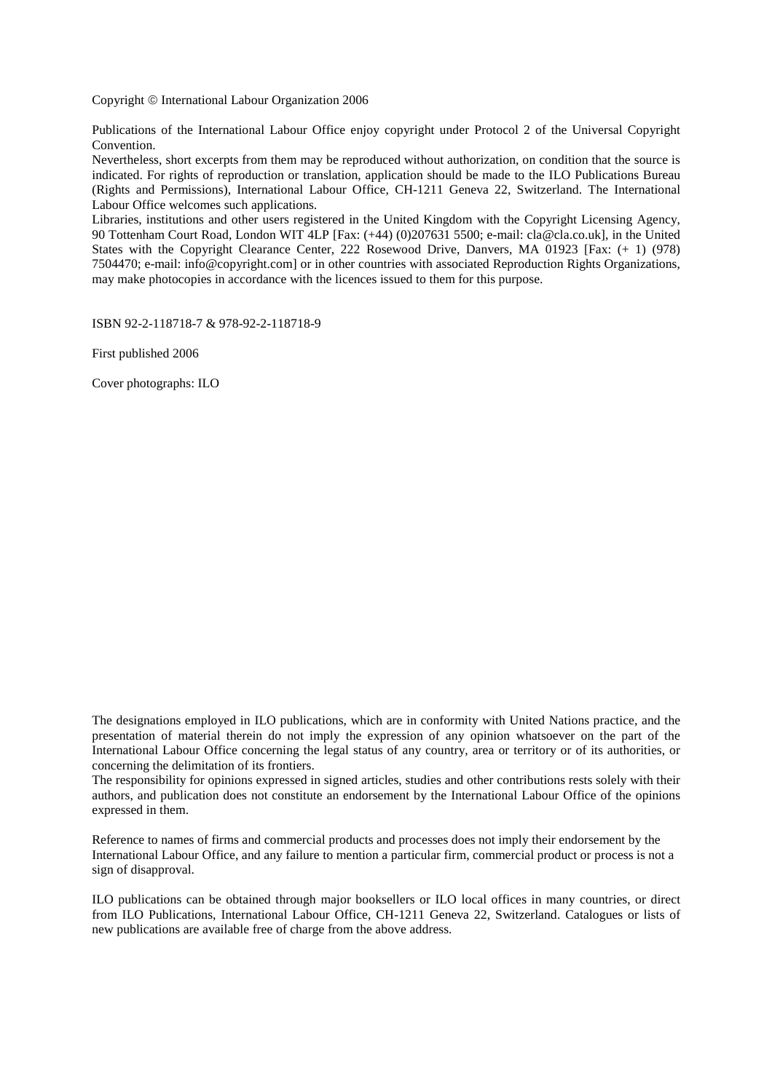Copyright © International Labour Organization 2006

Publications of the International Labour Office enjoy copyright under Protocol 2 of the Universal Copyright Convention.

Nevertheless, short excerpts from them may be reproduced without authorization, on condition that the source is indicated. For rights of reproduction or translation, application should be made to the ILO Publications Bureau (Rights and Permissions), International Labour Office, CH-1211 Geneva 22, Switzerland. The International Labour Office welcomes such applications.

Libraries, institutions and other users registered in the United Kingdom with the Copyright Licensing Agency, 90 Tottenham Court Road, London WIT 4LP [Fax: (+44) (0)207631 5500; e-mail: cla@cla.co.uk], in the United States with the Copyright Clearance Center, 222 Rosewood Drive, Danvers, MA 01923 [Fax: (+ 1) (978) 7504470; e-mail: info@copyright.com] or in other countries with associated Reproduction Rights Organizations, may make photocopies in accordance with the licences issued to them for this purpose.

ISBN 92-2-118718-7 & 978-92-2-118718-9

First published 2006

Cover photographs: ILO

The designations employed in ILO publications, which are in conformity with United Nations practice, and the presentation of material therein do not imply the expression of any opinion whatsoever on the part of the International Labour Office concerning the legal status of any country, area or territory or of its authorities, or concerning the delimitation of its frontiers.

The responsibility for opinions expressed in signed articles, studies and other contributions rests solely with their authors, and publication does not constitute an endorsement by the International Labour Office of the opinions expressed in them.

Reference to names of firms and commercial products and processes does not imply their endorsement by the International Labour Office, and any failure to mention a particular firm, commercial product or process is not a sign of disapproval.

ILO publications can be obtained through major booksellers or ILO local offices in many countries, or direct from ILO Publications, International Labour Office, CH-1211 Geneva 22, Switzerland. Catalogues or lists of new publications are available free of charge from the above address.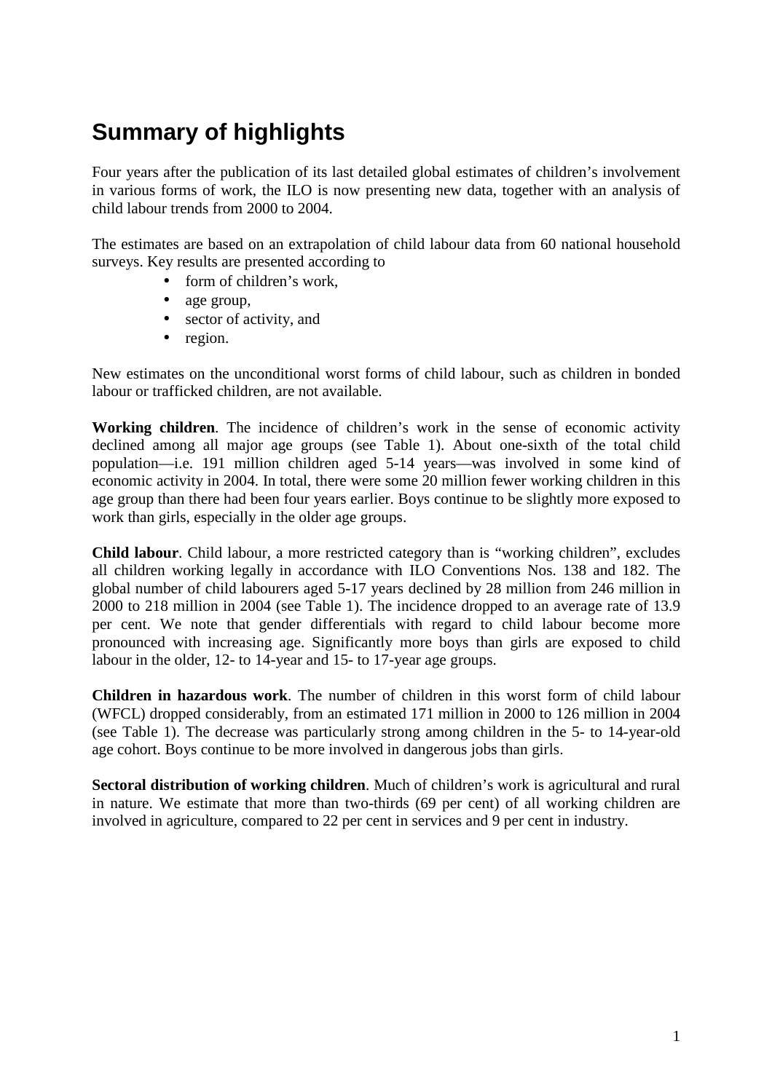## **Summary of highlights**

Four years after the publication of its last detailed global estimates of children's involvement in various forms of work, the ILO is now presenting new data, together with an analysis of child labour trends from 2000 to 2004.

The estimates are based on an extrapolation of child labour data from 60 national household surveys. Key results are presented according to

- form of children's work.
- age group,
- sector of activity, and
- region.

New estimates on the unconditional worst forms of child labour, such as children in bonded labour or trafficked children, are not available.

**Working children**. The incidence of children's work in the sense of economic activity declined among all major age groups (see Table 1). About one-sixth of the total child population—i.e. 191 million children aged 5-14 years—was involved in some kind of economic activity in 2004. In total, there were some 20 million fewer working children in this age group than there had been four years earlier. Boys continue to be slightly more exposed to work than girls, especially in the older age groups.

**Child labour**. Child labour, a more restricted category than is "working children", excludes all children working legally in accordance with ILO Conventions Nos. 138 and 182. The global number of child labourers aged 5-17 years declined by 28 million from 246 million in 2000 to 218 million in 2004 (see Table 1). The incidence dropped to an average rate of 13.9 per cent. We note that gender differentials with regard to child labour become more pronounced with increasing age. Significantly more boys than girls are exposed to child labour in the older, 12- to 14-year and 15- to 17-year age groups.

**Children in hazardous work**. The number of children in this worst form of child labour (WFCL) dropped considerably, from an estimated 171 million in 2000 to 126 million in 2004 (see Table 1). The decrease was particularly strong among children in the 5- to 14-year-old age cohort. Boys continue to be more involved in dangerous jobs than girls.

**Sectoral distribution of working children**. Much of children's work is agricultural and rural in nature. We estimate that more than two-thirds (69 per cent) of all working children are involved in agriculture, compared to 22 per cent in services and 9 per cent in industry.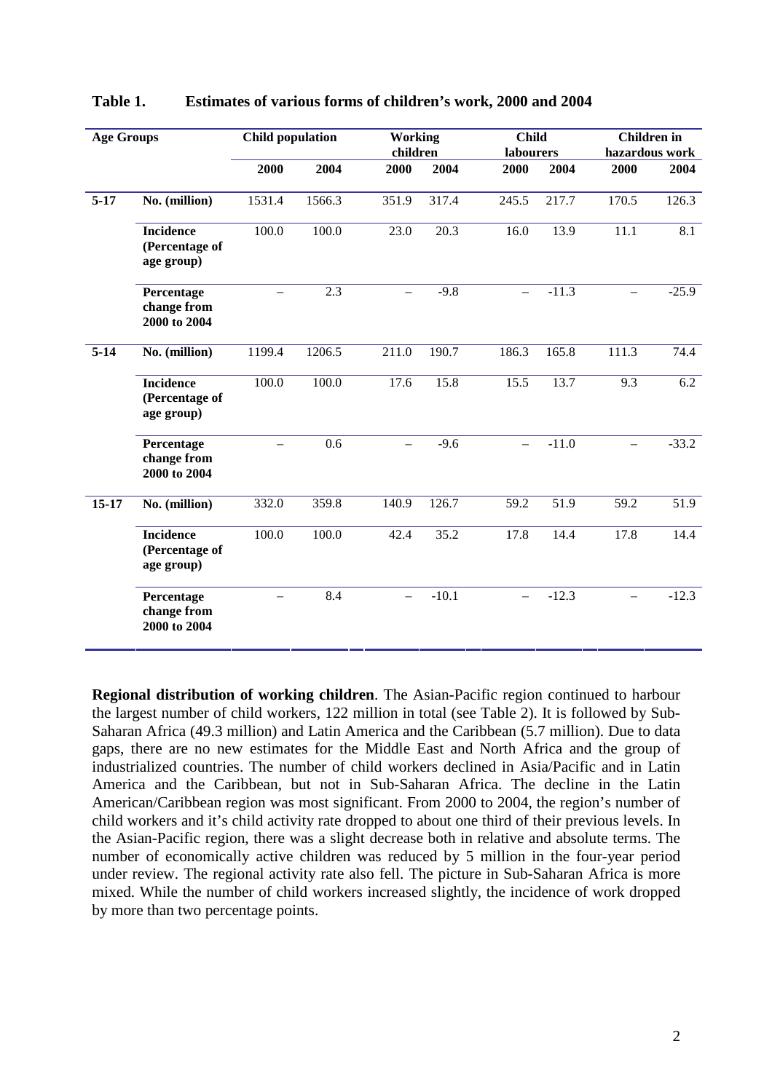| <b>Age Groups</b> |                                                  | <b>Child population</b> |        | <b>Working</b><br>children |         | <b>Child</b><br>labourers |         | <b>Children</b> in<br>hazardous work |         |
|-------------------|--------------------------------------------------|-------------------------|--------|----------------------------|---------|---------------------------|---------|--------------------------------------|---------|
|                   |                                                  | 2000                    | 2004   | 2000                       | 2004    | 2000                      | 2004    | 2000                                 | 2004    |
| $5-17$            | No. (million)                                    | 1531.4                  | 1566.3 | 351.9                      | 317.4   | 245.5                     | 217.7   | 170.5                                | 126.3   |
|                   | <b>Incidence</b><br>(Percentage of<br>age group) | 100.0                   | 100.0  | 23.0                       | 20.3    | 16.0                      | 13.9    | 11.1                                 | 8.1     |
|                   | Percentage<br>change from<br>2000 to 2004        |                         | 2.3    |                            | $-9.8$  |                           | $-11.3$ |                                      | $-25.9$ |
| $5 - 14$          | No. (million)                                    | 1199.4                  | 1206.5 | 211.0                      | 190.7   | 186.3                     | 165.8   | 111.3                                | 74.4    |
|                   | <b>Incidence</b><br>(Percentage of<br>age group) | 100.0                   | 100.0  | 17.6                       | 15.8    | 15.5                      | 13.7    | 9.3                                  | 6.2     |
|                   | Percentage<br>change from<br>2000 to 2004        |                         | 0.6    |                            | $-9.6$  |                           | $-11.0$ | $\equiv$                             | $-33.2$ |
| $15 - 17$         | No. (million)                                    | 332.0                   | 359.8  | 140.9                      | 126.7   | 59.2                      | 51.9    | 59.2                                 | 51.9    |
|                   | <b>Incidence</b><br>(Percentage of<br>age group) | 100.0                   | 100.0  | 42.4                       | 35.2    | 17.8                      | 14.4    | 17.8                                 | 14.4    |
|                   | Percentage<br>change from<br>2000 to 2004        |                         | 8.4    | $\overline{\phantom{0}}$   | $-10.1$ |                           | $-12.3$ | $\overline{\phantom{0}}$             | $-12.3$ |

#### **Table 1. Estimates of various forms of children's work, 2000 and 2004**

**Regional distribution of working children**. The Asian-Pacific region continued to harbour the largest number of child workers, 122 million in total (see Table 2). It is followed by Sub-Saharan Africa (49.3 million) and Latin America and the Caribbean (5.7 million). Due to data gaps, there are no new estimates for the Middle East and North Africa and the group of industrialized countries. The number of child workers declined in Asia/Pacific and in Latin America and the Caribbean, but not in Sub-Saharan Africa. The decline in the Latin American/Caribbean region was most significant. From 2000 to 2004, the region's number of child workers and it's child activity rate dropped to about one third of their previous levels. In the Asian-Pacific region, there was a slight decrease both in relative and absolute terms. The number of economically active children was reduced by 5 million in the four-year period under review. The regional activity rate also fell. The picture in Sub-Saharan Africa is more mixed. While the number of child workers increased slightly, the incidence of work dropped by more than two percentage points.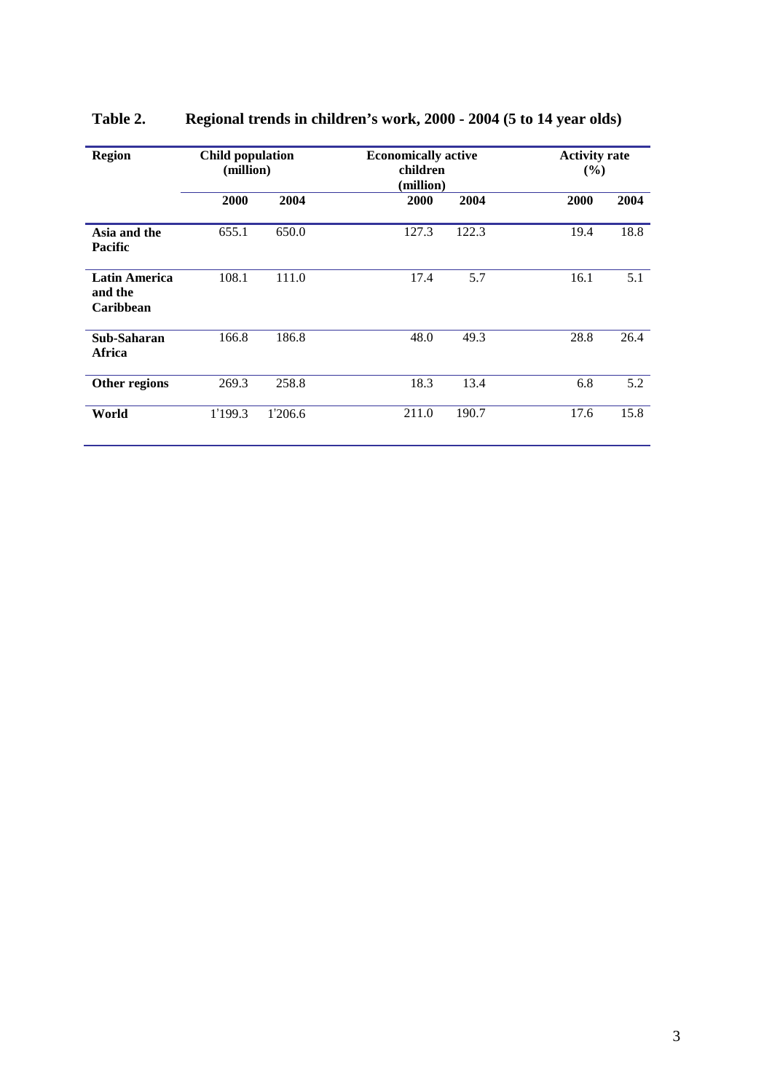| <b>Region</b>                                | <b>Child population</b><br>(million) |         | (million) | <b>Economically active</b><br>children |      | <b>Activity rate</b><br>(%) |  |
|----------------------------------------------|--------------------------------------|---------|-----------|----------------------------------------|------|-----------------------------|--|
|                                              | 2000                                 | 2004    | 2000      | 2004                                   | 2000 | 2004                        |  |
| Asia and the<br><b>Pacific</b>               | 655.1                                | 650.0   | 127.3     | 122.3                                  | 19.4 | 18.8                        |  |
| <b>Latin America</b><br>and the<br>Caribbean | 108.1                                | 111.0   | 17.4      | 5.7                                    | 16.1 | 5.1                         |  |
| Sub-Saharan<br>Africa                        | 166.8                                | 186.8   | 48.0      | 49.3                                   | 28.8 | 26.4                        |  |
| Other regions                                | 269.3                                | 258.8   | 18.3      | 13.4                                   | 6.8  | 5.2                         |  |
| World                                        | 1'199.3                              | 1'206.6 | 211.0     | 190.7                                  | 17.6 | 15.8                        |  |

## **Table 2. Regional trends in children's work, 2000 - 2004 (5 to 14 year olds)**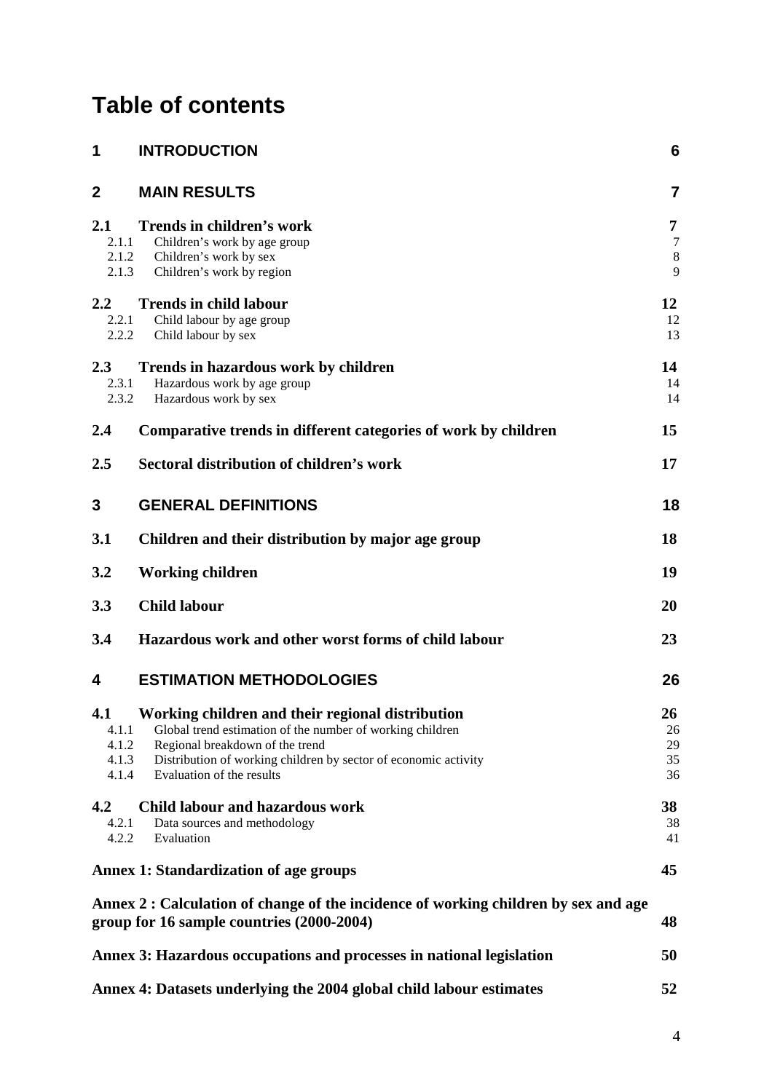## **Table of contents**

| 1                                       | <b>INTRODUCTION</b>                                                                                                                                                                                                                              | 6                             |
|-----------------------------------------|--------------------------------------------------------------------------------------------------------------------------------------------------------------------------------------------------------------------------------------------------|-------------------------------|
| $\mathbf{2}$                            | <b>MAIN RESULTS</b>                                                                                                                                                                                                                              | $\overline{7}$                |
| 2.1<br>2.1.1<br>2.1.2<br>2.1.3          | <b>Trends in children's work</b><br>Children's work by age group<br>Children's work by sex<br>Children's work by region                                                                                                                          | 7<br>$\overline{7}$<br>8<br>9 |
| 2.2<br>2.2.1<br>2.2.2                   | <b>Trends in child labour</b><br>Child labour by age group<br>Child labour by sex                                                                                                                                                                | 12<br>12<br>13                |
| 2.3<br>2.3.1<br>2.3.2                   | Trends in hazardous work by children<br>Hazardous work by age group<br>Hazardous work by sex                                                                                                                                                     | 14<br>14<br>14                |
| 2.4                                     | Comparative trends in different categories of work by children                                                                                                                                                                                   | 15                            |
| 2.5                                     | Sectoral distribution of children's work                                                                                                                                                                                                         | 17                            |
| 3                                       | <b>GENERAL DEFINITIONS</b>                                                                                                                                                                                                                       | 18                            |
| 3.1                                     | Children and their distribution by major age group                                                                                                                                                                                               | 18                            |
| 3.2                                     | <b>Working children</b>                                                                                                                                                                                                                          | 19                            |
| 3.3                                     | <b>Child labour</b>                                                                                                                                                                                                                              | 20                            |
| 3.4                                     | Hazardous work and other worst forms of child labour                                                                                                                                                                                             | 23                            |
| 4                                       | <b>ESTIMATION METHODOLOGIES</b>                                                                                                                                                                                                                  | 26                            |
| 4.1<br>4.1.1<br>4.1.2<br>4.1.3<br>4.1.4 | Working children and their regional distribution<br>Global trend estimation of the number of working children<br>Regional breakdown of the trend<br>Distribution of working children by sector of economic activity<br>Evaluation of the results | 26<br>26<br>29<br>35<br>36    |
| 4.2<br>4.2.1<br>4.2.2                   | <b>Child labour and hazardous work</b><br>Data sources and methodology<br>Evaluation                                                                                                                                                             | 38<br>38<br>41                |
|                                         | <b>Annex 1: Standardization of age groups</b>                                                                                                                                                                                                    | 45                            |
|                                         | Annex 2 : Calculation of change of the incidence of working children by sex and age<br>group for 16 sample countries (2000-2004)                                                                                                                 | 48                            |
|                                         | Annex 3: Hazardous occupations and processes in national legislation                                                                                                                                                                             | 50                            |
|                                         | Annex 4: Datasets underlying the 2004 global child labour estimates                                                                                                                                                                              | 52                            |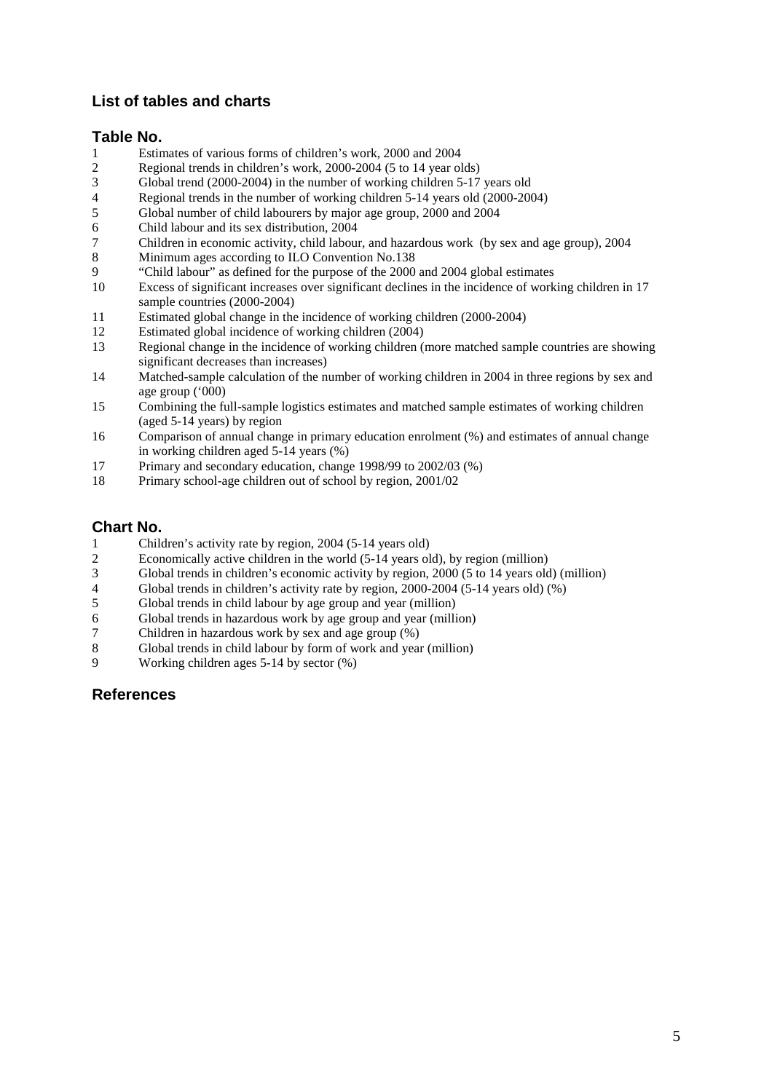## **List of tables and charts**

#### **Table No.**

- 1 Estimates of various forms of children's work, 2000 and 2004
- 2 Regional trends in children's work, 2000-2004 (5 to 14 year olds)<br>
3 Global trend (2000-2004) in the number of working children 5-17
- 3 Global trend (2000-2004) in the number of working children 5-17 years old
- Regional trends in the number of working children 5-14 years old (2000-2004)<br>5 Global number of child labourers by maior age group. 2000 and 2004
- 5 Global number of child labourers by major age group, 2000 and 2004<br>6 Child labour and its sex distribution 2004
- 6 Child labour and its sex distribution, 2004
- 7 Children in economic activity, child labour, and hazardous work (by sex and age group), 2004
- 8 Minimum ages according to ILO Convention No.138<br>9 "Child labour" as defined for the purpose of the 2000
- "Child labour" as defined for the purpose of the 2000 and 2004 global estimates
- 10 Excess of significant increases over significant declines in the incidence of working children in 17 sample countries (2000-2004)
- 11 Estimated global change in the incidence of working children (2000-2004)
- 12 Estimated global incidence of working children (2004)
- 13 Regional change in the incidence of working children (more matched sample countries are showing significant decreases than increases)<br>14 Matched-sample calculation of the n
- Matched-sample calculation of the number of working children in 2004 in three regions by sex and age group  $(^{0}00)$
- 15 Combining the full-sample logistics estimates and matched sample estimates of working children (aged 5-14 years) by region
- 16 Comparison of annual change in primary education enrolment (%) and estimates of annual change in working children aged 5-14 years (%)
- 17 Primary and secondary education, change 1998/99 to 2002/03 (%)
- 18 Primary school-age children out of school by region, 2001/02

## **Chart No.**

- 1 Children's activity rate by region, 2004 (5-14 years old)
- 2 Economically active children in the world (5-14 years old), by region (million)
- 3 Global trends in children's economic activity by region, 2000 (5 to 14 years old) (million)<br>4 Global trends in children's activity rate by region, 2000-2004 (5-14 years old) (%)
- 4 Global trends in children's activity rate by region, 2000-2004 (5-14 years old) (%)<br>5 Global trends in child labour by age group and year (million)
- 5 Global trends in child labour by age group and year (million)<br>6 Global trends in hazardous work by age group and year (million)
- 6 Global trends in hazardous work by age group and year (million)
- 7 Children in hazardous work by sex and age group (%)
- 8 Global trends in child labour by form of work and year (million)
- 9 Working children ages 5-14 by sector (%)

## **References**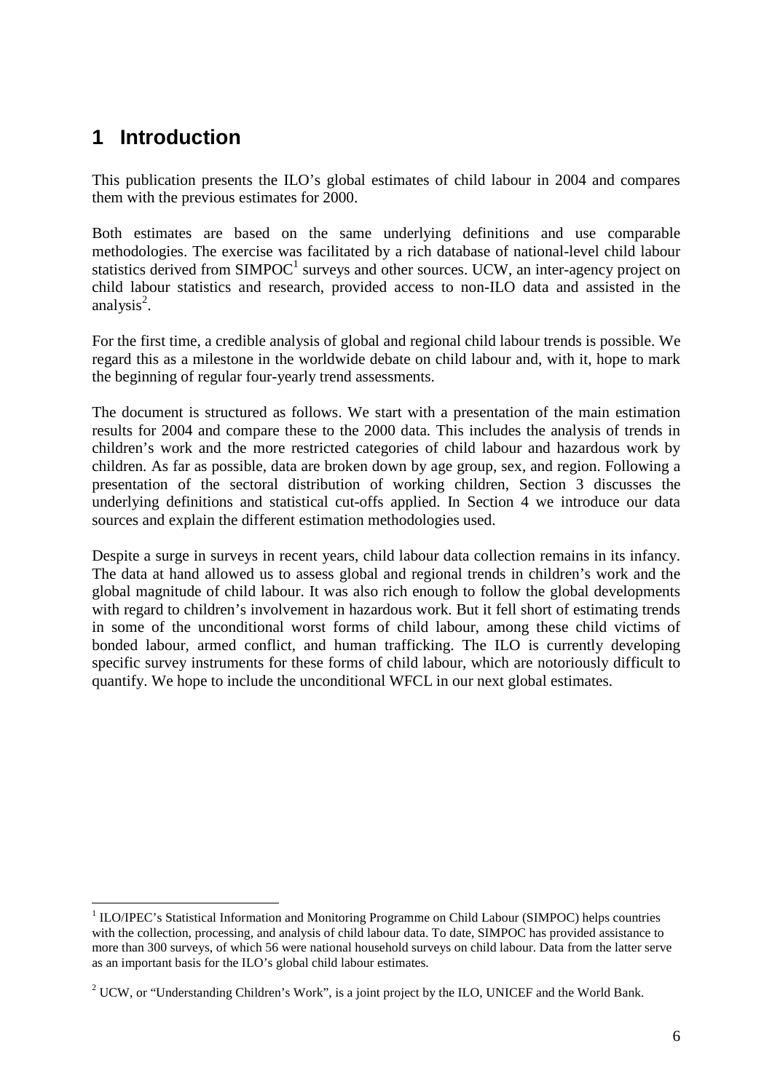## **1 Introduction**

This publication presents the ILO's global estimates of child labour in 2004 and compares them with the previous estimates for 2000.

Both estimates are based on the same underlying definitions and use comparable methodologies. The exercise was facilitated by a rich database of national-level child labour statistics derived from SIMPOC<sup>1</sup> surveys and other sources. UCW, an inter-agency project on child labour statistics and research, provided access to non-ILO data and assisted in the analysis<sup>2</sup>.

For the first time, a credible analysis of global and regional child labour trends is possible. We regard this as a milestone in the worldwide debate on child labour and, with it, hope to mark the beginning of regular four-yearly trend assessments.

The document is structured as follows. We start with a presentation of the main estimation results for 2004 and compare these to the 2000 data. This includes the analysis of trends in children's work and the more restricted categories of child labour and hazardous work by children. As far as possible, data are broken down by age group, sex, and region. Following a presentation of the sectoral distribution of working children, Section 3 discusses the underlying definitions and statistical cut-offs applied. In Section 4 we introduce our data sources and explain the different estimation methodologies used.

Despite a surge in surveys in recent years, child labour data collection remains in its infancy. The data at hand allowed us to assess global and regional trends in children's work and the global magnitude of child labour. It was also rich enough to follow the global developments with regard to children's involvement in hazardous work. But it fell short of estimating trends in some of the unconditional worst forms of child labour, among these child victims of bonded labour, armed conflict, and human trafficking. The ILO is currently developing specific survey instruments for these forms of child labour, which are notoriously difficult to quantify. We hope to include the unconditional WFCL in our next global estimates.

 $\overline{a}$ <sup>1</sup> ILO/IPEC's Statistical Information and Monitoring Programme on Child Labour (SIMPOC) helps countries with the collection, processing, and analysis of child labour data. To date, SIMPOC has provided assistance to more than 300 surveys, of which 56 were national household surveys on child labour. Data from the latter serve as an important basis for the ILO's global child labour estimates.

 $2^2$  UCW, or "Understanding Children's Work", is a joint project by the ILO, UNICEF and the World Bank.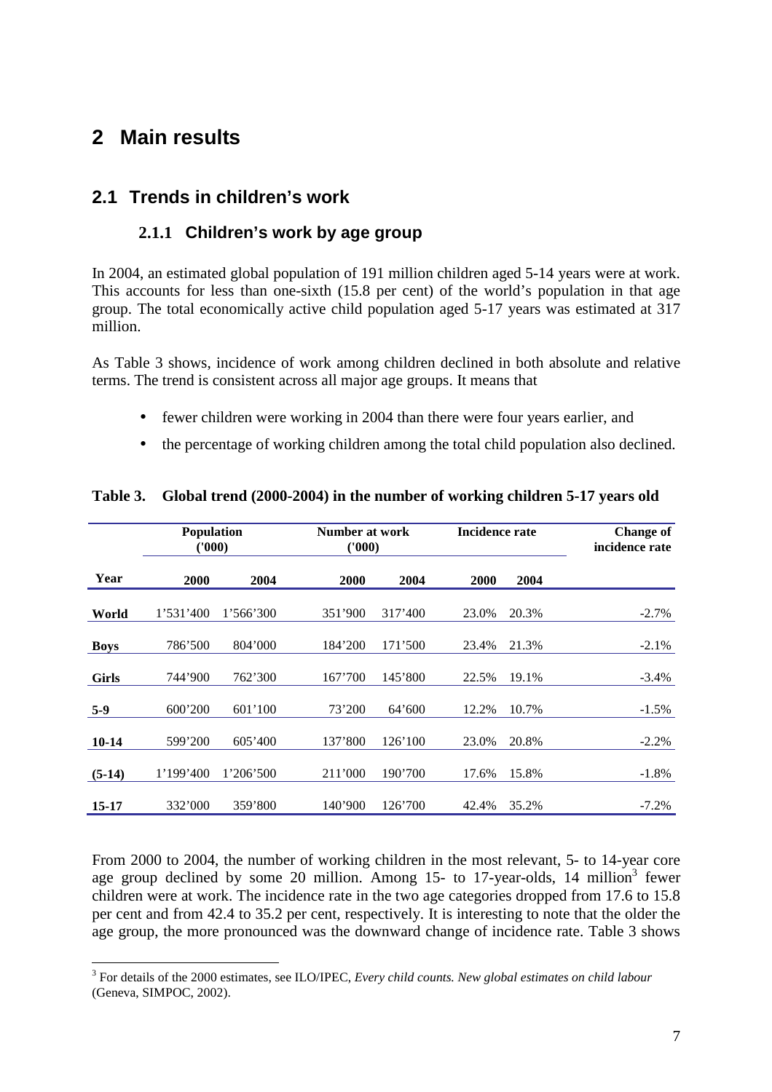## **2 Main results**

## **2.1 Trends in children's work**

## **2.1.1 Children's work by age group**

In 2004, an estimated global population of 191 million children aged 5-14 years were at work. This accounts for less than one-sixth (15.8 per cent) of the world's population in that age group. The total economically active child population aged 5-17 years was estimated at 317 million.

As Table 3 shows, incidence of work among children declined in both absolute and relative terms. The trend is consistent across all major age groups. It means that

- fewer children were working in 2004 than there were four years earlier, and
- the percentage of working children among the total child population also declined.

|              | <b>Population</b><br>(000) |           |         | Number at work<br>(000) |       | Incidence rate | <b>Change of</b><br>incidence rate |
|--------------|----------------------------|-----------|---------|-------------------------|-------|----------------|------------------------------------|
| Year         | 2000                       | 2004      | 2000    | 2004                    | 2000  | 2004           |                                    |
| World        | 1'531'400                  | 1'566'300 | 351'900 | 317'400                 | 23.0% | 20.3%          | $-2.7%$                            |
| <b>Boys</b>  | 786'500                    | 804'000   | 184'200 | 171'500                 | 23.4% | 21.3%          | $-2.1%$                            |
| <b>Girls</b> | 744'900                    | 762'300   | 167'700 | 145'800                 | 22.5% | 19.1%          | $-3.4%$                            |
| $5-9$        | 600'200                    | 601'100   | 73'200  | 64'600                  | 12.2% | 10.7%          | $-1.5%$                            |
| $10 - 14$    | 599'200                    | 605'400   | 137'800 | 126'100                 | 23.0% | 20.8%          | $-2.2%$                            |
| $(5-14)$     | 1'199'400                  | 1'206'500 | 211'000 | 190'700                 | 17.6% | 15.8%          | $-1.8%$                            |
| $15 - 17$    | 332'000                    | 359'800   | 140'900 | 126'700                 | 42.4% | 35.2%          | $-7.2\%$                           |

#### **Table 3. Global trend (2000-2004) in the number of working children 5-17 years old**

From 2000 to 2004, the number of working children in the most relevant, 5- to 14-year core age group declined by some 20 million. Among 15- to 17-year-olds, 14 million<sup>3</sup> fewer children were at work. The incidence rate in the two age categories dropped from 17.6 to 15.8 per cent and from 42.4 to 35.2 per cent, respectively. It is interesting to note that the older the age group, the more pronounced was the downward change of incidence rate. Table 3 shows

 3 For details of the 2000 estimates, see ILO/IPEC, *Every child counts. New global estimates on child labour*  (Geneva, SIMPOC, 2002).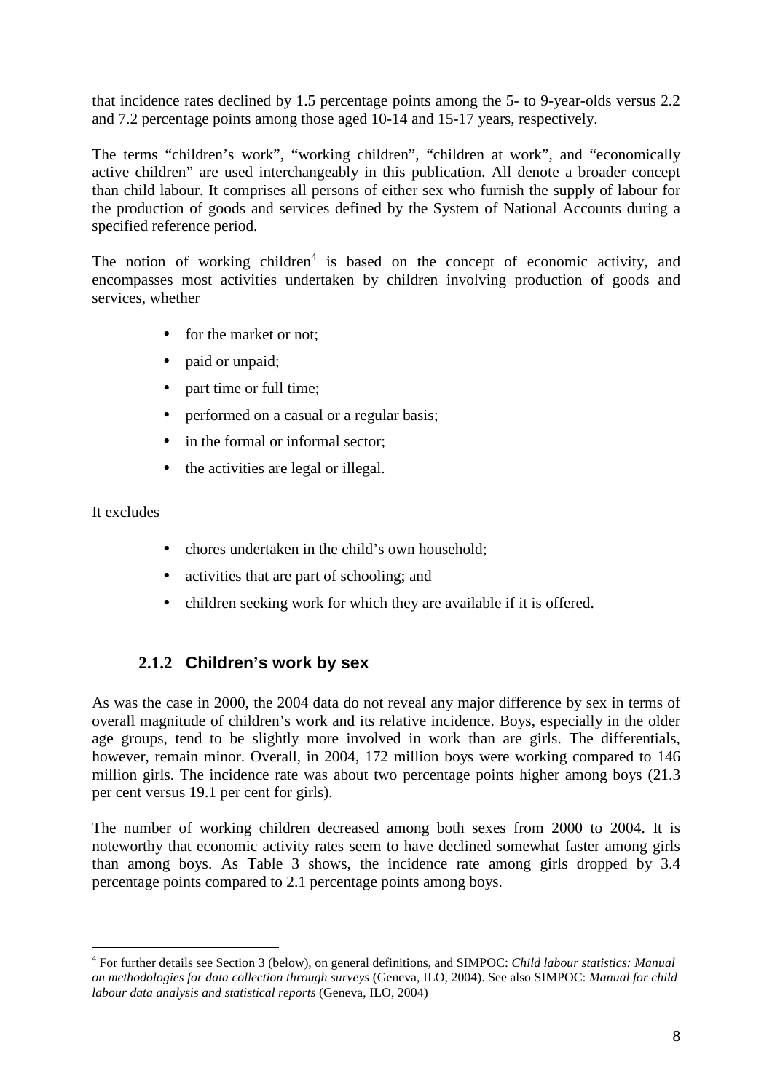that incidence rates declined by 1.5 percentage points among the 5- to 9-year-olds versus 2.2 and 7.2 percentage points among those aged 10-14 and 15-17 years, respectively.

The terms "children's work", "working children", "children at work", and "economically active children" are used interchangeably in this publication. All denote a broader concept than child labour. It comprises all persons of either sex who furnish the supply of labour for the production of goods and services defined by the System of National Accounts during a specified reference period.

The notion of working children<sup>4</sup> is based on the concept of economic activity, and encompasses most activities undertaken by children involving production of goods and services, whether

- for the market or not:
- paid or unpaid;
- part time or full time;
- performed on a casual or a regular basis;
- in the formal or informal sector;
- the activities are legal or illegal.

### It excludes

 $\overline{a}$ 

- chores undertaken in the child's own household:
- activities that are part of schooling; and
- children seeking work for which they are available if it is offered.

## **2.1.2 Children's work by sex**

As was the case in 2000, the 2004 data do not reveal any major difference by sex in terms of overall magnitude of children's work and its relative incidence. Boys, especially in the older age groups, tend to be slightly more involved in work than are girls. The differentials, however, remain minor. Overall, in 2004, 172 million boys were working compared to 146 million girls. The incidence rate was about two percentage points higher among boys (21.3 per cent versus 19.1 per cent for girls).

The number of working children decreased among both sexes from 2000 to 2004. It is noteworthy that economic activity rates seem to have declined somewhat faster among girls than among boys. As Table 3 shows, the incidence rate among girls dropped by 3.4 percentage points compared to 2.1 percentage points among boys.

<sup>4</sup> For further details see Section 3 (below), on general definitions, and SIMPOC: *Child labour statistics: Manual on methodologies for data collection through surveys* (Geneva, ILO, 2004). See also SIMPOC: *Manual for child labour data analysis and statistical reports* (Geneva, ILO, 2004)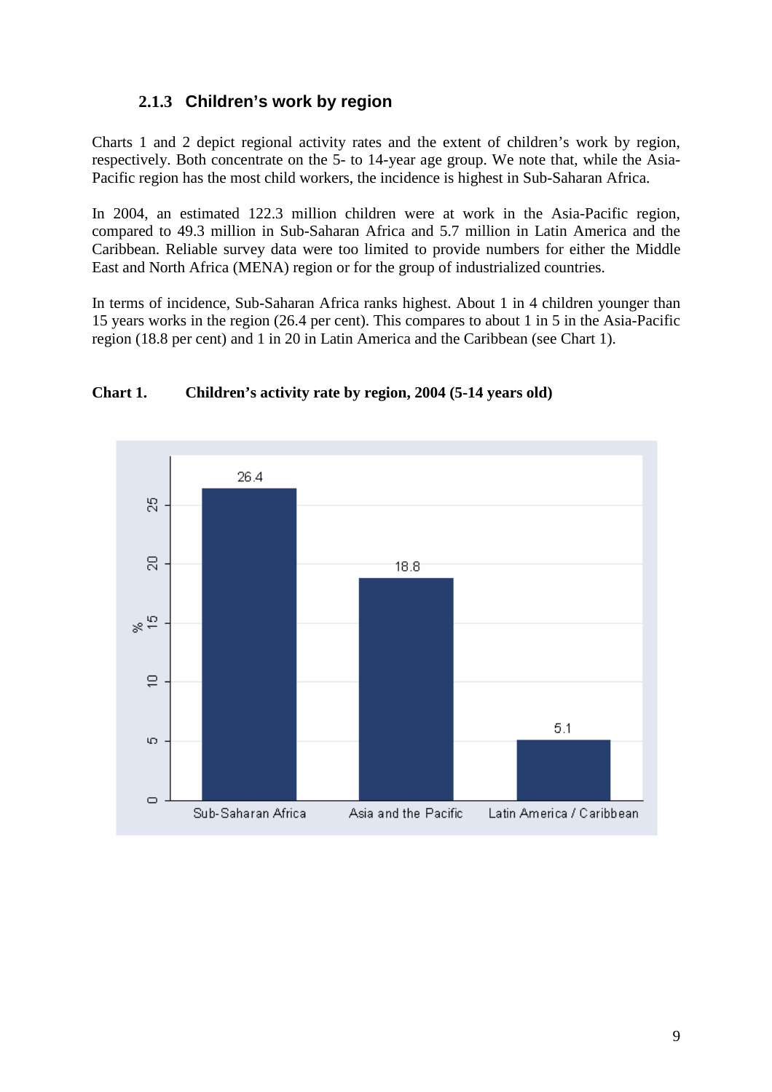## **2.1.3 Children's work by region**

Charts 1 and 2 depict regional activity rates and the extent of children's work by region, respectively. Both concentrate on the 5- to 14-year age group. We note that, while the Asia-Pacific region has the most child workers, the incidence is highest in Sub-Saharan Africa.

In 2004, an estimated 122.3 million children were at work in the Asia-Pacific region, compared to 49.3 million in Sub-Saharan Africa and 5.7 million in Latin America and the Caribbean. Reliable survey data were too limited to provide numbers for either the Middle East and North Africa (MENA) region or for the group of industrialized countries.

In terms of incidence, Sub-Saharan Africa ranks highest. About 1 in 4 children younger than 15 years works in the region (26.4 per cent). This compares to about 1 in 5 in the Asia-Pacific region (18.8 per cent) and 1 in 20 in Latin America and the Caribbean (see Chart 1).



#### **Chart 1. Children's activity rate by region, 2004 (5-14 years old)**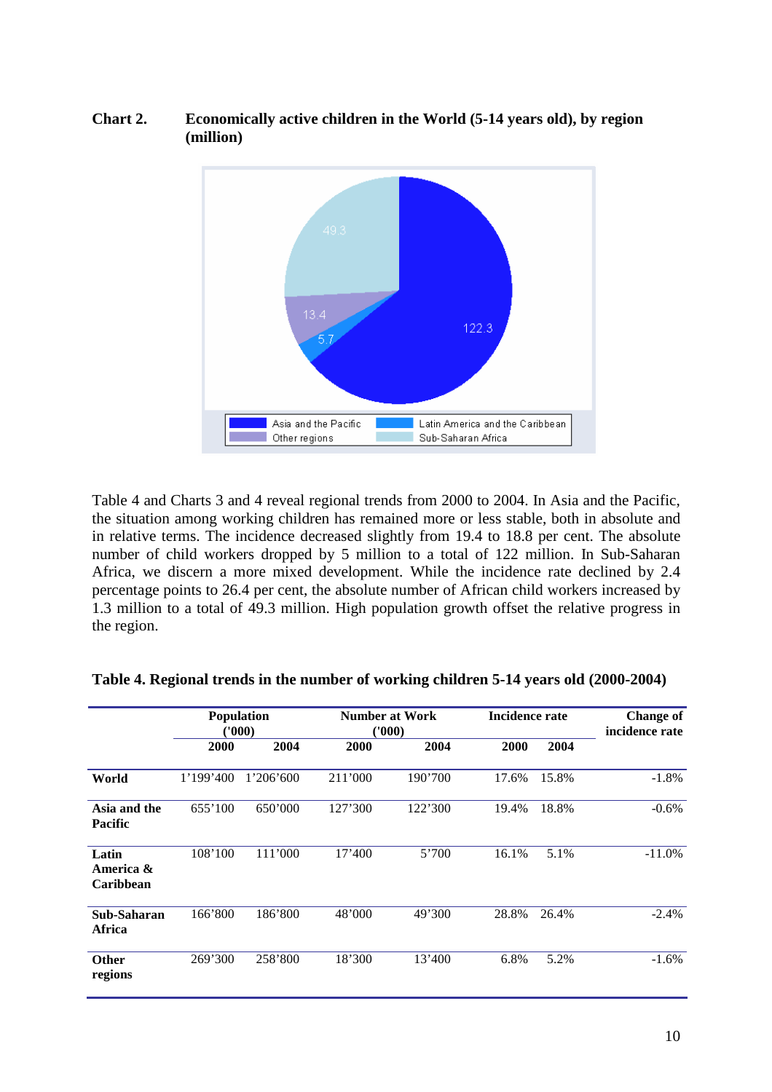



Table 4 and Charts 3 and 4 reveal regional trends from 2000 to 2004. In Asia and the Pacific, the situation among working children has remained more or less stable, both in absolute and in relative terms. The incidence decreased slightly from 19.4 to 18.8 per cent. The absolute number of child workers dropped by 5 million to a total of 122 million. In Sub-Saharan Africa, we discern a more mixed development. While the incidence rate declined by 2.4 percentage points to 26.4 per cent, the absolute number of African child workers increased by 1.3 million to a total of 49.3 million. High population growth offset the relative progress in the region.

|                                 | <b>Population</b><br>(000) |           |         | <b>Number at Work</b><br>(000) |       | <b>Incidence rate</b> | <b>Change of</b><br>incidence rate |
|---------------------------------|----------------------------|-----------|---------|--------------------------------|-------|-----------------------|------------------------------------|
|                                 | 2000                       | 2004      | 2000    | 2004                           | 2000  | 2004                  |                                    |
| World                           | 1'199'400                  | 1'206'600 | 211'000 | 190'700                        | 17.6% | 15.8%                 | $-1.8%$                            |
| Asia and the<br><b>Pacific</b>  | 655'100                    | 650'000   | 127'300 | 122'300                        | 19.4% | 18.8%                 | $-0.6%$                            |
| Latin<br>America &<br>Caribbean | 108'100                    | 111'000   | 17'400  | 5'700                          | 16.1% | 5.1%                  | $-11.0%$                           |
| Sub-Saharan<br>Africa           | 166'800                    | 186'800   | 48'000  | 49'300                         | 28.8% | 26.4%                 | $-2.4%$                            |
| <b>Other</b><br>regions         | 269'300                    | 258'800   | 18'300  | 13'400                         | 6.8%  | 5.2%                  | $-1.6%$                            |

| Table 4. Regional trends in the number of working children 5-14 years old (2000-2004) |  |  |
|---------------------------------------------------------------------------------------|--|--|
|                                                                                       |  |  |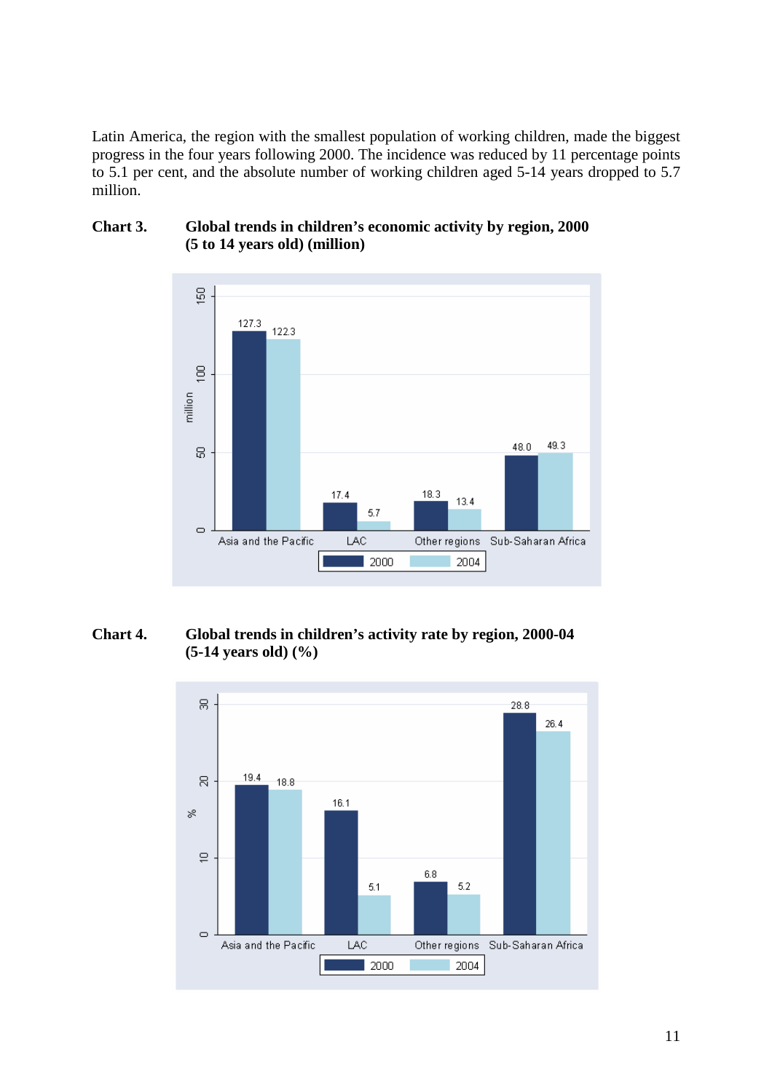Latin America, the region with the smallest population of working children, made the biggest progress in the four years following 2000. The incidence was reduced by 11 percentage points to 5.1 per cent, and the absolute number of working children aged 5-14 years dropped to 5.7 million.



## **Chart 3. Global trends in children's economic activity by region, 2000 (5 to 14 years old) (million)**



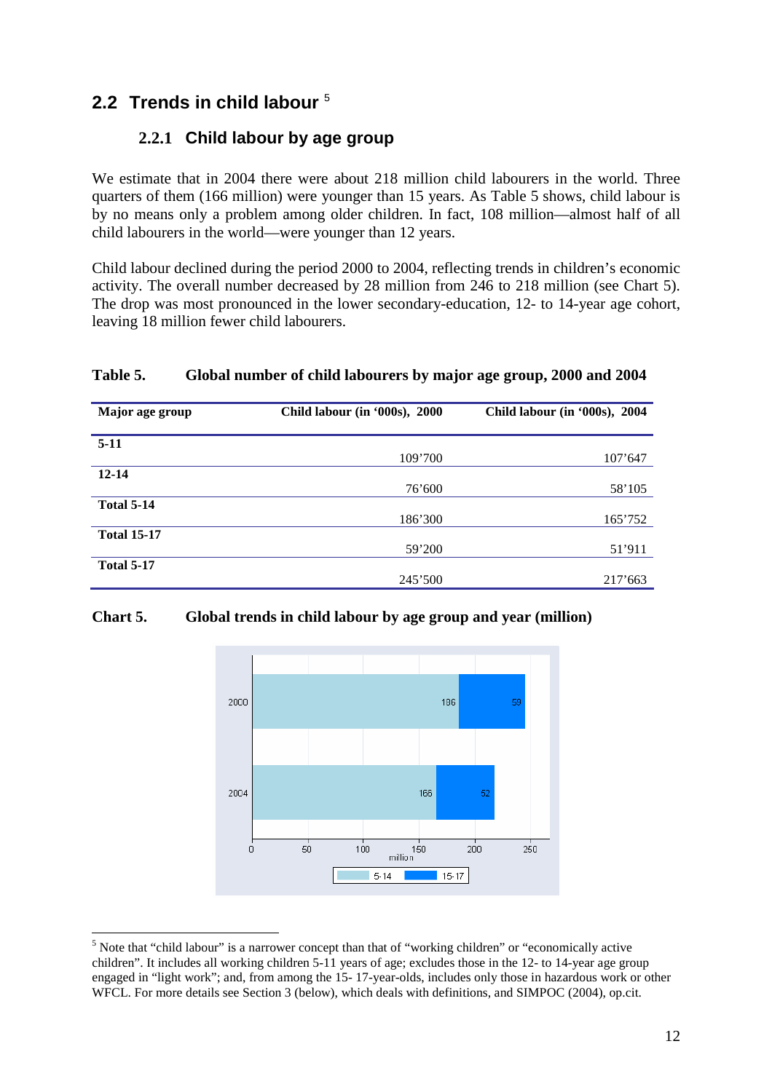## **2.2 Trends in child labour** <sup>5</sup>

## **2.2.1 Child labour by age group**

We estimate that in 2004 there were about 218 million child labourers in the world. Three quarters of them (166 million) were younger than 15 years. As Table 5 shows, child labour is by no means only a problem among older children. In fact, 108 million—almost half of all child labourers in the world—were younger than 12 years.

Child labour declined during the period 2000 to 2004, reflecting trends in children's economic activity. The overall number decreased by 28 million from 246 to 218 million (see Chart 5). The drop was most pronounced in the lower secondary-education, 12- to 14-year age cohort, leaving 18 million fewer child labourers.

#### **Table 5. Global number of child labourers by major age group, 2000 and 2004**

| Major age group    | Child labour (in '000s), 2000 | Child labour (in '000s), 2004 |
|--------------------|-------------------------------|-------------------------------|
| $5-11$             |                               |                               |
|                    | 109'700                       | 107'647                       |
| $12 - 14$          |                               |                               |
|                    | 76'600                        | 58'105                        |
| <b>Total 5-14</b>  |                               |                               |
|                    | 186'300                       | 165'752                       |
| <b>Total 15-17</b> |                               |                               |
|                    | 59'200                        | 51'911                        |
| <b>Total 5-17</b>  |                               |                               |
|                    | 245'500                       | 217'663                       |

### **Chart 5. Global trends in child labour by age group and year (million)**



 $\overline{a}$ <sup>5</sup> Note that "child labour" is a narrower concept than that of "working children" or "economically active children". It includes all working children 5-11 years of age; excludes those in the 12- to 14-year age group engaged in "light work"; and, from among the 15- 17-year-olds, includes only those in hazardous work or other WFCL. For more details see Section 3 (below), which deals with definitions, and SIMPOC (2004), op.cit.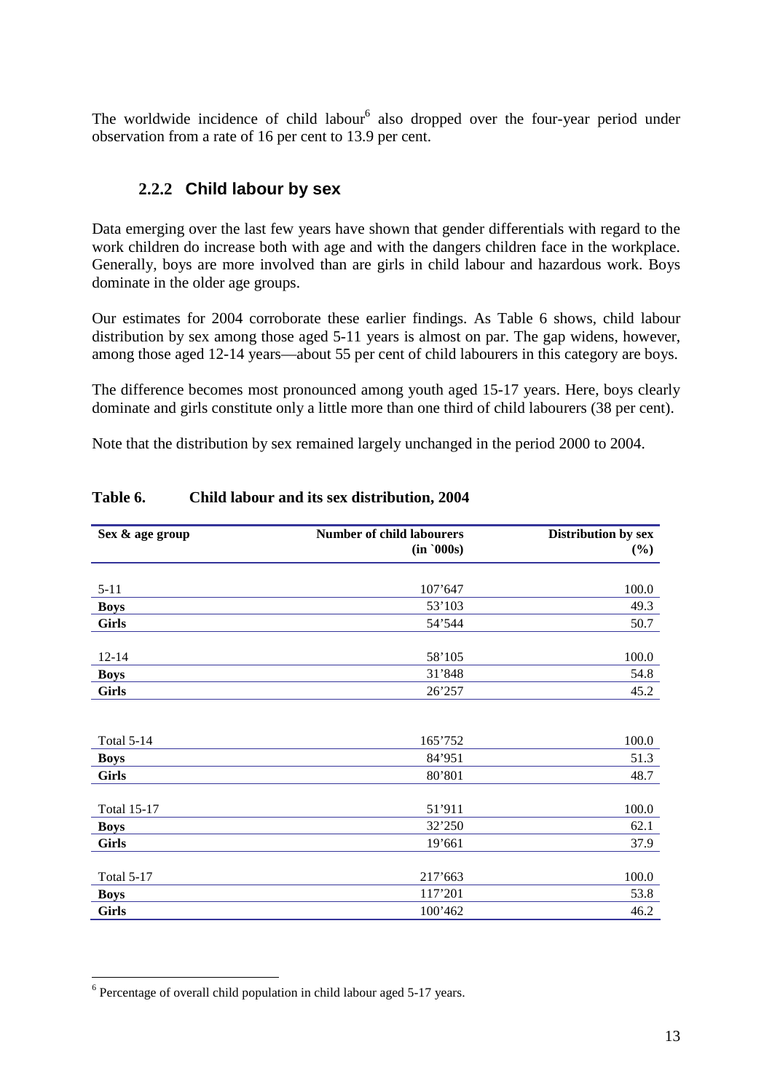The worldwide incidence of child labour<sup>6</sup> also dropped over the four-year period under observation from a rate of 16 per cent to 13.9 per cent.

## **2.2.2 Child labour by sex**

Data emerging over the last few years have shown that gender differentials with regard to the work children do increase both with age and with the dangers children face in the workplace. Generally, boys are more involved than are girls in child labour and hazardous work. Boys dominate in the older age groups.

Our estimates for 2004 corroborate these earlier findings. As Table 6 shows, child labour distribution by sex among those aged 5-11 years is almost on par. The gap widens, however, among those aged 12-14 years—about 55 per cent of child labourers in this category are boys.

The difference becomes most pronounced among youth aged 15-17 years. Here, boys clearly dominate and girls constitute only a little more than one third of child labourers (38 per cent).

Note that the distribution by sex remained largely unchanged in the period 2000 to 2004.

| Sex & age group    | <b>Number of child labourers</b><br>(in `000s) | Distribution by sex<br>$(\%)$ |
|--------------------|------------------------------------------------|-------------------------------|
|                    |                                                |                               |
| $5 - 11$           | 107'647                                        | 100.0                         |
| <b>Boys</b>        | 53'103                                         | 49.3                          |
| <b>Girls</b>       | 54'544                                         | 50.7                          |
|                    |                                                |                               |
| $12 - 14$          | 58'105                                         | 100.0                         |
| <b>Boys</b>        | 31'848                                         | 54.8                          |
| <b>Girls</b>       | 26'257                                         | 45.2                          |
|                    |                                                |                               |
| <b>Total 5-14</b>  | 165'752                                        | 100.0                         |
| <b>Boys</b>        | 84'951                                         | 51.3                          |
| <b>Girls</b>       | 80'801                                         | 48.7                          |
|                    |                                                |                               |
| <b>Total 15-17</b> | 51'911                                         | 100.0                         |
| <b>Boys</b>        | 32'250                                         | 62.1                          |
| <b>Girls</b>       | 19'661                                         | 37.9                          |
|                    |                                                |                               |
| <b>Total 5-17</b>  | 217'663                                        | 100.0                         |
| <b>Boys</b>        | 117'201                                        | 53.8                          |
| <b>Girls</b>       | 100'462                                        | 46.2                          |

## **Table 6. Child labour and its sex distribution, 2004**

 6 Percentage of overall child population in child labour aged 5-17 years.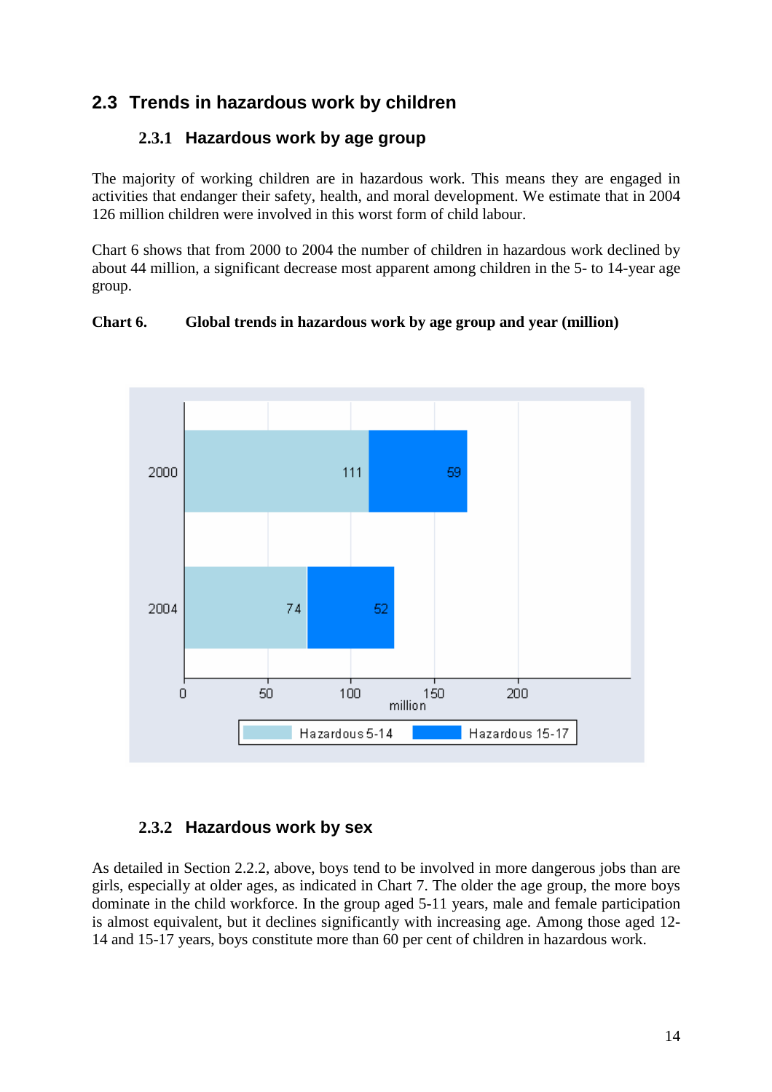## **2.3 Trends in hazardous work by children**

## **2.3.1 Hazardous work by age group**

The majority of working children are in hazardous work. This means they are engaged in activities that endanger their safety, health, and moral development. We estimate that in 2004 126 million children were involved in this worst form of child labour.

Chart 6 shows that from 2000 to 2004 the number of children in hazardous work declined by about 44 million, a significant decrease most apparent among children in the 5- to 14-year age group.

## **Chart 6. Global trends in hazardous work by age group and year (million)**



## **2.3.2 Hazardous work by sex**

As detailed in Section 2.2.2, above, boys tend to be involved in more dangerous jobs than are girls, especially at older ages, as indicated in Chart 7. The older the age group, the more boys dominate in the child workforce. In the group aged 5-11 years, male and female participation is almost equivalent, but it declines significantly with increasing age. Among those aged 12- 14 and 15-17 years, boys constitute more than 60 per cent of children in hazardous work.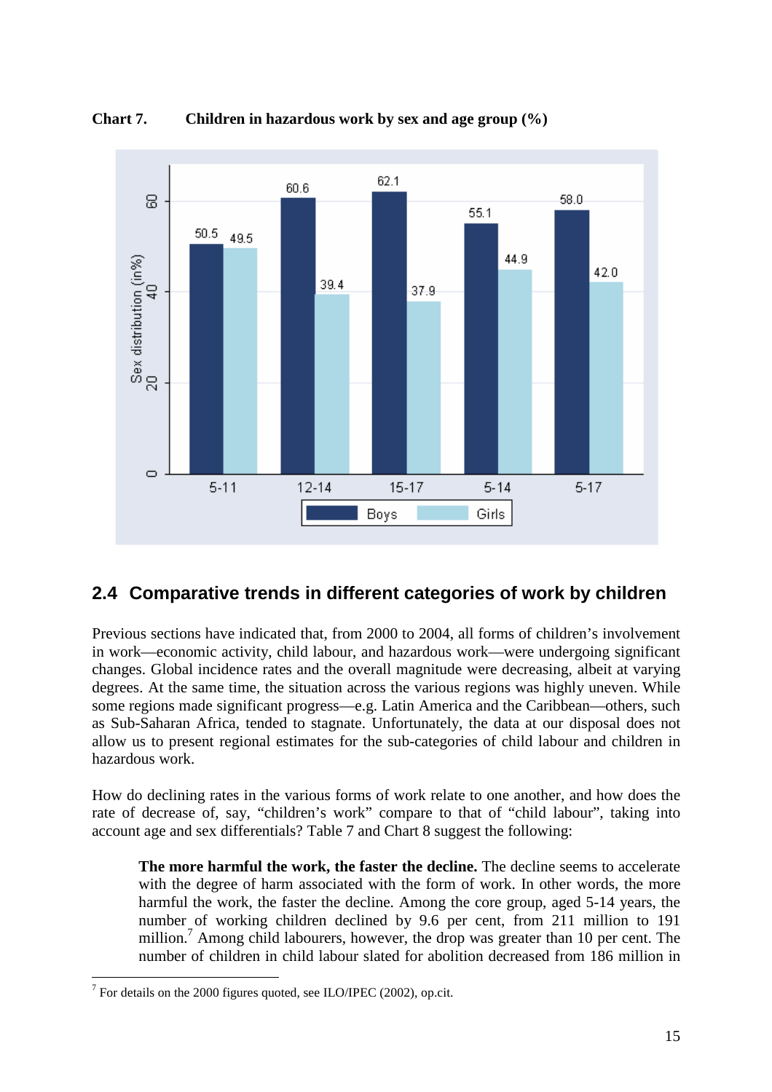

**Chart 7. Children in hazardous work by sex and age group (%)** 

## **2.4 Comparative trends in different categories of work by children**

Previous sections have indicated that, from 2000 to 2004, all forms of children's involvement in work—economic activity, child labour, and hazardous work—were undergoing significant changes. Global incidence rates and the overall magnitude were decreasing, albeit at varying degrees. At the same time, the situation across the various regions was highly uneven. While some regions made significant progress—e.g. Latin America and the Caribbean—others, such as Sub-Saharan Africa, tended to stagnate. Unfortunately, the data at our disposal does not allow us to present regional estimates for the sub-categories of child labour and children in hazardous work.

How do declining rates in the various forms of work relate to one another, and how does the rate of decrease of, say, "children's work" compare to that of "child labour", taking into account age and sex differentials? Table 7 and Chart 8 suggest the following:

**The more harmful the work, the faster the decline.** The decline seems to accelerate with the degree of harm associated with the form of work. In other words, the more harmful the work, the faster the decline. Among the core group, aged 5-14 years, the number of working children declined by 9.6 per cent, from 211 million to 191 million.<sup>7</sup> Among child labourers, however, the drop was greater than 10 per cent. The number of children in child labour slated for abolition decreased from 186 million in

 $\overline{a}$ 

 $7$  For details on the 2000 figures quoted, see ILO/IPEC (2002), op.cit.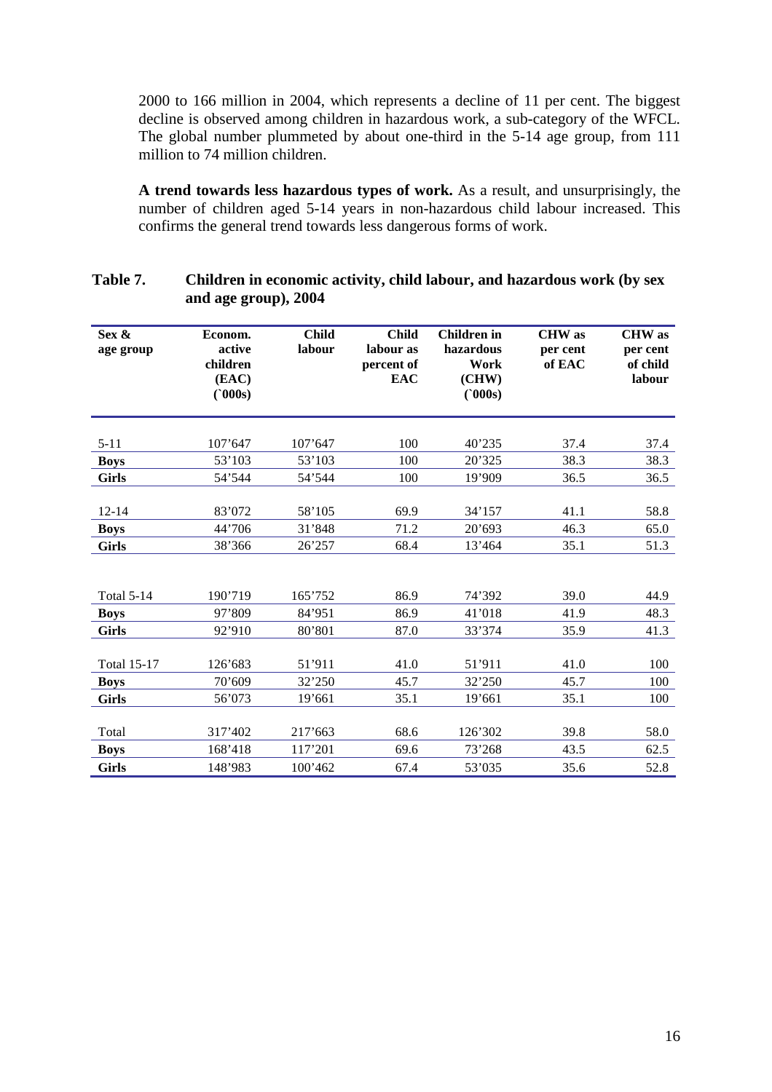2000 to 166 million in 2004, which represents a decline of 11 per cent. The biggest decline is observed among children in hazardous work, a sub-category of the WFCL. The global number plummeted by about one-third in the 5-14 age group, from 111 million to 74 million children.

**A trend towards less hazardous types of work.** As a result, and unsurprisingly, the number of children aged 5-14 years in non-hazardous child labour increased. This confirms the general trend towards less dangerous forms of work.

| Sex &<br>age group | Econom.<br>active<br>children<br>(EAC)<br>(000s) | <b>Child</b><br>labour | <b>Child</b><br>labour as<br>percent of<br><b>EAC</b> | <b>Children</b> in<br>hazardous<br>Work<br>(CHW)<br>(000s) | <b>CHW</b> as<br>per cent<br>of EAC | <b>CHW</b> as<br>per cent<br>of child<br>labour |
|--------------------|--------------------------------------------------|------------------------|-------------------------------------------------------|------------------------------------------------------------|-------------------------------------|-------------------------------------------------|
| $5 - 11$           | 107'647                                          | 107'647                | 100                                                   | 40'235                                                     | 37.4                                | 37.4                                            |
| <b>Boys</b>        | 53'103                                           | 53'103                 | 100                                                   | 20'325                                                     | 38.3                                | 38.3                                            |
| <b>Girls</b>       | 54'544                                           | 54'544                 | 100                                                   | 19'909                                                     | 36.5                                | 36.5                                            |
|                    |                                                  |                        |                                                       |                                                            |                                     |                                                 |
| $12 - 14$          | 83'072                                           | 58'105                 | 69.9                                                  | 34'157                                                     | 41.1                                | 58.8                                            |
| <b>Boys</b>        | 44'706                                           | 31'848                 | 71.2                                                  | 20'693                                                     | 46.3                                | 65.0                                            |
| <b>Girls</b>       | 38'366                                           | 26'257                 | 68.4                                                  | 13'464                                                     | 35.1                                | 51.3                                            |
|                    |                                                  |                        |                                                       |                                                            |                                     |                                                 |
| <b>Total 5-14</b>  | 190'719                                          | 165'752                | 86.9                                                  | 74'392                                                     | 39.0                                | 44.9                                            |
| <b>Boys</b>        | 97'809                                           | 84'951                 | 86.9                                                  | 41'018                                                     | 41.9                                | 48.3                                            |
| <b>Girls</b>       | 92'910                                           | 80'801                 | 87.0                                                  | 33'374                                                     | 35.9                                | 41.3                                            |
|                    |                                                  |                        |                                                       |                                                            |                                     |                                                 |
| <b>Total 15-17</b> | 126'683                                          | 51'911                 | 41.0                                                  | 51'911                                                     | 41.0                                | 100                                             |
| <b>Boys</b>        | 70'609                                           | 32'250                 | 45.7                                                  | 32'250                                                     | 45.7                                | 100                                             |
| <b>Girls</b>       | 56'073                                           | 19'661                 | 35.1                                                  | 19'661                                                     | 35.1                                | 100                                             |
|                    |                                                  |                        |                                                       |                                                            |                                     |                                                 |
| Total              | 317'402                                          | 217'663                | 68.6                                                  | 126'302                                                    | 39.8                                | 58.0                                            |
| <b>Boys</b>        | 168'418                                          | 117'201                | 69.6                                                  | 73'268                                                     | 43.5                                | 62.5                                            |
| <b>Girls</b>       | 148'983                                          | 100'462                | 67.4                                                  | 53'035                                                     | 35.6                                | 52.8                                            |

### **Table 7. Children in economic activity, child labour, and hazardous work (by sex and age group), 2004**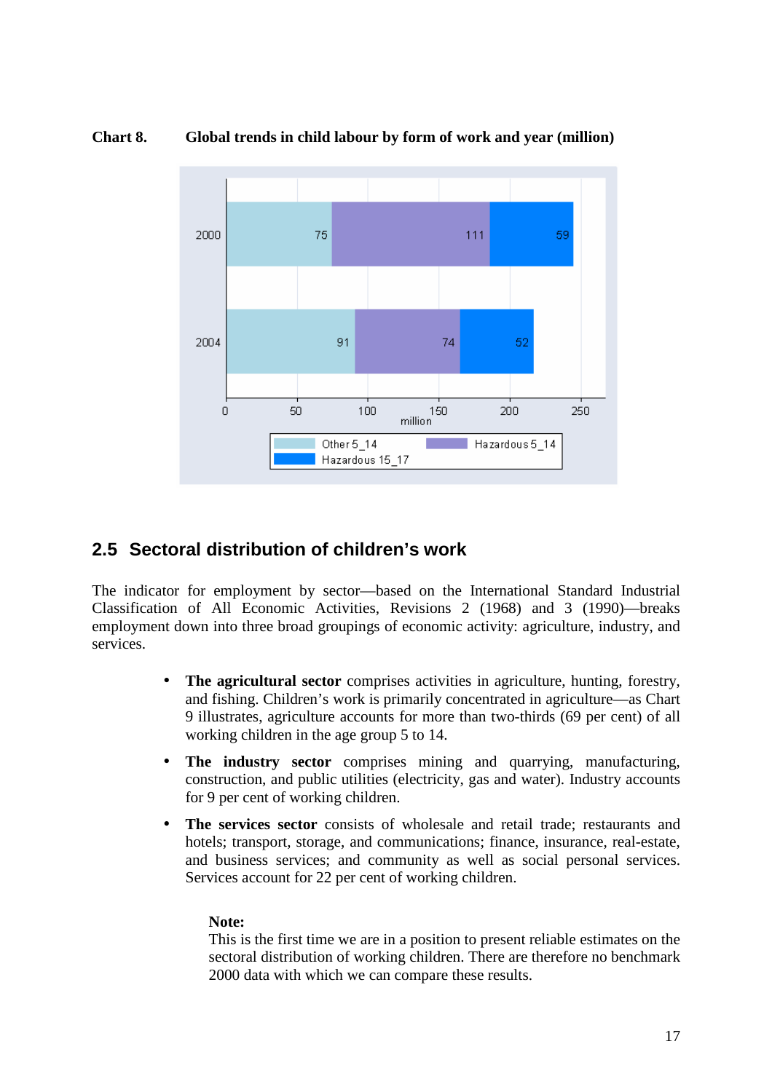

## **Chart 8. Global trends in child labour by form of work and year (million)**

## **2.5 Sectoral distribution of children's work**

The indicator for employment by sector—based on the International Standard Industrial Classification of All Economic Activities, Revisions 2 (1968) and 3 (1990)—breaks employment down into three broad groupings of economic activity: agriculture, industry, and services.

- **The agricultural sector** comprises activities in agriculture, hunting, forestry, and fishing. Children's work is primarily concentrated in agriculture—as Chart 9 illustrates, agriculture accounts for more than two-thirds (69 per cent) of all working children in the age group 5 to 14.
- **The industry sector** comprises mining and quarrying, manufacturing, construction, and public utilities (electricity, gas and water). Industry accounts for 9 per cent of working children.
- **The services sector** consists of wholesale and retail trade; restaurants and hotels; transport, storage, and communications; finance, insurance, real-estate, and business services; and community as well as social personal services. Services account for 22 per cent of working children.

### **Note:**

This is the first time we are in a position to present reliable estimates on the sectoral distribution of working children. There are therefore no benchmark 2000 data with which we can compare these results.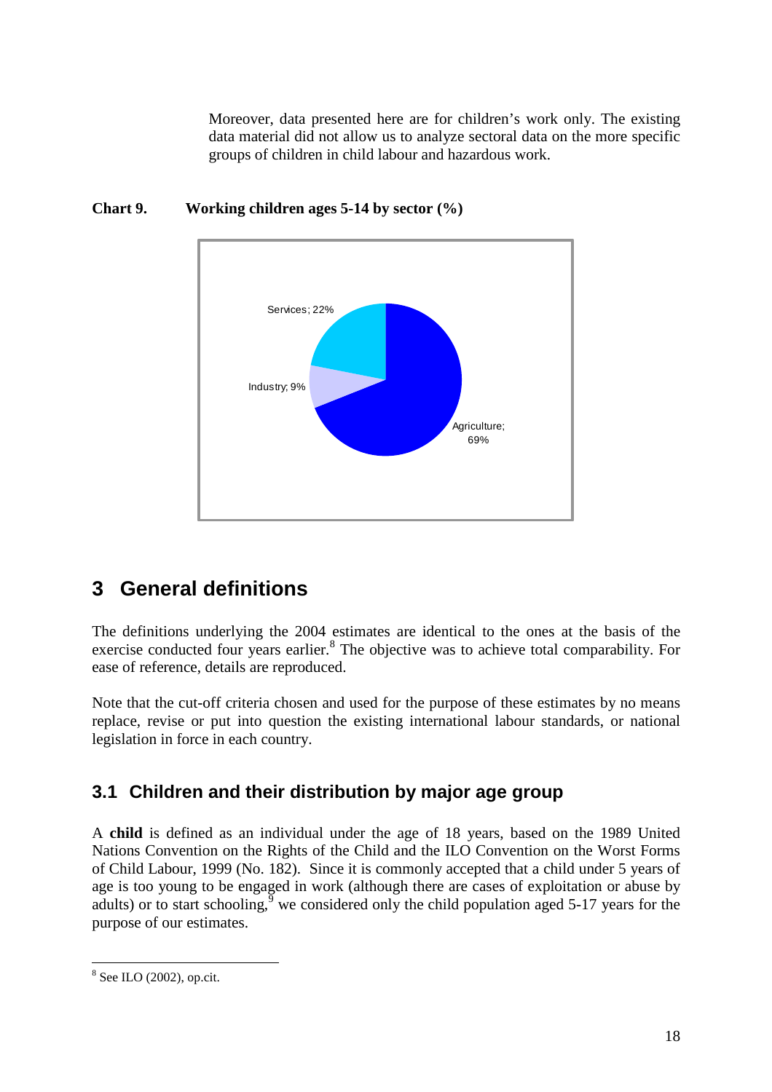Moreover, data presented here are for children's work only. The existing data material did not allow us to analyze sectoral data on the more specific groups of children in child labour and hazardous work.



## **Chart 9. Working children ages 5-14 by sector (%)**

## **3 General definitions**

The definitions underlying the 2004 estimates are identical to the ones at the basis of the exercise conducted four years earlier.<sup>8</sup> The objective was to achieve total comparability. For ease of reference, details are reproduced.

Note that the cut-off criteria chosen and used for the purpose of these estimates by no means replace, revise or put into question the existing international labour standards, or national legislation in force in each country.

## **3.1 Children and their distribution by major age group**

A **child** is defined as an individual under the age of 18 years, based on the 1989 United Nations Convention on the Rights of the Child and the ILO Convention on the Worst Forms of Child Labour, 1999 (No. 182). Since it is commonly accepted that a child under 5 years of age is too young to be engaged in work (although there are cases of exploitation or abuse by adults) or to start schooling,  $\frac{9}{9}$  we considered only the child population aged 5-17 years for the purpose of our estimates.

 8 See ILO (2002), op.cit.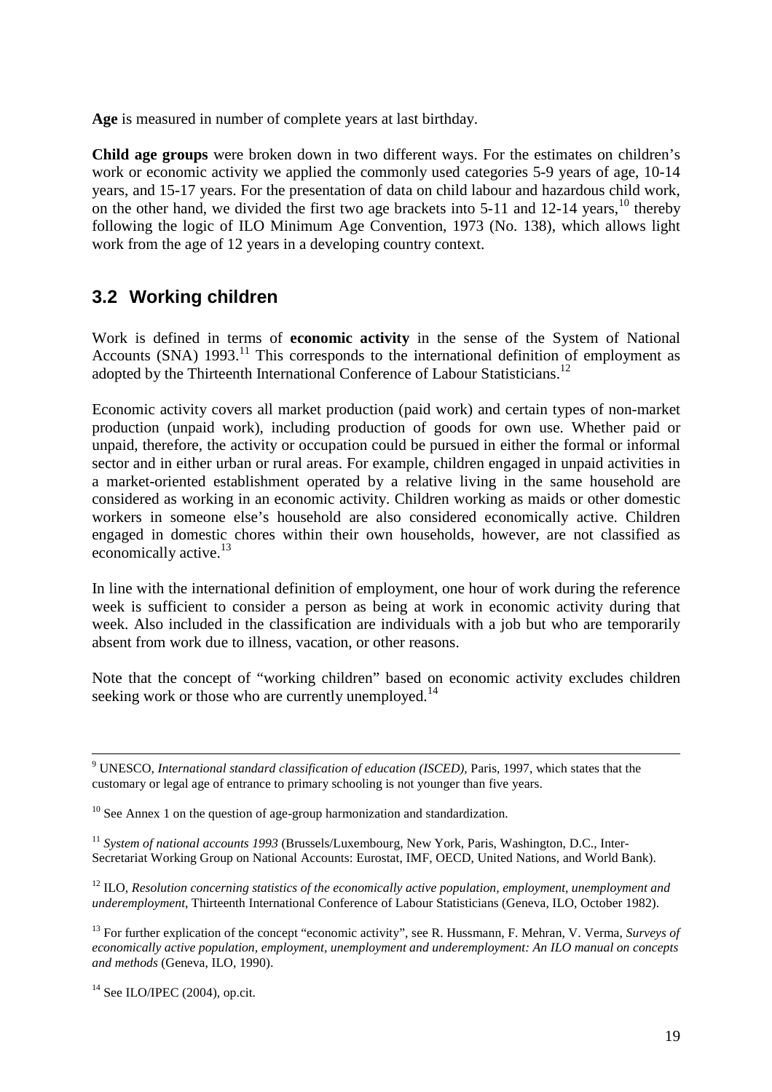**Age** is measured in number of complete years at last birthday.

**Child age groups** were broken down in two different ways. For the estimates on children's work or economic activity we applied the commonly used categories 5-9 years of age, 10-14 years, and 15-17 years. For the presentation of data on child labour and hazardous child work, on the other hand, we divided the first two age brackets into  $5-11$  and  $12-14$  years,  $10$  thereby following the logic of ILO Minimum Age Convention, 1973 (No. 138), which allows light work from the age of 12 years in a developing country context.

## **3.2 Working children**

Work is defined in terms of **economic activity** in the sense of the System of National Accounts (SNA)  $1993$ <sup>11</sup>. This corresponds to the international definition of employment as adopted by the Thirteenth International Conference of Labour Statisticians.<sup>12</sup>

Economic activity covers all market production (paid work) and certain types of non-market production (unpaid work), including production of goods for own use. Whether paid or unpaid, therefore, the activity or occupation could be pursued in either the formal or informal sector and in either urban or rural areas. For example, children engaged in unpaid activities in a market-oriented establishment operated by a relative living in the same household are considered as working in an economic activity. Children working as maids or other domestic workers in someone else's household are also considered economically active. Children engaged in domestic chores within their own households, however, are not classified as economically active.<sup>13</sup>

In line with the international definition of employment, one hour of work during the reference week is sufficient to consider a person as being at work in economic activity during that week. Also included in the classification are individuals with a job but who are temporarily absent from work due to illness, vacation, or other reasons.

Note that the concept of "working children" based on economic activity excludes children seeking work or those who are currently unemployed.<sup>14</sup>

 $\overline{a}$ 

<sup>&</sup>lt;sup>9</sup> UNESCO, *International standard classification of education (ISCED)*, Paris, 1997, which states that the customary or legal age of entrance to primary schooling is not younger than five years.

 $10$  See Annex 1 on the question of age-group harmonization and standardization.

<sup>&</sup>lt;sup>11</sup> System of national accounts 1993 (Brussels/Luxembourg, New York, Paris, Washington, D.C., Inter-Secretariat Working Group on National Accounts: Eurostat, IMF, OECD, United Nations, and World Bank).

<sup>12</sup> ILO, *Resolution concerning statistics of the economically active population, employment, unemployment and underemployment*, Thirteenth International Conference of Labour Statisticians (Geneva, ILO, October 1982).

<sup>13</sup> For further explication of the concept "economic activity", see R. Hussmann, F. Mehran, V. Verma, *Surveys of economically active population, employment, unemployment and underemployment: An ILO manual on concepts and methods* (Geneva, ILO, 1990).

 $14$  See ILO/IPEC (2004), op.cit.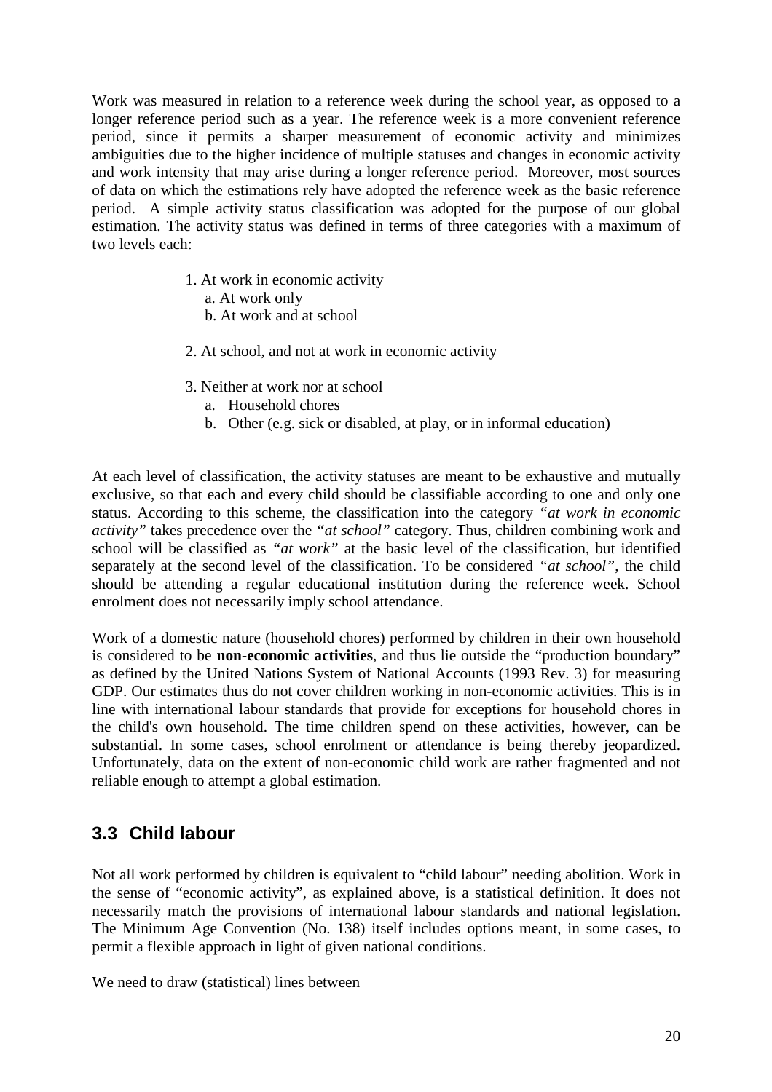Work was measured in relation to a reference week during the school year, as opposed to a longer reference period such as a year. The reference week is a more convenient reference period, since it permits a sharper measurement of economic activity and minimizes ambiguities due to the higher incidence of multiple statuses and changes in economic activity and work intensity that may arise during a longer reference period. Moreover, most sources of data on which the estimations rely have adopted the reference week as the basic reference period. A simple activity status classification was adopted for the purpose of our global estimation. The activity status was defined in terms of three categories with a maximum of two levels each:

- 1. At work in economic activity
	- a. At work only
	- b. At work and at school
- 2. At school, and not at work in economic activity
- 3. Neither at work nor at school
	- a. Household chores
	- b. Other (e.g. sick or disabled, at play, or in informal education)

At each level of classification, the activity statuses are meant to be exhaustive and mutually exclusive, so that each and every child should be classifiable according to one and only one status. According to this scheme, the classification into the category *"at work in economic activity"* takes precedence over the *"at school"* category. Thus, children combining work and school will be classified as *"at work"* at the basic level of the classification, but identified separately at the second level of the classification. To be considered *"at school"*, the child should be attending a regular educational institution during the reference week. School enrolment does not necessarily imply school attendance.

Work of a domestic nature (household chores) performed by children in their own household is considered to be **non-economic activities**, and thus lie outside the "production boundary" as defined by the United Nations System of National Accounts (1993 Rev. 3) for measuring GDP. Our estimates thus do not cover children working in non-economic activities. This is in line with international labour standards that provide for exceptions for household chores in the child's own household. The time children spend on these activities, however, can be substantial. In some cases, school enrolment or attendance is being thereby jeopardized. Unfortunately, data on the extent of non-economic child work are rather fragmented and not reliable enough to attempt a global estimation.

## **3.3 Child labour**

Not all work performed by children is equivalent to "child labour" needing abolition. Work in the sense of "economic activity", as explained above, is a statistical definition. It does not necessarily match the provisions of international labour standards and national legislation. The Minimum Age Convention (No. 138) itself includes options meant, in some cases, to permit a flexible approach in light of given national conditions.

We need to draw (statistical) lines between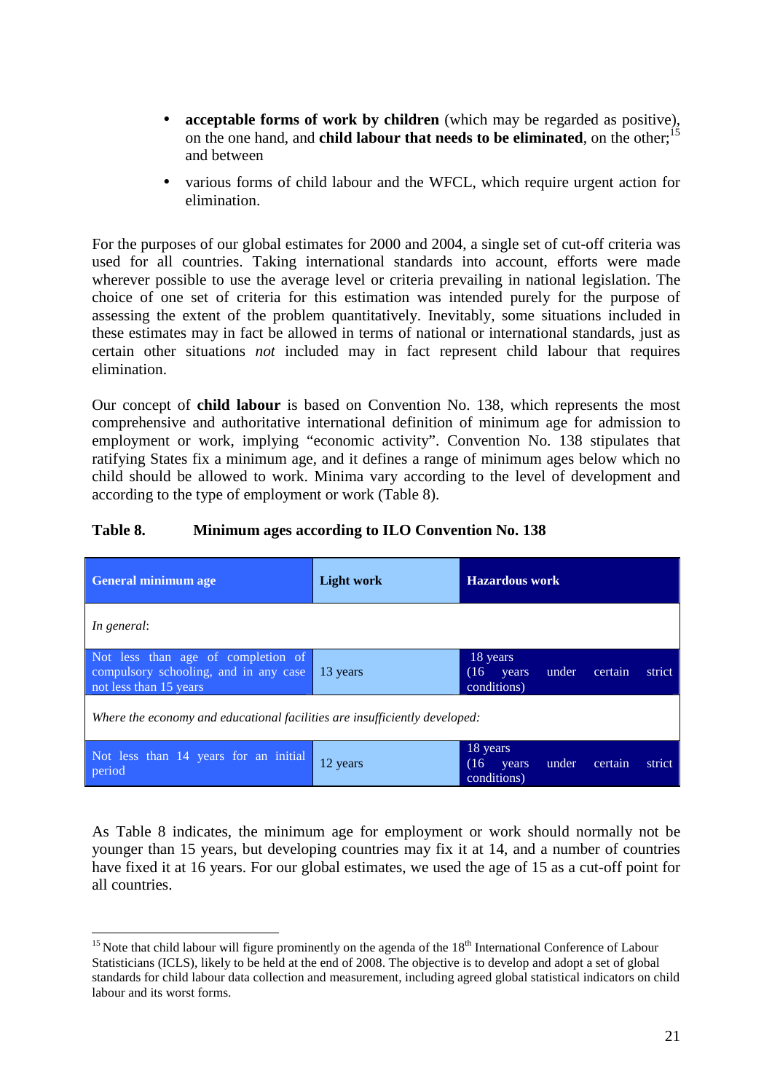- **acceptable forms of work by children** (which may be regarded as positive), on the one hand, and **child labour that needs to be eliminated**, on the other;<sup>15</sup> and between
- various forms of child labour and the WFCL, which require urgent action for elimination.

For the purposes of our global estimates for 2000 and 2004, a single set of cut-off criteria was used for all countries. Taking international standards into account, efforts were made wherever possible to use the average level or criteria prevailing in national legislation. The choice of one set of criteria for this estimation was intended purely for the purpose of assessing the extent of the problem quantitatively. Inevitably, some situations included in these estimates may in fact be allowed in terms of national or international standards, just as certain other situations *not* included may in fact represent child labour that requires elimination.

Our concept of **child labour** is based on Convention No. 138, which represents the most comprehensive and authoritative international definition of minimum age for admission to employment or work, implying "economic activity". Convention No. 138 stipulates that ratifying States fix a minimum age, and it defines a range of minimum ages below which no child should be allowed to work. Minima vary according to the level of development and according to the type of employment or work (Table 8).

#### **Table 8. Minimum ages according to ILO Convention No. 138**

| General minimum age                                                                                   | <b>Light work</b> | <b>Hazardous</b> work                                                               |  |  |  |  |  |
|-------------------------------------------------------------------------------------------------------|-------------------|-------------------------------------------------------------------------------------|--|--|--|--|--|
| In general:                                                                                           |                   |                                                                                     |  |  |  |  |  |
| Not less than age of completion of<br>compulsory schooling, and in any case<br>not less than 15 years | 13 years          | 18 years<br>under<br>certain<br>strict<br>$\left(16\right)$<br>years<br>conditions) |  |  |  |  |  |
| Where the economy and educational facilities are insufficiently developed:                            |                   |                                                                                     |  |  |  |  |  |
| Not less than 14 years for an initial<br>period                                                       | 12 years          | 18 years<br>under<br>certain<br>strict<br>(16)<br>years<br>conditions)              |  |  |  |  |  |

As Table 8 indicates, the minimum age for employment or work should normally not be younger than 15 years, but developing countries may fix it at 14, and a number of countries have fixed it at 16 years. For our global estimates, we used the age of 15 as a cut-off point for all countries.

 $\overline{a}$ 

<sup>&</sup>lt;sup>15</sup> Note that child labour will figure prominently on the agenda of the  $18<sup>th</sup>$  International Conference of Labour Statisticians (ICLS), likely to be held at the end of 2008. The objective is to develop and adopt a set of global standards for child labour data collection and measurement, including agreed global statistical indicators on child labour and its worst forms.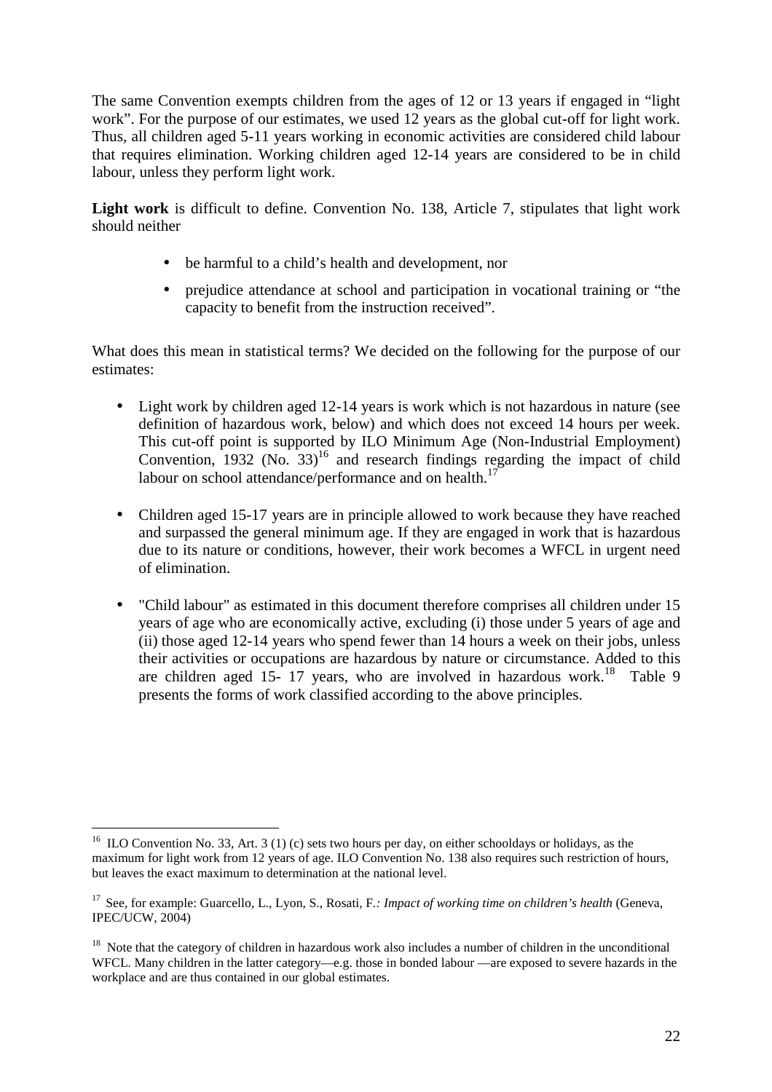The same Convention exempts children from the ages of 12 or 13 years if engaged in "light work". For the purpose of our estimates, we used 12 years as the global cut-off for light work. Thus, all children aged 5-11 years working in economic activities are considered child labour that requires elimination. Working children aged 12-14 years are considered to be in child labour, unless they perform light work.

Light work is difficult to define. Convention No. 138, Article 7, stipulates that light work should neither

- be harmful to a child's health and development, nor
- prejudice attendance at school and participation in vocational training or "the capacity to benefit from the instruction received".

What does this mean in statistical terms? We decided on the following for the purpose of our estimates:

- Light work by children aged 12-14 years is work which is not hazardous in nature (see definition of hazardous work, below) and which does not exceed 14 hours per week. This cut-off point is supported by ILO Minimum Age (Non-Industrial Employment) Convention,  $1932$  (No. 33)<sup>16</sup> and research findings regarding the impact of child labour on school attendance/performance and on health.<sup>17</sup>
- Children aged 15-17 years are in principle allowed to work because they have reached and surpassed the general minimum age. If they are engaged in work that is hazardous due to its nature or conditions, however, their work becomes a WFCL in urgent need of elimination.
- "Child labour" as estimated in this document therefore comprises all children under 15 years of age who are economically active, excluding (i) those under 5 years of age and (ii) those aged 12-14 years who spend fewer than 14 hours a week on their jobs, unless their activities or occupations are hazardous by nature or circumstance. Added to this are children aged 15- 17 years, who are involved in hazardous work.<sup>18</sup> Table 9 presents the forms of work classified according to the above principles.

 $\overline{a}$ <sup>16</sup> ILO Convention No. 33, Art. 3 (1) (c) sets two hours per day, on either schooldays or holidays, as the maximum for light work from 12 years of age. ILO Convention No. 138 also requires such restriction of hours, but leaves the exact maximum to determination at the national level.

<sup>&</sup>lt;sup>17</sup> See, for example: Guarcello, L., Lyon, S., Rosati, F.: *Impact of working time on children's health* (Geneva, IPEC/UCW, 2004)

<sup>&</sup>lt;sup>18</sup> Note that the category of children in hazardous work also includes a number of children in the unconditional WFCL. Many children in the latter category—e.g. those in bonded labour —are exposed to severe hazards in the workplace and are thus contained in our global estimates.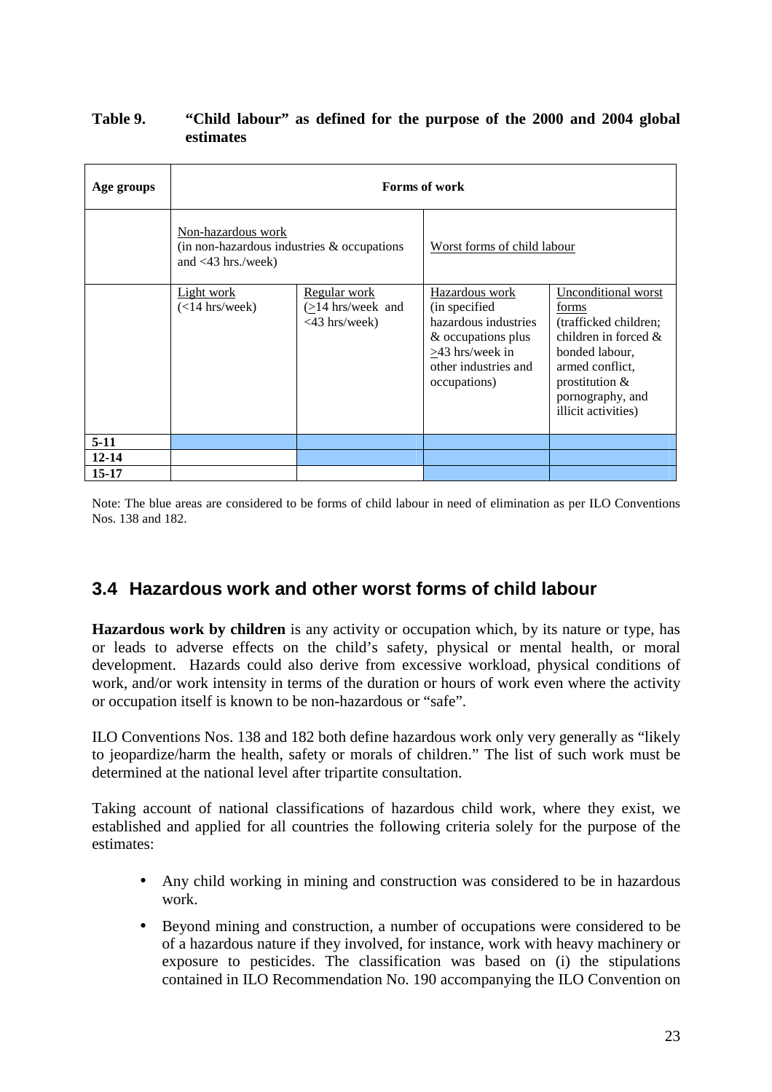#### **Table 9. "Child labour" as defined for the purpose of the 2000 and 2004 global estimates**

| Age groups | <b>Forms of work</b>                                                                        |                                                         |                                                                                                                                           |                                                                                                                                                                                              |  |  |
|------------|---------------------------------------------------------------------------------------------|---------------------------------------------------------|-------------------------------------------------------------------------------------------------------------------------------------------|----------------------------------------------------------------------------------------------------------------------------------------------------------------------------------------------|--|--|
|            | Non-hazardous work<br>(in non-hazardous industries $&$ occupations<br>and $<$ 43 hrs./week) |                                                         | Worst forms of child labour                                                                                                               |                                                                                                                                                                                              |  |  |
|            | Light work<br>$(<$ 14 hrs/week)                                                             | Regular work<br>$($ >14 hrs/week and<br>$<43$ hrs/week) | Hazardous work<br>(in specified)<br>hazardous industries<br>& occupations plus<br>>43 hrs/week in<br>other industries and<br>occupations) | Unconditional worst<br><u>forms</u><br>(trafficked children;<br>children in forced $\&$<br>bonded labour,<br>armed conflict.<br>prostitution $\&$<br>pornography, and<br>illicit activities) |  |  |
| $5-11$     |                                                                                             |                                                         |                                                                                                                                           |                                                                                                                                                                                              |  |  |
| $12 - 14$  |                                                                                             |                                                         |                                                                                                                                           |                                                                                                                                                                                              |  |  |
| $15 - 17$  |                                                                                             |                                                         |                                                                                                                                           |                                                                                                                                                                                              |  |  |

Note: The blue areas are considered to be forms of child labour in need of elimination as per ILO Conventions Nos. 138 and 182.

## **3.4 Hazardous work and other worst forms of child labour**

**Hazardous work by children** is any activity or occupation which, by its nature or type, has or leads to adverse effects on the child's safety, physical or mental health, or moral development. Hazards could also derive from excessive workload, physical conditions of work, and/or work intensity in terms of the duration or hours of work even where the activity or occupation itself is known to be non-hazardous or "safe".

ILO Conventions Nos. 138 and 182 both define hazardous work only very generally as "likely to jeopardize/harm the health, safety or morals of children." The list of such work must be determined at the national level after tripartite consultation.

Taking account of national classifications of hazardous child work, where they exist, we established and applied for all countries the following criteria solely for the purpose of the estimates:

- Any child working in mining and construction was considered to be in hazardous work.
- Beyond mining and construction, a number of occupations were considered to be of a hazardous nature if they involved, for instance, work with heavy machinery or exposure to pesticides. The classification was based on (i) the stipulations contained in ILO Recommendation No. 190 accompanying the ILO Convention on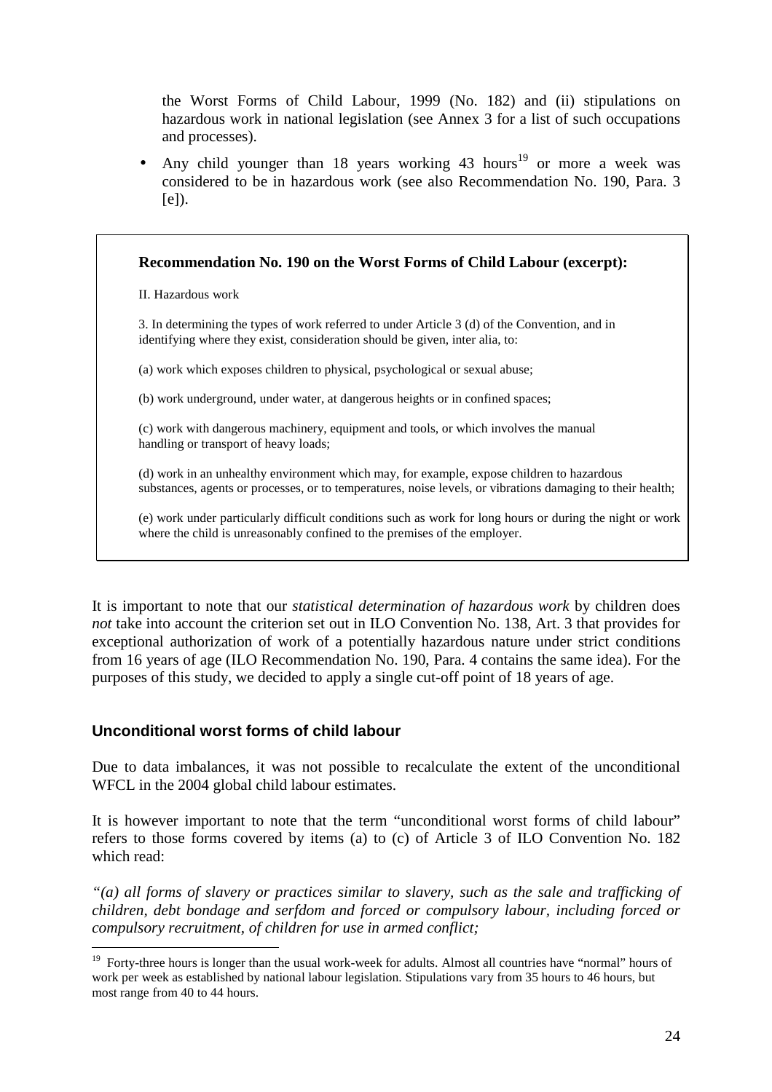the Worst Forms of Child Labour, 1999 (No. 182) and (ii) stipulations on hazardous work in national legislation (see Annex 3 for a list of such occupations and processes).

• Any child younger than 18 years working 43 hours<sup>19</sup> or more a week was considered to be in hazardous work (see also Recommendation No. 190, Para. 3  $[e]$ ).



It is important to note that our *statistical determination of hazardous work* by children does *not* take into account the criterion set out in ILO Convention No. 138, Art. 3 that provides for exceptional authorization of work of a potentially hazardous nature under strict conditions from 16 years of age (ILO Recommendation No. 190, Para. 4 contains the same idea). For the purposes of this study, we decided to apply a single cut-off point of 18 years of age.

### **Unconditional worst forms of child labour**

 $\overline{a}$ 

Due to data imbalances, it was not possible to recalculate the extent of the unconditional WFCL in the 2004 global child labour estimates.

It is however important to note that the term "unconditional worst forms of child labour" refers to those forms covered by items (a) to (c) of Article 3 of ILO Convention No. 182 which read:

*"(a) all forms of slavery or practices similar to slavery, such as the sale and trafficking of children, debt bondage and serfdom and forced or compulsory labour, including forced or compulsory recruitment, of children for use in armed conflict;* 

<sup>&</sup>lt;sup>19</sup> Forty-three hours is longer than the usual work-week for adults. Almost all countries have "normal" hours of work per week as established by national labour legislation. Stipulations vary from 35 hours to 46 hours, but most range from 40 to 44 hours.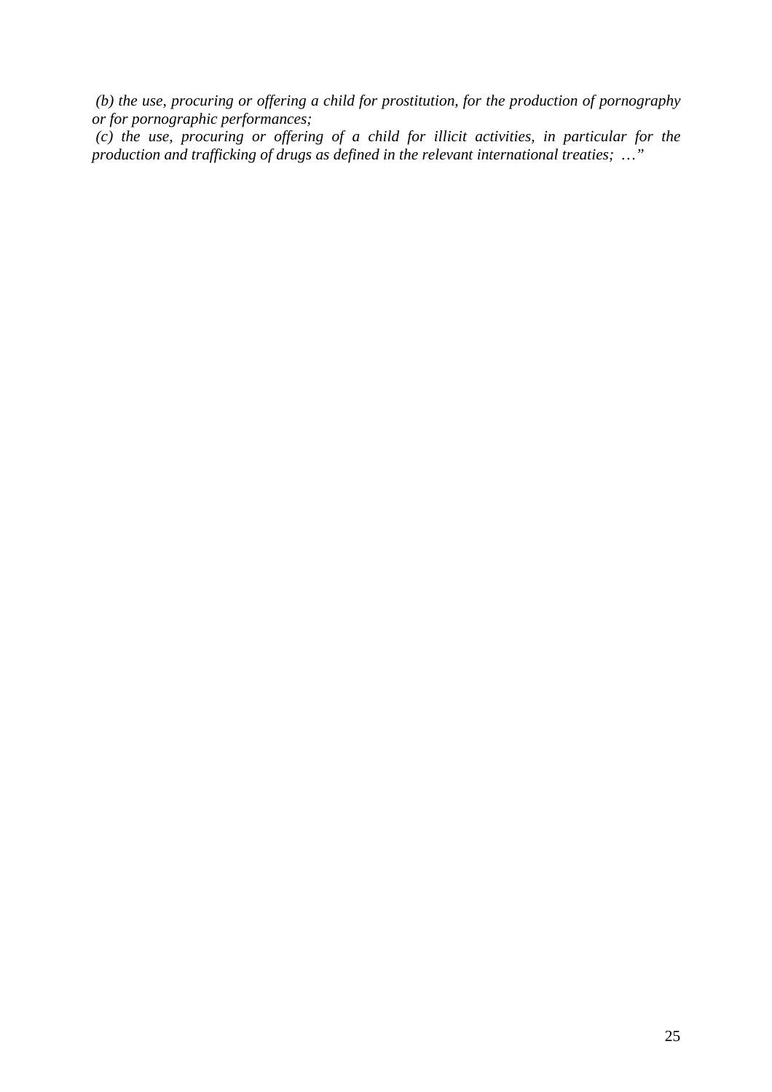*(b) the use, procuring or offering a child for prostitution, for the production of pornography or for pornographic performances;* 

 *(c) the use, procuring or offering of a child for illicit activities, in particular for the production and trafficking of drugs as defined in the relevant international treaties; …"*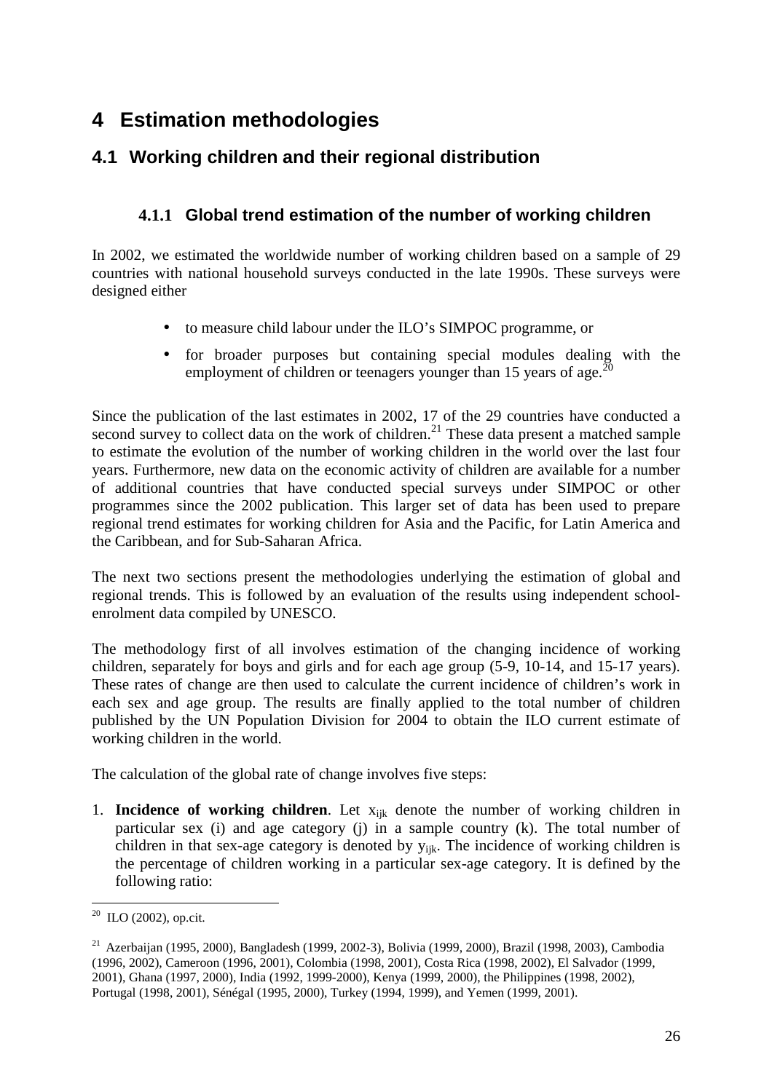## **4 Estimation methodologies**

## **4.1 Working children and their regional distribution**

## **4.1.1 Global trend estimation of the number of working children**

In 2002, we estimated the worldwide number of working children based on a sample of 29 countries with national household surveys conducted in the late 1990s. These surveys were designed either

- to measure child labour under the ILO's SIMPOC programme, or
- for broader purposes but containing special modules dealing with the employment of children or teenagers younger than 15 years of age.<sup>2</sup>

Since the publication of the last estimates in 2002, 17 of the 29 countries have conducted a second survey to collect data on the work of children.<sup>21</sup> These data present a matched sample to estimate the evolution of the number of working children in the world over the last four years. Furthermore, new data on the economic activity of children are available for a number of additional countries that have conducted special surveys under SIMPOC or other programmes since the 2002 publication. This larger set of data has been used to prepare regional trend estimates for working children for Asia and the Pacific, for Latin America and the Caribbean, and for Sub-Saharan Africa.

The next two sections present the methodologies underlying the estimation of global and regional trends. This is followed by an evaluation of the results using independent schoolenrolment data compiled by UNESCO.

The methodology first of all involves estimation of the changing incidence of working children, separately for boys and girls and for each age group (5-9, 10-14, and 15-17 years). These rates of change are then used to calculate the current incidence of children's work in each sex and age group. The results are finally applied to the total number of children published by the UN Population Division for 2004 to obtain the ILO current estimate of working children in the world.

The calculation of the global rate of change involves five steps:

1. **Incidence of working children**. Let  $x_{ijk}$  denote the number of working children in particular sex (i) and age category (j) in a sample country (k). The total number of children in that sex-age category is denoted by  $y_{ijk}$ . The incidence of working children is the percentage of children working in a particular sex-age category. It is defined by the following ratio:

 $\overline{a}$  $20$  ILO (2002), op.cit.

 $^{21}$  Azerbaijan (1995, 2000), Bangladesh (1999, 2002-3), Bolivia (1999, 2000), Brazil (1998, 2003), Cambodia (1996, 2002), Cameroon (1996, 2001), Colombia (1998, 2001), Costa Rica (1998, 2002), El Salvador (1999, 2001), Ghana (1997, 2000), India (1992, 1999-2000), Kenya (1999, 2000), the Philippines (1998, 2002), Portugal (1998, 2001), Sénégal (1995, 2000), Turkey (1994, 1999), and Yemen (1999, 2001).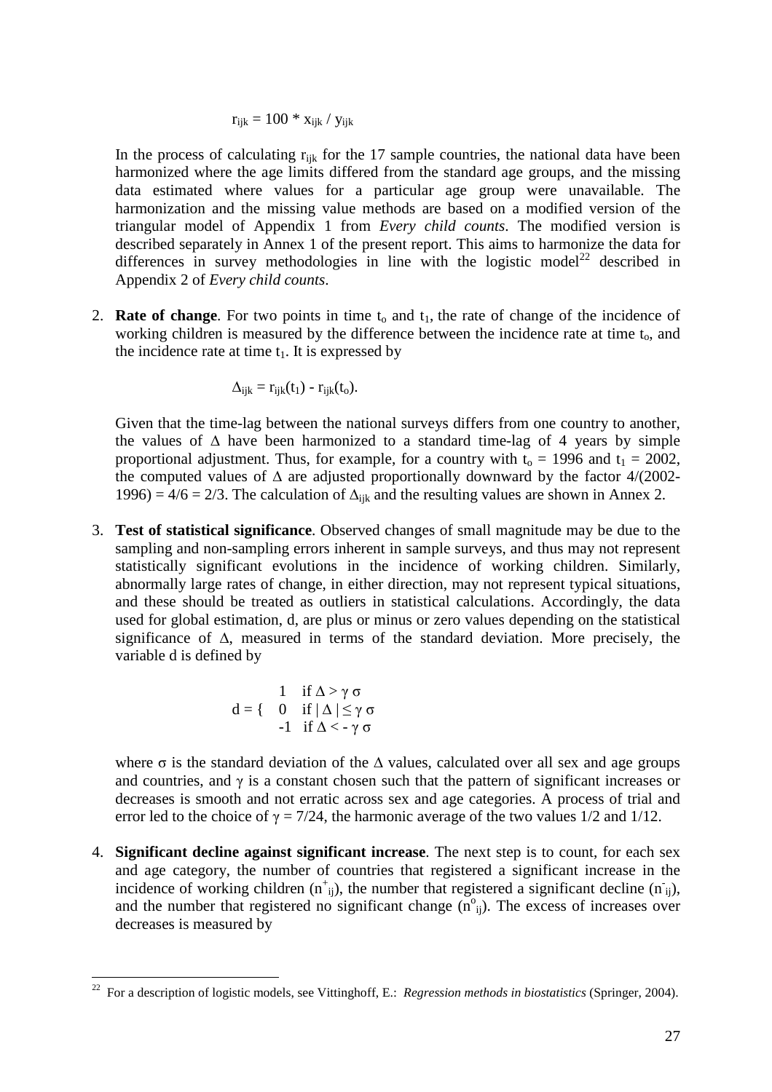$$
r_{ijk} = 100 * x_{ijk} / y_{ijk}
$$

In the process of calculating  $r_{ijk}$  for the 17 sample countries, the national data have been harmonized where the age limits differed from the standard age groups, and the missing data estimated where values for a particular age group were unavailable. The harmonization and the missing value methods are based on a modified version of the triangular model of Appendix 1 from *Every child counts*. The modified version is described separately in Annex 1 of the present report. This aims to harmonize the data for differences in survey methodologies in line with the logistic model<sup>22</sup> described in Appendix 2 of *Every child counts*.

2. **Rate of change**. For two points in time  $t_0$  and  $t_1$ , the rate of change of the incidence of working children is measured by the difference between the incidence rate at time  $t_0$ , and the incidence rate at time  $t_1$ . It is expressed by

$$
\Delta_{ijk} = r_{ijk}(t_1) - r_{ijk}(t_0).
$$

Given that the time-lag between the national surveys differs from one country to another, the values of  $\Delta$  have been harmonized to a standard time-lag of 4 years by simple proportional adjustment. Thus, for example, for a country with  $t_0 = 1996$  and  $t_1 = 2002$ , the computed values of ∆ are adjusted proportionally downward by the factor 4/(2002- 1996) = 4/6 = 2/3. The calculation of  $\Delta_{iik}$  and the resulting values are shown in Annex 2.

3. **Test of statistical significance**. Observed changes of small magnitude may be due to the sampling and non-sampling errors inherent in sample surveys, and thus may not represent statistically significant evolutions in the incidence of working children. Similarly, abnormally large rates of change, in either direction, may not represent typical situations, and these should be treated as outliers in statistical calculations. Accordingly, the data used for global estimation, d, are plus or minus or zero values depending on the statistical significance of ∆, measured in terms of the standard deviation. More precisely, the variable d is defined by

$$
d = \{ \begin{array}{cl} 1 & \text{if } \Delta > \gamma \sigma \\ 0 & \text{if } |\Delta| \leq \gamma \sigma \\ -1 & \text{if } \Delta < -\gamma \sigma \end{array}
$$

 $\overline{a}$ 

where  $\sigma$  is the standard deviation of the  $\Delta$  values, calculated over all sex and age groups and countries, and  $\gamma$  is a constant chosen such that the pattern of significant increases or decreases is smooth and not erratic across sex and age categories. A process of trial and error led to the choice of  $\gamma = 7/24$ , the harmonic average of the two values 1/2 and 1/12.

4. **Significant decline against significant increase**. The next step is to count, for each sex and age category, the number of countries that registered a significant increase in the incidence of working children  $(n^+_{ij})$ , the number that registered a significant decline  $(n^*_{ij})$ , and the number that registered no significant change  $(n<sup>o</sup><sub>ij</sub>)$ . The excess of increases over decreases is measured by

<sup>22</sup> For a description of logistic models, see Vittinghoff, E.: *Regression methods in biostatistics* (Springer, 2004).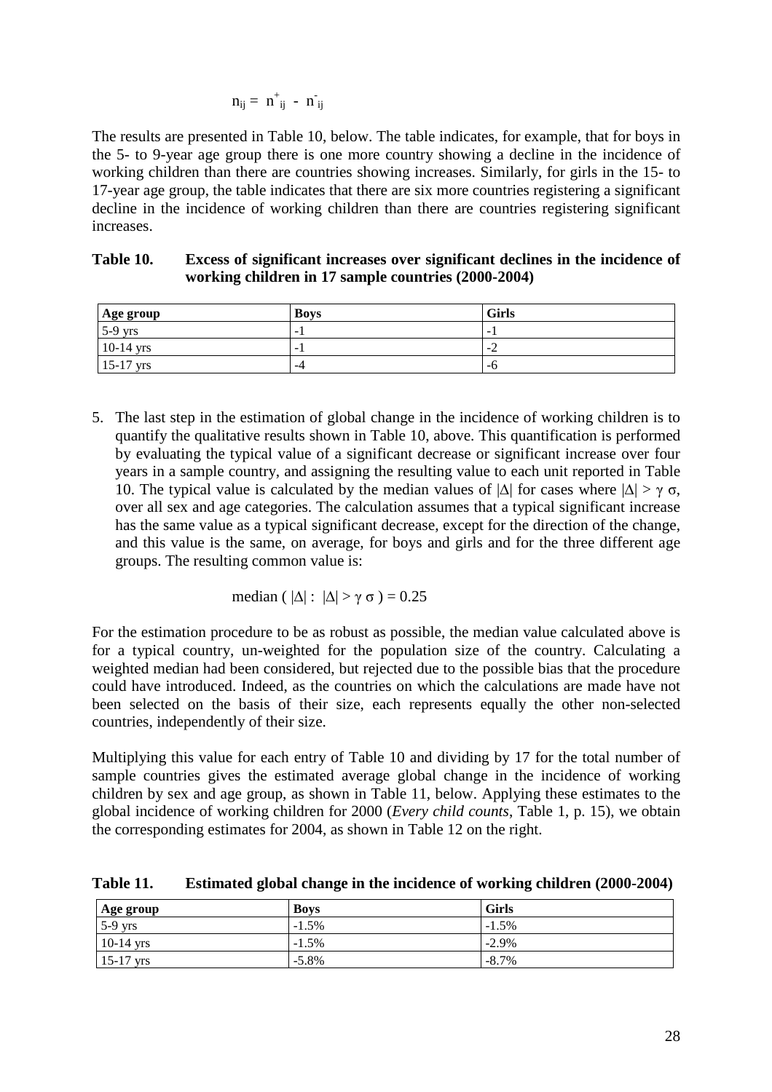$$
n_{ij}=\ n^+_{\ ij}\ -\ n^-_{ij}
$$

The results are presented in Table 10, below. The table indicates, for example, that for boys in the 5- to 9-year age group there is one more country showing a decline in the incidence of working children than there are countries showing increases. Similarly, for girls in the 15- to 17-year age group, the table indicates that there are six more countries registering a significant decline in the incidence of working children than there are countries registering significant increases.

#### **Table 10. Excess of significant increases over significant declines in the incidence of working children in 17 sample countries (2000-2004)**

| Age group   | <b>Boys</b> | <b>Girls</b>             |
|-------------|-------------|--------------------------|
| $5-9$ yrs   | $\sim$      | $\overline{\phantom{0}}$ |
| $10-14$ yrs | $\sim$      | - 4                      |
| $15-17$ yrs | -4          | -0                       |

5. The last step in the estimation of global change in the incidence of working children is to quantify the qualitative results shown in Table 10, above. This quantification is performed by evaluating the typical value of a significant decrease or significant increase over four years in a sample country, and assigning the resulting value to each unit reported in Table 10. The typical value is calculated by the median values of  $|\Delta|$  for cases where  $|\Delta| > \gamma \sigma$ , over all sex and age categories. The calculation assumes that a typical significant increase has the same value as a typical significant decrease, except for the direction of the change, and this value is the same, on average, for boys and girls and for the three different age groups. The resulting common value is:

median (
$$
|\Delta|
$$
 :  $|\Delta| > \gamma \sigma$ ) = 0.25

For the estimation procedure to be as robust as possible, the median value calculated above is for a typical country, un-weighted for the population size of the country. Calculating a weighted median had been considered, but rejected due to the possible bias that the procedure could have introduced. Indeed, as the countries on which the calculations are made have not been selected on the basis of their size, each represents equally the other non-selected countries, independently of their size.

Multiplying this value for each entry of Table 10 and dividing by 17 for the total number of sample countries gives the estimated average global change in the incidence of working children by sex and age group, as shown in Table 11, below. Applying these estimates to the global incidence of working children for 2000 (*Every child counts*, Table 1, p. 15), we obtain the corresponding estimates for 2004, as shown in Table 12 on the right.

| Table 11. | Estimated global change in the incidence of working children (2000-2004) |  |  |  |  |
|-----------|--------------------------------------------------------------------------|--|--|--|--|
|-----------|--------------------------------------------------------------------------|--|--|--|--|

| Age group   | <b>Boys</b> | <b>Girls</b> |
|-------------|-------------|--------------|
| $5-9$ yrs   | $-1.5%$     | $-1.5\%$     |
| $10-14$ yrs | $-1.5%$     | $-2.9\%$     |
| $15-17$ yrs | $-5.8\%$    | $-8.7\%$     |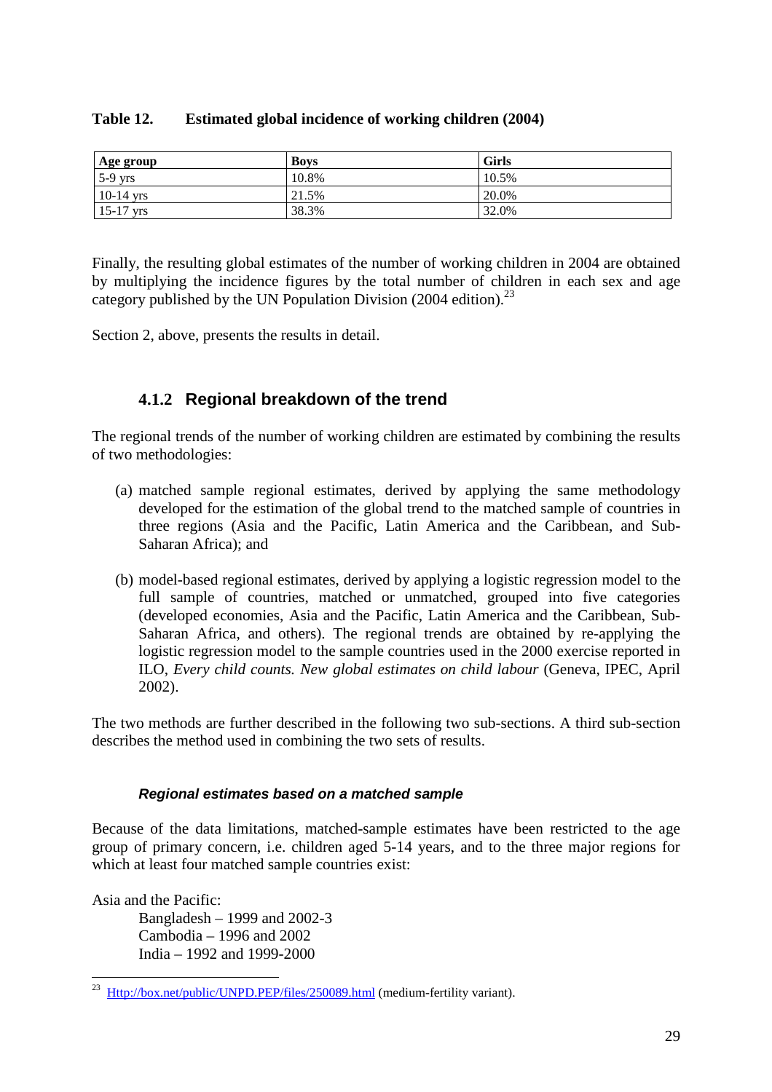| Table 12. |  | <b>Estimated global incidence of working children (2004)</b> |  |  |  |
|-----------|--|--------------------------------------------------------------|--|--|--|
|-----------|--|--------------------------------------------------------------|--|--|--|

| Age group   | <b>Boys</b> | <b>Girls</b> |
|-------------|-------------|--------------|
| $5-9$ yrs   | 10.8%       | 10.5%        |
| $10-14$ yrs | 21.5%       | 20.0%        |
| $15-17$ yrs | 38.3%       | 32.0%        |

Finally, the resulting global estimates of the number of working children in 2004 are obtained by multiplying the incidence figures by the total number of children in each sex and age category published by the UN Population Division (2004 edition).<sup>23</sup>

Section 2, above, presents the results in detail.

## **4.1.2 Regional breakdown of the trend**

The regional trends of the number of working children are estimated by combining the results of two methodologies:

- (a) matched sample regional estimates, derived by applying the same methodology developed for the estimation of the global trend to the matched sample of countries in three regions (Asia and the Pacific, Latin America and the Caribbean, and Sub-Saharan Africa); and
- (b) model-based regional estimates, derived by applying a logistic regression model to the full sample of countries, matched or unmatched, grouped into five categories (developed economies, Asia and the Pacific, Latin America and the Caribbean, Sub-Saharan Africa, and others). The regional trends are obtained by re-applying the logistic regression model to the sample countries used in the 2000 exercise reported in ILO, *Every child counts. New global estimates on child labour* (Geneva, IPEC, April 2002).

The two methods are further described in the following two sub-sections. A third sub-section describes the method used in combining the two sets of results.

### **Regional estimates based on a matched sample**

Because of the data limitations, matched-sample estimates have been restricted to the age group of primary concern, i.e. children aged 5-14 years, and to the three major regions for which at least four matched sample countries exist:

Asia and the Pacific:

 Bangladesh – 1999 and 2002-3 Cambodia – 1996 and 2002 India – 1992 and 1999-2000

<sup>&</sup>lt;sup>23</sup> Http://box.net/public/UNPD.PEP/files/250089.html (medium-fertility variant).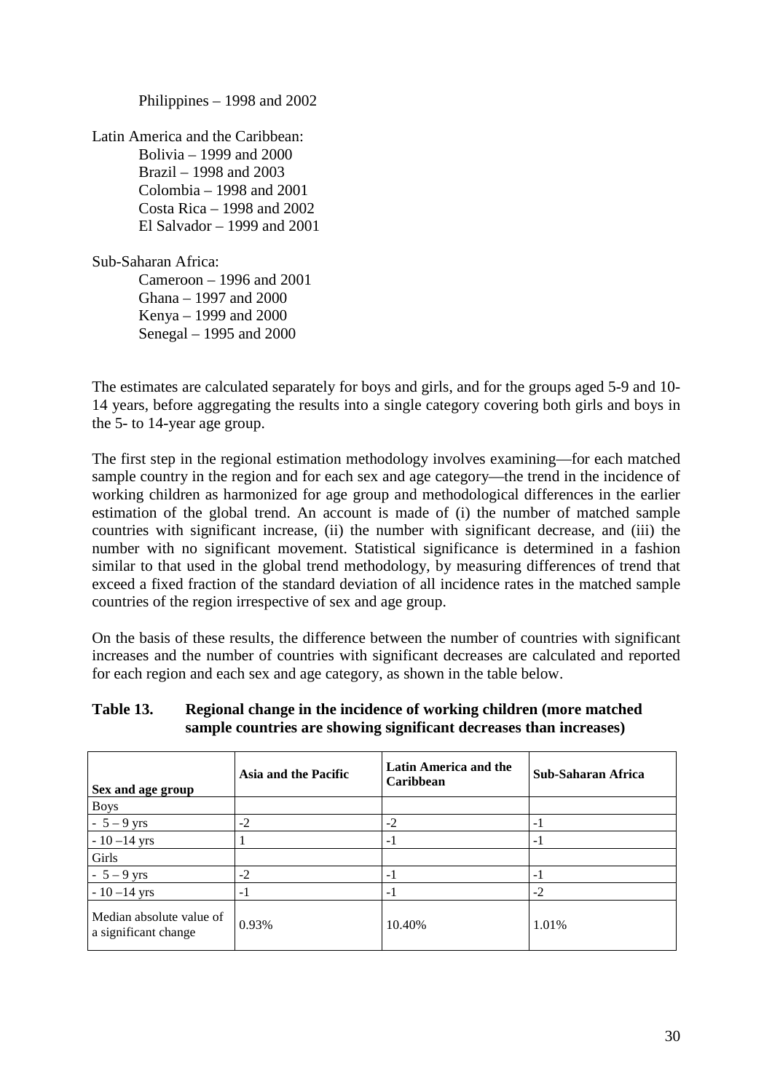Philippines – 1998 and 2002

Latin America and the Caribbean: Bolivia – 1999 and 2000 Brazil – 1998 and 2003 Colombia – 1998 and 2001 Costa Rica – 1998 and 2002 El Salvador – 1999 and 2001

Sub-Saharan Africa:

 Cameroon – 1996 and 2001 Ghana – 1997 and 2000 Kenya – 1999 and 2000 Senegal – 1995 and 2000

The estimates are calculated separately for boys and girls, and for the groups aged 5-9 and 10- 14 years, before aggregating the results into a single category covering both girls and boys in the 5- to 14-year age group.

The first step in the regional estimation methodology involves examining—for each matched sample country in the region and for each sex and age category—the trend in the incidence of working children as harmonized for age group and methodological differences in the earlier estimation of the global trend. An account is made of (i) the number of matched sample countries with significant increase, (ii) the number with significant decrease, and (iii) the number with no significant movement. Statistical significance is determined in a fashion similar to that used in the global trend methodology, by measuring differences of trend that exceed a fixed fraction of the standard deviation of all incidence rates in the matched sample countries of the region irrespective of sex and age group.

On the basis of these results, the difference between the number of countries with significant increases and the number of countries with significant decreases are calculated and reported for each region and each sex and age category, as shown in the table below.

#### **Table 13. Regional change in the incidence of working children (more matched sample countries are showing significant decreases than increases)**

| Sex and age group                                | Asia and the Pacific | Latin America and the<br>Caribbean | <b>Sub-Saharan Africa</b> |
|--------------------------------------------------|----------------------|------------------------------------|---------------------------|
| <b>Boys</b>                                      |                      |                                    |                           |
| $-5 - 9$ yrs                                     | $-2$                 | $-2$                               | -1                        |
| $-10 - 14$ yrs                                   |                      | $-1$                               | - 1                       |
| Girls                                            |                      |                                    |                           |
| $-5 - 9$ yrs                                     | $-2$                 | $-1$                               | -1                        |
| $-10 - 14$ yrs                                   | $-1$                 | $-1$                               | $-2$                      |
| Median absolute value of<br>a significant change | 0.93%                | 10.40%                             | 1.01%                     |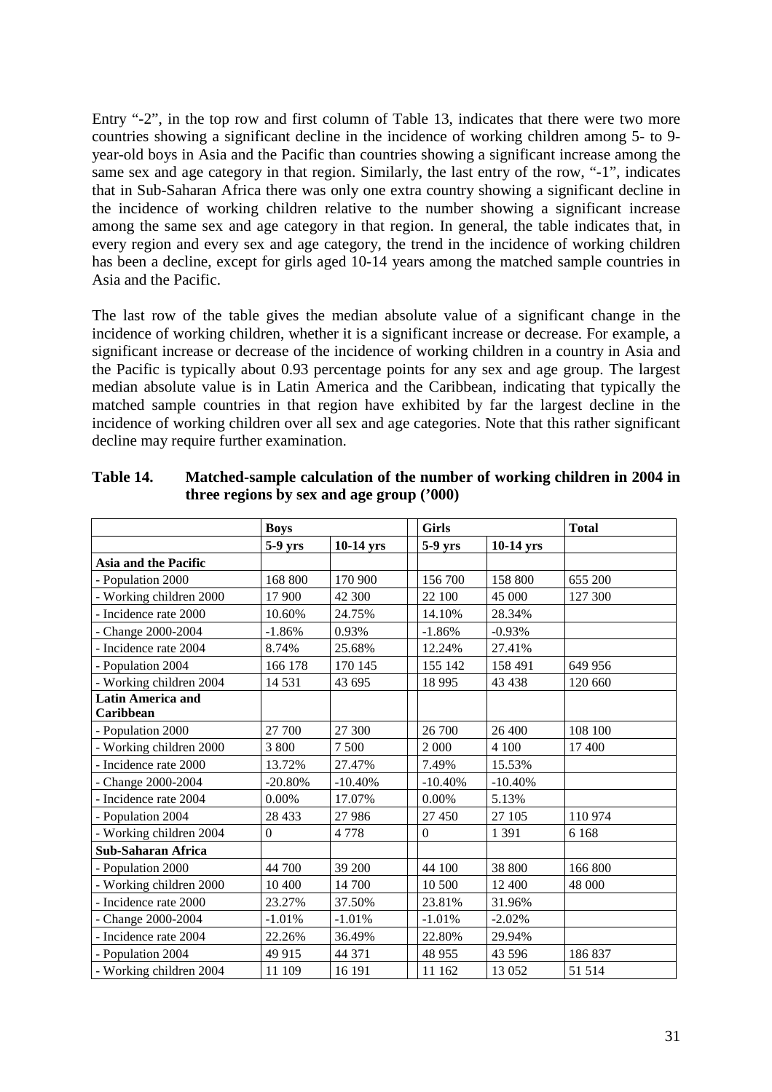Entry "-2", in the top row and first column of Table 13, indicates that there were two more countries showing a significant decline in the incidence of working children among 5- to 9 year-old boys in Asia and the Pacific than countries showing a significant increase among the same sex and age category in that region. Similarly, the last entry of the row, "-1", indicates that in Sub-Saharan Africa there was only one extra country showing a significant decline in the incidence of working children relative to the number showing a significant increase among the same sex and age category in that region. In general, the table indicates that, in every region and every sex and age category, the trend in the incidence of working children has been a decline, except for girls aged 10-14 years among the matched sample countries in Asia and the Pacific.

The last row of the table gives the median absolute value of a significant change in the incidence of working children, whether it is a significant increase or decrease. For example, a significant increase or decrease of the incidence of working children in a country in Asia and the Pacific is typically about 0.93 percentage points for any sex and age group. The largest median absolute value is in Latin America and the Caribbean, indicating that typically the matched sample countries in that region have exhibited by far the largest decline in the incidence of working children over all sex and age categories. Note that this rather significant decline may require further examination.

|                                       | <b>Boys</b>      |             | Girls |                  |             | <b>Total</b> |
|---------------------------------------|------------------|-------------|-------|------------------|-------------|--------------|
|                                       | 5-9 yrs          | $10-14$ yrs |       | 5-9 yrs          | $10-14$ yrs |              |
| Asia and the Pacific                  |                  |             |       |                  |             |              |
| - Population 2000                     | 168 800          | 170 900     |       | 156 700          | 158 800     | 655 200      |
| - Working children 2000               | 17 900           | 42 300      |       | 22 100           | 45 000      | 127 300      |
| - Incidence rate 2000                 | 10.60%           | 24.75%      |       | 14.10%           | 28.34%      |              |
| - Change 2000-2004                    | $-1.86%$         | 0.93%       |       | $-1.86%$         | $-0.93%$    |              |
| - Incidence rate 2004                 | 8.74%            | 25.68%      |       | 12.24%           | 27.41%      |              |
| - Population 2004                     | 166 178          | 170 145     |       | 155 142          | 158 491     | 649 956      |
| - Working children 2004               | 14 5 31          | 43 695      |       | 18 9 95          | 43 4 38     | 120 660      |
| <b>Latin America and</b><br>Caribbean |                  |             |       |                  |             |              |
| - Population 2000                     | 27 700           | 27 300      |       | 26 700           | 26 400      | 108 100      |
| - Working children 2000               | 3 800            | 7500        |       | 2 0 0 0          | 4 100       | 17 400       |
| - Incidence rate 2000                 | 13.72%           | 27.47%      |       | 7.49%            | 15.53%      |              |
| - Change 2000-2004                    | $-20.80%$        | $-10.40%$   |       | $-10.40%$        | $-10.40%$   |              |
| - Incidence rate 2004                 | 0.00%            | 17.07%      |       | 0.00%            | 5.13%       |              |
| - Population 2004                     | 28 4 33          | 27 986      |       | 27 450           | 27 105      | 110 974      |
| - Working children 2004               | $\boldsymbol{0}$ | 4778        |       | $\boldsymbol{0}$ | 1 3 9 1     | 6 1 6 8      |
| Sub-Saharan Africa                    |                  |             |       |                  |             |              |
| - Population 2000                     | 44 700           | 39 200      |       | 44 100           | 38 800      | 166 800      |
| - Working children 2000               | 10 400           | 14 700      |       | 10 500           | 12 400      | 48 000       |
| - Incidence rate 2000                 | 23.27%           | 37.50%      |       | 23.81%           | 31.96%      |              |
| - Change 2000-2004                    | $-1.01%$         | $-1.01%$    |       | $-1.01%$         | $-2.02%$    |              |
| - Incidence rate 2004                 | 22.26%           | 36.49%      |       | 22.80%           | 29.94%      |              |
| - Population 2004                     | 49 915           | 44 371      |       | 48 9 55          | 43 596      | 186 837      |
| - Working children 2004               | 11 109           | 16 191      |       | 11 162           | 13 052      | 51 514       |

**Table 14. Matched-sample calculation of the number of working children in 2004 in three regions by sex and age group ('000)**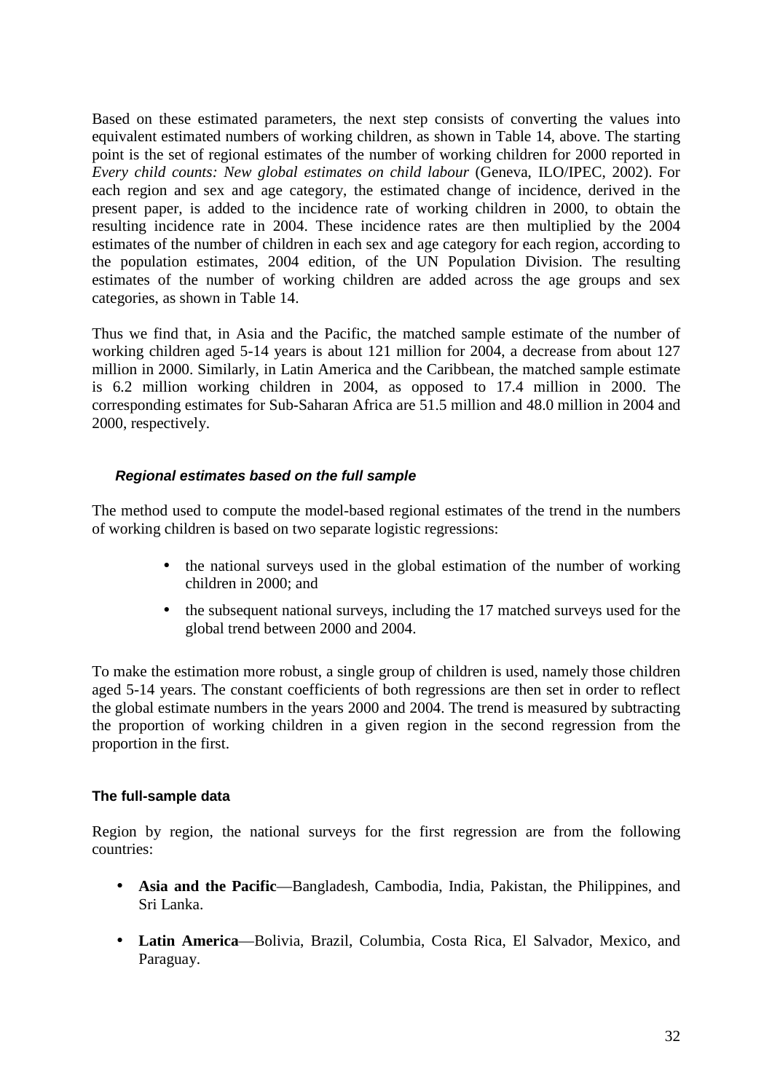Based on these estimated parameters, the next step consists of converting the values into equivalent estimated numbers of working children, as shown in Table 14, above. The starting point is the set of regional estimates of the number of working children for 2000 reported in *Every child counts: New global estimates on child labour* (Geneva, ILO/IPEC, 2002). For each region and sex and age category, the estimated change of incidence, derived in the present paper, is added to the incidence rate of working children in 2000, to obtain the resulting incidence rate in 2004. These incidence rates are then multiplied by the 2004 estimates of the number of children in each sex and age category for each region, according to the population estimates, 2004 edition, of the UN Population Division. The resulting estimates of the number of working children are added across the age groups and sex categories, as shown in Table 14.

Thus we find that, in Asia and the Pacific, the matched sample estimate of the number of working children aged 5-14 years is about 121 million for 2004, a decrease from about 127 million in 2000. Similarly, in Latin America and the Caribbean, the matched sample estimate is 6.2 million working children in 2004, as opposed to 17.4 million in 2000. The corresponding estimates for Sub-Saharan Africa are 51.5 million and 48.0 million in 2004 and 2000, respectively.

#### **Regional estimates based on the full sample**

The method used to compute the model-based regional estimates of the trend in the numbers of working children is based on two separate logistic regressions:

- the national surveys used in the global estimation of the number of working children in 2000; and
- the subsequent national surveys, including the 17 matched surveys used for the global trend between 2000 and 2004.

To make the estimation more robust, a single group of children is used, namely those children aged 5-14 years. The constant coefficients of both regressions are then set in order to reflect the global estimate numbers in the years 2000 and 2004. The trend is measured by subtracting the proportion of working children in a given region in the second regression from the proportion in the first.

#### **The full-sample data**

Region by region, the national surveys for the first regression are from the following countries:

- **Asia and the Pacific**—Bangladesh, Cambodia, India, Pakistan, the Philippines, and Sri Lanka.
- **Latin America**—Bolivia, Brazil, Columbia, Costa Rica, El Salvador, Mexico, and Paraguay.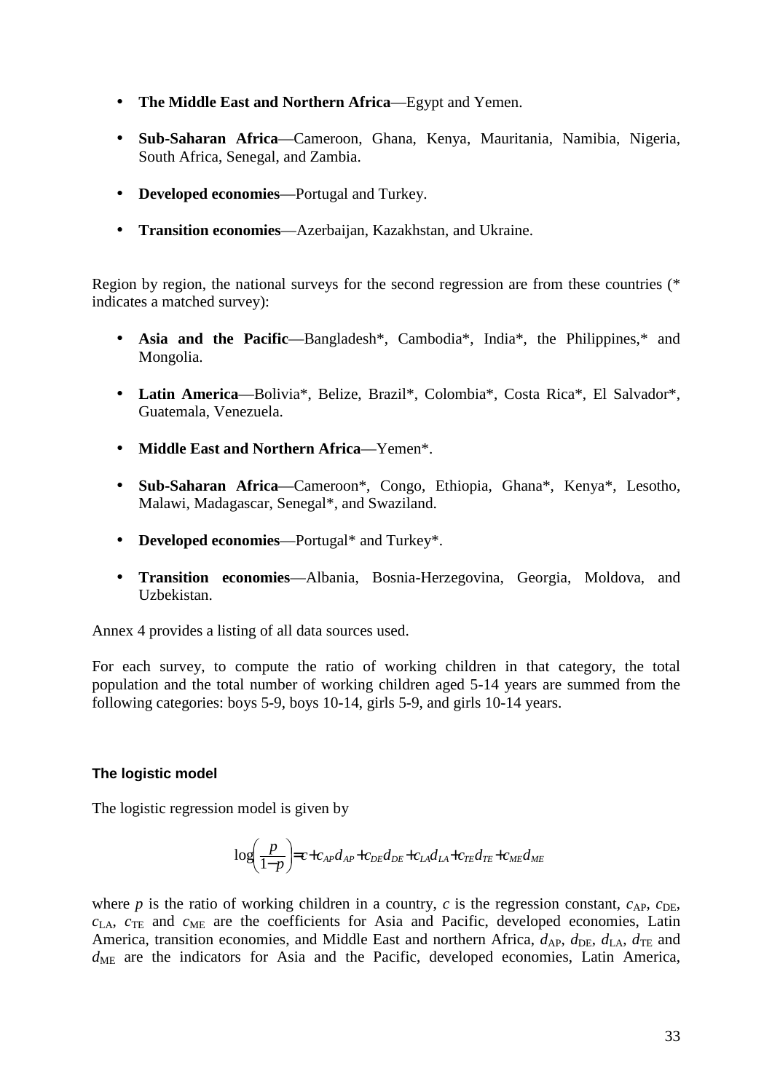- **The Middle East and Northern Africa**—Egypt and Yemen.
- **Sub-Saharan Africa**—Cameroon, Ghana, Kenya, Mauritania, Namibia, Nigeria, South Africa, Senegal, and Zambia.
- **Developed economies**—Portugal and Turkey.
- **Transition economies**—Azerbaijan, Kazakhstan, and Ukraine.

Region by region, the national surveys for the second regression are from these countries (\* indicates a matched survey):

- **Asia and the Pacific**—Bangladesh\*, Cambodia\*, India\*, the Philippines,\* and Mongolia.
- **Latin America**—Bolivia\*, Belize, Brazil\*, Colombia\*, Costa Rica\*, El Salvador\*, Guatemala, Venezuela.
- **Middle East and Northern Africa**—Yemen\*.
- **Sub-Saharan Africa**—Cameroon\*, Congo, Ethiopia, Ghana\*, Kenya\*, Lesotho, Malawi, Madagascar, Senegal\*, and Swaziland.
- **Developed economies**—Portugal\* and Turkey\*.
- **Transition economies**—Albania, Bosnia-Herzegovina, Georgia, Moldova, and Uzbekistan.

Annex 4 provides a listing of all data sources used.

For each survey, to compute the ratio of working children in that category, the total population and the total number of working children aged 5-14 years are summed from the following categories: boys 5-9, boys 10-14, girls 5-9, and girls 10-14 years.

#### **The logistic model**

The logistic regression model is given by

$$
\log\left(\frac{p}{1-p}\right) = c + c_{AP}d_{AP} + c_{DE}d_{DE} + c_{LA}d_{LA} + c_{TE}d_{TE} + c_{ME}d_{ME}
$$

where  $p$  is the ratio of working children in a country,  $c$  is the regression constant,  $c_{AP}$ ,  $c_{DE}$ , *c*LA, *c*TE and *c*ME are the coefficients for Asia and Pacific, developed economies, Latin America, transition economies, and Middle East and northern Africa,  $d_{AP}$ ,  $d_{DE}$ ,  $d_{LA}$ ,  $d_{TE}$  and  $d_{\text{ME}}$  are the indicators for Asia and the Pacific, developed economies, Latin America,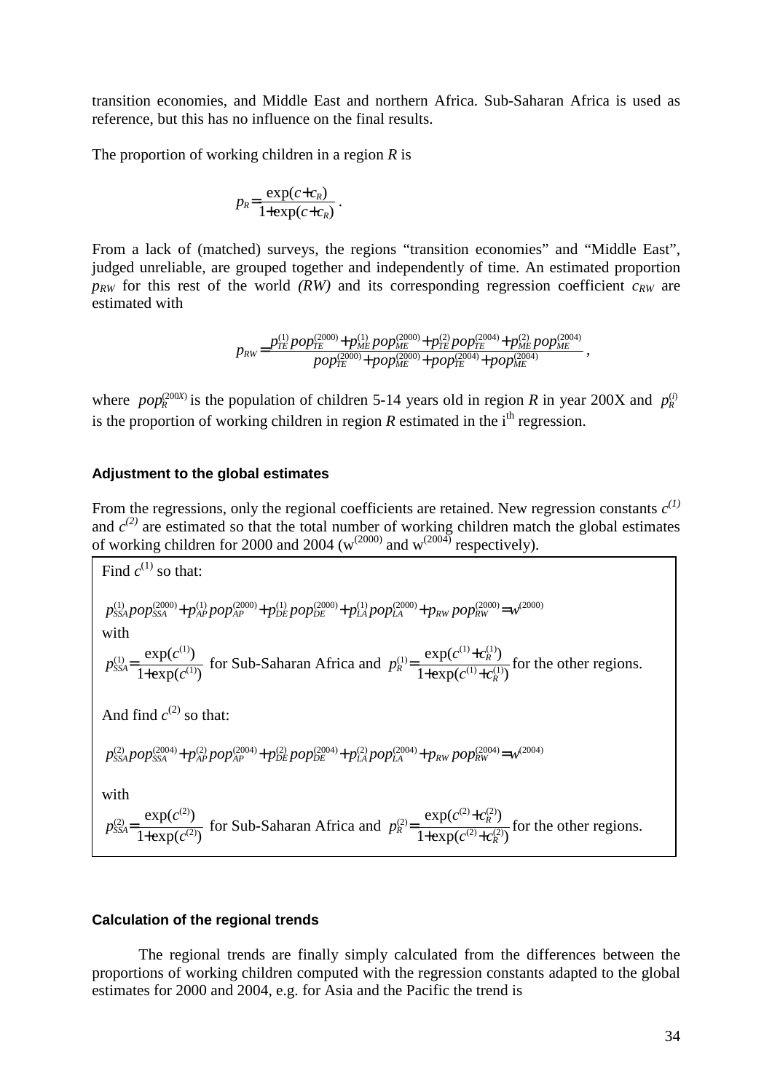transition economies, and Middle East and northern Africa. Sub-Saharan Africa is used as reference, but this has no influence on the final results.

The proportion of working children in a region *R* is

$$
p_R = \frac{\exp(c + c_R)}{1 + \exp(c + c_R)}.
$$

From a lack of (matched) surveys, the regions "transition economies" and "Middle East", judged unreliable, are grouped together and independently of time. An estimated proportion  $p_{RW}$  for this rest of the world *(RW)* and its corresponding regression coefficient  $c_{RW}$  are estimated with

$$
p_{RW}\texttt{=} \textcolor{red}{\frac{p_{TE}^{(1)}pop_{TE}^{(2000)}+p_{ME}^{(1)}pop_{ME}^{(2000)}+p_{TE}^{(2)}pop_{TE}^{(2004)}+p_{ME}^{(2)}pop_{ME}^{(2004)}+p_{W}}{pop_{TE}^{(2000)}+pop_{ME}^{(200)}} \textcolor{red}{,}
$$

where  $pop_R^{(200X)}$  is the population of children 5-14 years old in region *R* in year 200X and  $p_R^{(i)}$ is the proportion of working children in region  $R$  estimated in the i<sup>th</sup> regression.

#### **Adjustment to the global estimates**

From the regressions, only the regional coefficients are retained. New regression constants  $c^{(1)}$ and  $c^{(2)}$  are estimated so that the total number of working children match the global estimates of working children for 2000 and 2004 ( $w^{(2000)}$  and  $w^{(2004)}$  respectively).

Find 
$$
c^{(1)}
$$
 so that:  
\n $p_{SSAP}^{(1)}op_{SSAP}^{(2000)} + p_{AP}^{(1)}op_{AP}^{(2000)} + p_{DE}^{(1)}op_{DE}^{(2000)} + p_{LA}^{(1)}op_{DA}^{(2000)} + p_{RW}op_{RW}^{(2000)} = w^{(2000)}$   
\nwith  
\n $p_{SSA}^{(1)} = \frac{\exp(c^{(1)})}{1 + \exp(c^{(1)})}$  for Sub-Saharan Africa and  $p_R^{(1)} = \frac{\exp(c^{(1)} + c_R^{(1)})}{1 + \exp(c^{(1)} + c_R^{(1)})}$  for the other regions.  
\nAnd find  $c^{(2)}$  so that:  
\n $p_{SSAP}^{(2)}op_{SSA}^{(2004)} + p_{AP}^{(2)}op_{AP}^{(2004)} + p_{DE}^{(2)}op_{DB}^{(2004)} + p_{LA}^{(2)}op_{LA}^{(2004)} + p_{RW}op_{RW}^{(2004)} = w^{(2004)}$   
\nwith  
\n $p_{SSA}^{(2)} = \frac{\exp(c^{(2)})}{1 + \exp(c^{(2)})}$  for Sub-Saharan Africa and  $p_R^{(2)} = \frac{\exp(c^{(2)} + c_R^{(2)})}{1 + \exp(c^{(2)} + c_R^{(2)})}$  for the other regions.

#### **Calculation of the regional trends**

 The regional trends are finally simply calculated from the differences between the proportions of working children computed with the regression constants adapted to the global estimates for 2000 and 2004, e.g. for Asia and the Pacific the trend is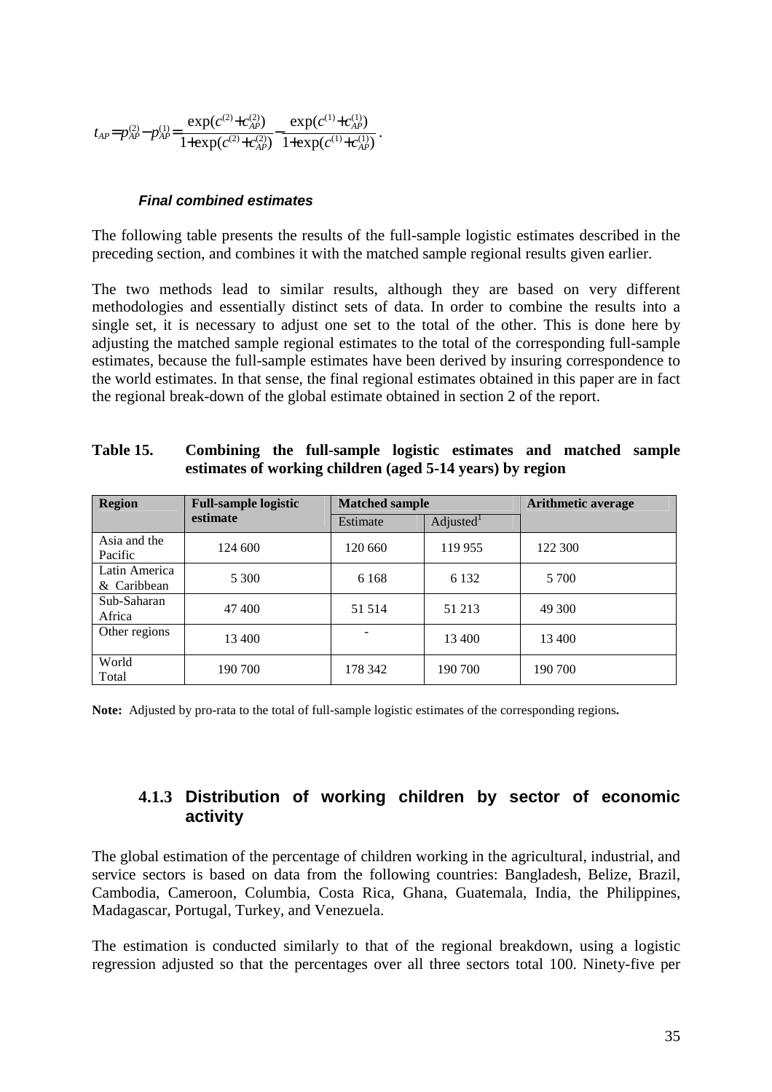$$
t_{AP} = p_{AP}^{(2)} - p_{AP}^{(1)} = \frac{\exp(c^{(2)} + c_{AP}^{(2)})}{1 + \exp(c^{(2)} + c_{AP}^{(2)})} - \frac{\exp(c^{(1)} + c_{AP}^{(1)})}{1 + \exp(c^{(1)} + c_{AP}^{(1)})}
$$

#### **Final combined estimates**

The following table presents the results of the full-sample logistic estimates described in the preceding section, and combines it with the matched sample regional results given earlier.

The two methods lead to similar results, although they are based on very different methodologies and essentially distinct sets of data. In order to combine the results into a single set, it is necessary to adjust one set to the total of the other. This is done here by adjusting the matched sample regional estimates to the total of the corresponding full-sample estimates, because the full-sample estimates have been derived by insuring correspondence to the world estimates. In that sense, the final regional estimates obtained in this paper are in fact the regional break-down of the global estimate obtained in section 2 of the report.

#### **Table 15. Combining the full-sample logistic estimates and matched sample estimates of working children (aged 5-14 years) by region**

| <b>Region</b>                | <b>Full-sample logistic</b> | <b>Matched sample</b> |                       | <b>Arithmetic average</b> |
|------------------------------|-----------------------------|-----------------------|-----------------------|---------------------------|
|                              | estimate                    | Estimate              | Adjusted <sup>1</sup> |                           |
| Asia and the<br>Pacific      | 124 600                     | 120 660               | 119 955               | 122 300                   |
| Latin America<br>& Caribbean | 5 3 0 0                     | 6 1 6 8               | 6 1 3 2               | 5 700                     |
| Sub-Saharan<br>Africa        | 47400                       | 51 514                | 51 213                | 49 300                    |
| Other regions                | 13 400                      |                       | 13 400                | 13 400                    |
| World<br>Total               | 190 700                     | 178 342               | 190 700               | 190 700                   |

**Note:** Adjusted by pro-rata to the total of full-sample logistic estimates of the corresponding regions**.** 

## **4.1.3 Distribution of working children by sector of economic activity**

The global estimation of the percentage of children working in the agricultural, industrial, and service sectors is based on data from the following countries: Bangladesh, Belize, Brazil, Cambodia, Cameroon, Columbia, Costa Rica, Ghana, Guatemala, India, the Philippines, Madagascar, Portugal, Turkey, and Venezuela.

The estimation is conducted similarly to that of the regional breakdown, using a logistic regression adjusted so that the percentages over all three sectors total 100. Ninety-five per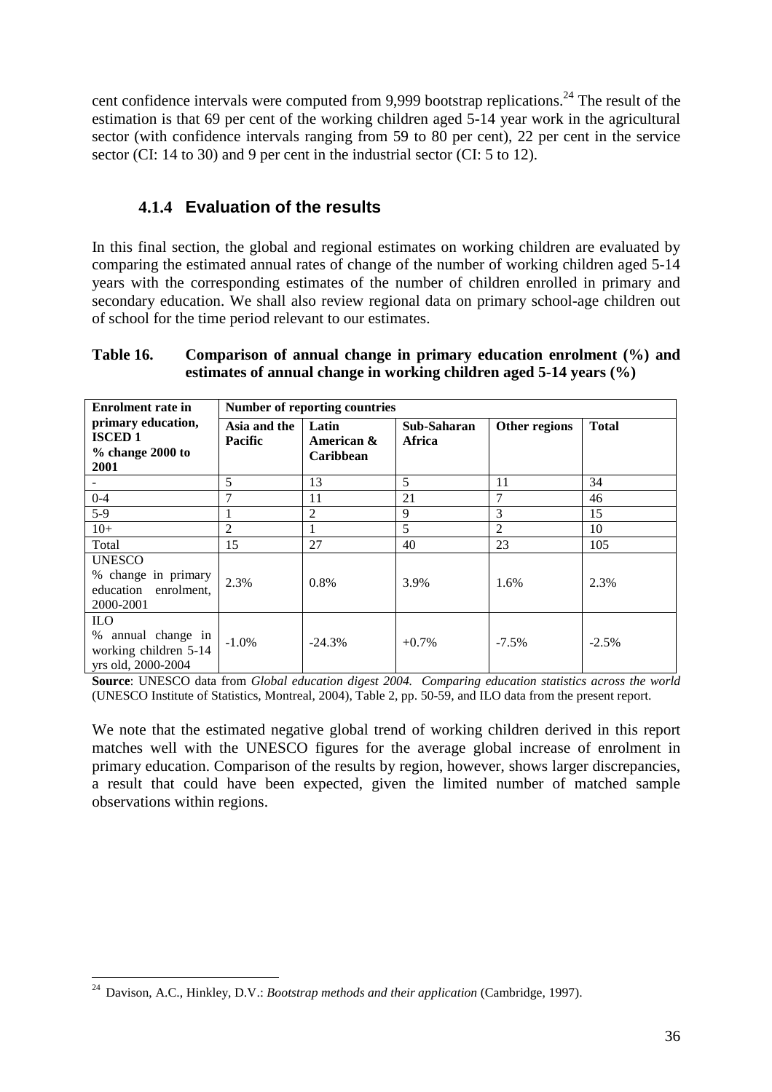cent confidence intervals were computed from 9,999 bootstrap replications.<sup>24</sup> The result of the estimation is that 69 per cent of the working children aged 5-14 year work in the agricultural sector (with confidence intervals ranging from 59 to 80 per cent), 22 per cent in the service sector (CI: 14 to 30) and 9 per cent in the industrial sector (CI: 5 to 12).

## **4.1.4 Evaluation of the results**

In this final section, the global and regional estimates on working children are evaluated by comparing the estimated annual rates of change of the number of working children aged 5-14 years with the corresponding estimates of the number of children enrolled in primary and secondary education. We shall also review regional data on primary school-age children out of school for the time period relevant to our estimates.

#### **Table 16. Comparison of annual change in primary education enrolment (%) and estimates of annual change in working children aged 5-14 years (%)**

| <b>Enrolment rate in</b>                                                        | <b>Number of reporting countries</b> |                                  |                       |               |              |  |  |
|---------------------------------------------------------------------------------|--------------------------------------|----------------------------------|-----------------------|---------------|--------------|--|--|
| primary education,<br><b>ISCED1</b><br>$%$ change 2000 to<br>2001               | Asia and the<br><b>Pacific</b>       | Latin<br>American &<br>Caribbean | Sub-Saharan<br>Africa | Other regions | <b>Total</b> |  |  |
|                                                                                 | 5                                    | 13                               | 5                     | 11            | 34           |  |  |
| $0 - 4$                                                                         |                                      | 11                               | 21                    | 7             | 46           |  |  |
| $5-9$                                                                           |                                      | $\overline{2}$                   | 9                     | 3             | 15           |  |  |
| $10+$                                                                           | $\overline{2}$                       |                                  | 5                     | 2             | 10           |  |  |
| Total                                                                           | 15                                   | 27                               | 40                    | 23            | 105          |  |  |
| <b>UNESCO</b><br>% change in primary<br>education enrolment.<br>2000-2001       | 2.3%                                 | $0.8\%$                          | 3.9%                  | 1.6%          | 2.3%         |  |  |
| <b>ILO</b><br>% annual change in<br>working children 5-14<br>yrs old, 2000-2004 | $-1.0\%$                             | $-24.3%$                         | $+0.7\%$              | $-7.5%$       | $-2.5%$      |  |  |

**Source**: UNESCO data from *Global education digest 2004. Comparing education statistics across the world* (UNESCO Institute of Statistics, Montreal, 2004), Table 2, pp. 50-59, and ILO data from the present report.

We note that the estimated negative global trend of working children derived in this report matches well with the UNESCO figures for the average global increase of enrolment in primary education. Comparison of the results by region, however, shows larger discrepancies, a result that could have been expected, given the limited number of matched sample observations within regions.

l <sup>24</sup> Davison, A.C., Hinkley, D.V.: *Bootstrap methods and their application* (Cambridge, 1997).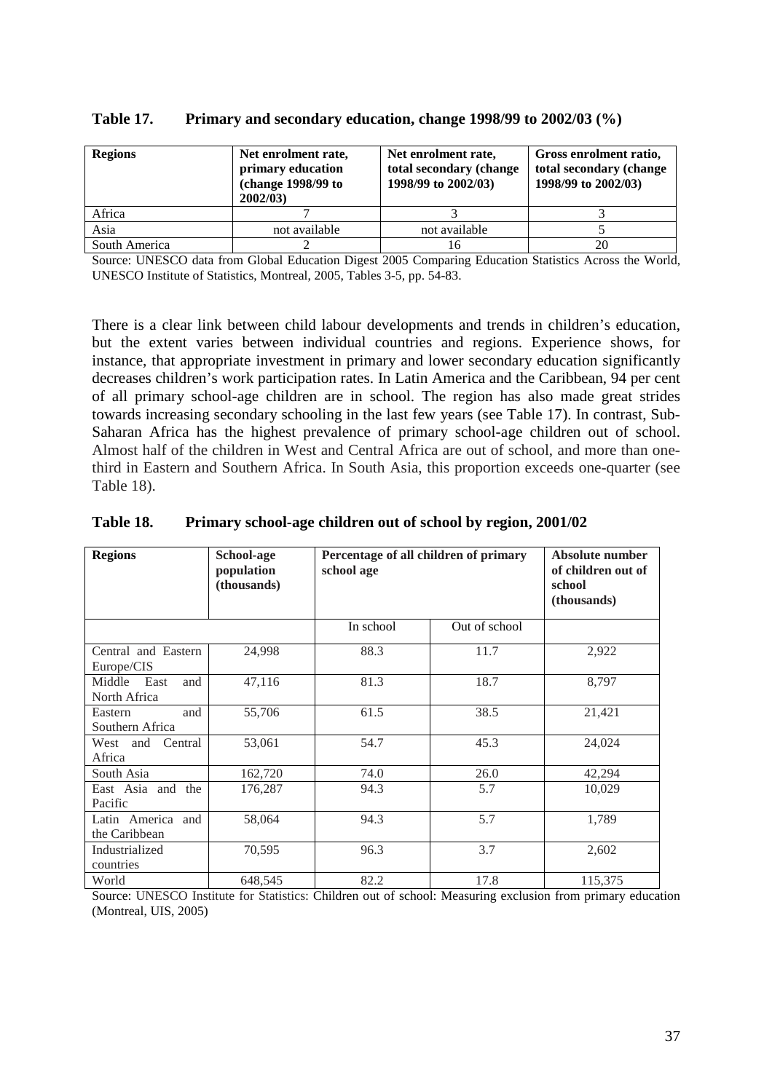| <b>Regions</b> | Net enrolment rate,<br>primary education<br>(change 1998/99 to<br>2002/03 | Net enrolment rate,<br>total secondary (change<br>1998/99 to 2002/03) | Gross enrolment ratio,<br>total secondary (change<br>1998/99 to 2002/03) |
|----------------|---------------------------------------------------------------------------|-----------------------------------------------------------------------|--------------------------------------------------------------------------|
| Africa         |                                                                           |                                                                       |                                                                          |
| Asia           | not available                                                             | not available                                                         |                                                                          |
| South America  |                                                                           | 16                                                                    |                                                                          |

#### **Table 17. Primary and secondary education, change 1998/99 to 2002/03 (%)**

Source: UNESCO data from Global Education Digest 2005 Comparing Education Statistics Across the World, UNESCO Institute of Statistics, Montreal, 2005, Tables 3-5, pp. 54-83.

There is a clear link between child labour developments and trends in children's education, but the extent varies between individual countries and regions. Experience shows, for instance, that appropriate investment in primary and lower secondary education significantly decreases children's work participation rates. In Latin America and the Caribbean, 94 per cent of all primary school-age children are in school. The region has also made great strides towards increasing secondary schooling in the last few years (see Table 17). In contrast, Sub-Saharan Africa has the highest prevalence of primary school-age children out of school. Almost half of the children in West and Central Africa are out of school, and more than onethird in Eastern and Southern Africa. In South Asia, this proportion exceeds one-quarter (see Table 18).

| <b>Regions</b>                        | School-age<br>population<br>(thousands) | Percentage of all children of primary<br>school age | Absolute number<br>of children out of<br>school<br>(thousands) |         |
|---------------------------------------|-----------------------------------------|-----------------------------------------------------|----------------------------------------------------------------|---------|
|                                       |                                         | In school                                           | Out of school                                                  |         |
| Central and Eastern<br>Europe/CIS     | 24,998                                  | 88.3                                                | 11.7                                                           | 2,922   |
| Middle<br>East<br>and<br>North Africa | 47,116                                  | 81.3                                                | 18.7                                                           | 8,797   |
| and<br>Eastern<br>Southern Africa     | 55,706                                  | 61.5                                                | 38.5                                                           | 21,421  |
| Central<br>West<br>and<br>Africa      | 53,061                                  | 54.7                                                | 45.3                                                           | 24,024  |
| South Asia                            | 162,720                                 | 74.0                                                | 26.0                                                           | 42,294  |
| East Asia and the<br>Pacific          | 176,287                                 | 94.3                                                | 5.7                                                            | 10,029  |
| Latin America and<br>the Caribbean    | 58,064                                  | 94.3                                                | 5.7                                                            | 1,789   |
| Industrialized<br>countries           | 70,595                                  | 96.3                                                | 3.7                                                            | 2,602   |
| World                                 | 648,545                                 | 82.2                                                | 17.8                                                           | 115,375 |

#### **Table 18. Primary school-age children out of school by region, 2001/02**

Source: UNESCO Institute for Statistics: Children out of school: Measuring exclusion from primary education (Montreal, UIS, 2005)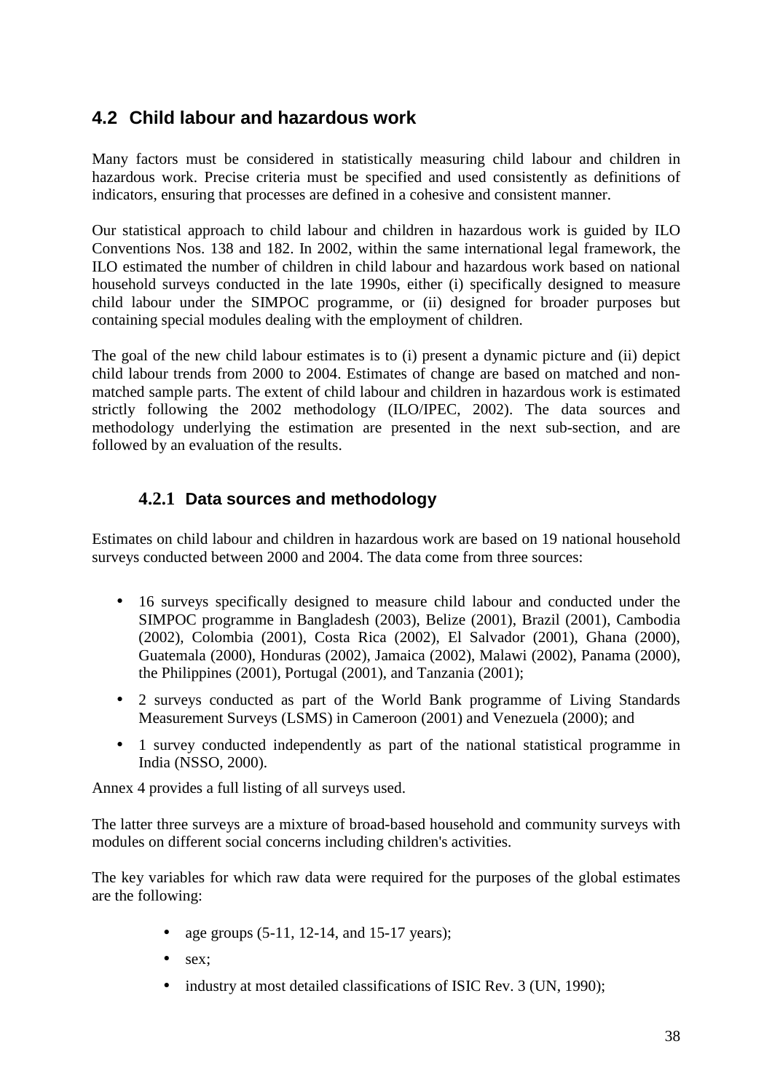## **4.2 Child labour and hazardous work**

Many factors must be considered in statistically measuring child labour and children in hazardous work. Precise criteria must be specified and used consistently as definitions of indicators, ensuring that processes are defined in a cohesive and consistent manner.

Our statistical approach to child labour and children in hazardous work is guided by ILO Conventions Nos. 138 and 182. In 2002, within the same international legal framework, the ILO estimated the number of children in child labour and hazardous work based on national household surveys conducted in the late 1990s, either (i) specifically designed to measure child labour under the SIMPOC programme, or (ii) designed for broader purposes but containing special modules dealing with the employment of children.

The goal of the new child labour estimates is to (i) present a dynamic picture and (ii) depict child labour trends from 2000 to 2004. Estimates of change are based on matched and nonmatched sample parts. The extent of child labour and children in hazardous work is estimated strictly following the 2002 methodology (ILO/IPEC, 2002). The data sources and methodology underlying the estimation are presented in the next sub-section, and are followed by an evaluation of the results.

## **4.2.1 Data sources and methodology**

Estimates on child labour and children in hazardous work are based on 19 national household surveys conducted between 2000 and 2004. The data come from three sources:

- 16 surveys specifically designed to measure child labour and conducted under the SIMPOC programme in Bangladesh (2003), Belize (2001), Brazil (2001), Cambodia (2002), Colombia (2001), Costa Rica (2002), El Salvador (2001), Ghana (2000), Guatemala (2000), Honduras (2002), Jamaica (2002), Malawi (2002), Panama (2000), the Philippines (2001), Portugal (2001), and Tanzania (2001);
- 2 surveys conducted as part of the World Bank programme of Living Standards Measurement Surveys (LSMS) in Cameroon (2001) and Venezuela (2000); and
- 1 survey conducted independently as part of the national statistical programme in India (NSSO, 2000).

Annex 4 provides a full listing of all surveys used.

The latter three surveys are a mixture of broad-based household and community surveys with modules on different social concerns including children's activities.

The key variables for which raw data were required for the purposes of the global estimates are the following:

- age groups  $(5-11, 12-14, 13-17)$  years);
- sex:
- industry at most detailed classifications of ISIC Rev. 3 (UN, 1990);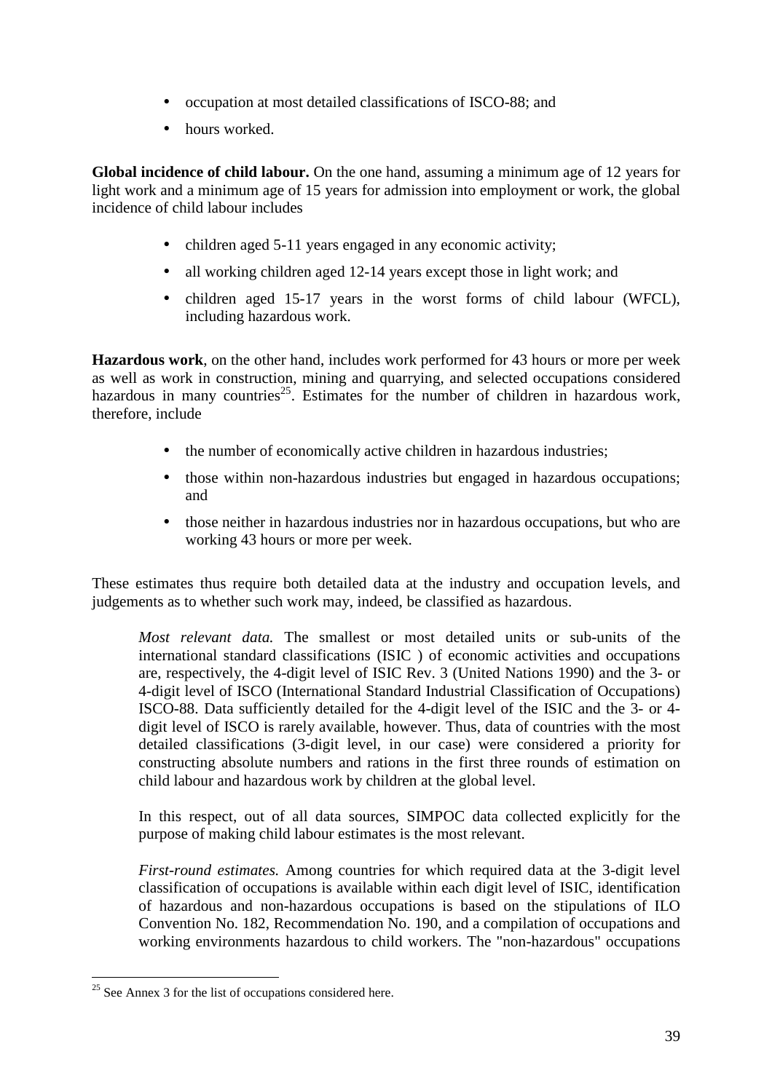- occupation at most detailed classifications of ISCO-88; and
- hours worked.

**Global incidence of child labour.** On the one hand, assuming a minimum age of 12 years for light work and a minimum age of 15 years for admission into employment or work, the global incidence of child labour includes

- children aged 5-11 years engaged in any economic activity;
- all working children aged 12-14 years except those in light work; and
- children aged 15-17 years in the worst forms of child labour (WFCL), including hazardous work.

**Hazardous work**, on the other hand, includes work performed for 43 hours or more per week as well as work in construction, mining and quarrying, and selected occupations considered hazardous in many countries<sup>25</sup>. Estimates for the number of children in hazardous work, therefore, include

- the number of economically active children in hazardous industries;
- those within non-hazardous industries but engaged in hazardous occupations; and
- those neither in hazardous industries nor in hazardous occupations, but who are working 43 hours or more per week.

These estimates thus require both detailed data at the industry and occupation levels, and judgements as to whether such work may, indeed, be classified as hazardous.

*Most relevant data.* The smallest or most detailed units or sub-units of the international standard classifications (ISIC ) of economic activities and occupations are, respectively, the 4-digit level of ISIC Rev. 3 (United Nations 1990) and the 3- or 4-digit level of ISCO (International Standard Industrial Classification of Occupations) ISCO-88. Data sufficiently detailed for the 4-digit level of the ISIC and the 3- or 4 digit level of ISCO is rarely available, however. Thus, data of countries with the most detailed classifications (3-digit level, in our case) were considered a priority for constructing absolute numbers and rations in the first three rounds of estimation on child labour and hazardous work by children at the global level.

In this respect, out of all data sources, SIMPOC data collected explicitly for the purpose of making child labour estimates is the most relevant.

*First-round estimates.* Among countries for which required data at the 3-digit level classification of occupations is available within each digit level of ISIC, identification of hazardous and non-hazardous occupations is based on the stipulations of ILO Convention No. 182, Recommendation No. 190, and a compilation of occupations and working environments hazardous to child workers. The "non-hazardous" occupations

l

 $25$  See Annex 3 for the list of occupations considered here.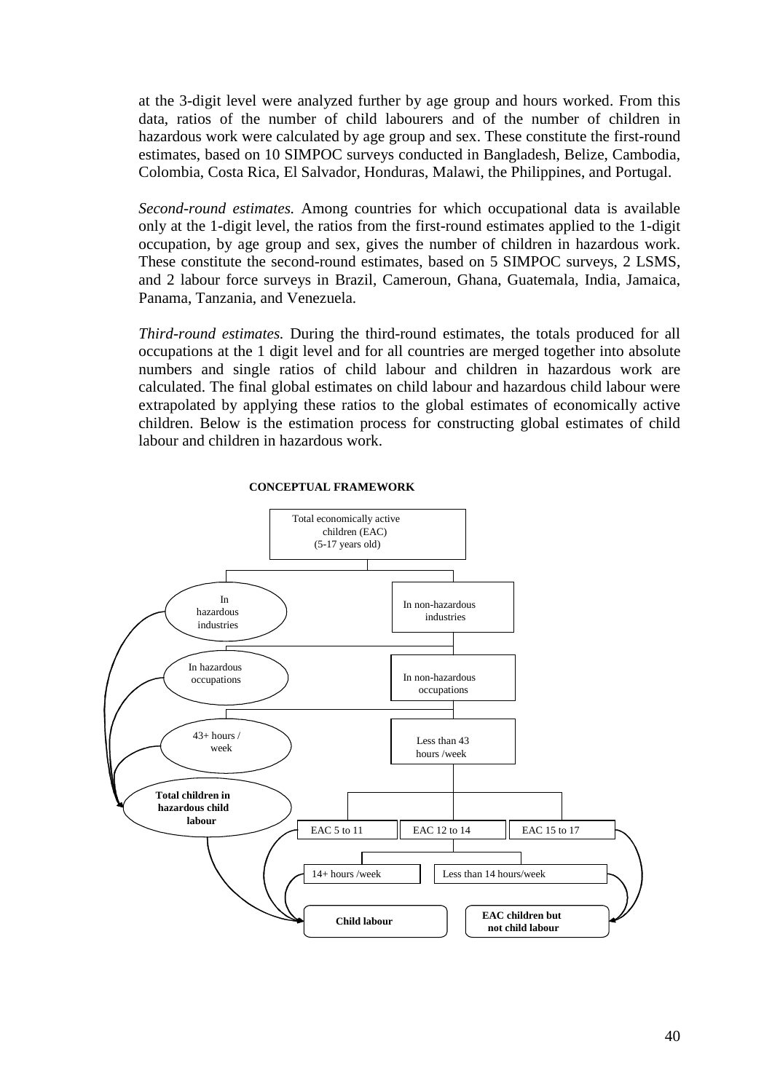at the 3-digit level were analyzed further by age group and hours worked. From this data, ratios of the number of child labourers and of the number of children in hazardous work were calculated by age group and sex. These constitute the first-round estimates, based on 10 SIMPOC surveys conducted in Bangladesh, Belize, Cambodia, Colombia, Costa Rica, El Salvador, Honduras, Malawi, the Philippines, and Portugal.

*Second-round estimates.* Among countries for which occupational data is available only at the 1-digit level, the ratios from the first-round estimates applied to the 1-digit occupation, by age group and sex, gives the number of children in hazardous work. These constitute the second-round estimates, based on 5 SIMPOC surveys, 2 LSMS, and 2 labour force surveys in Brazil, Cameroun, Ghana, Guatemala, India, Jamaica, Panama, Tanzania, and Venezuela.

*Third-round estimates.* During the third-round estimates, the totals produced for all occupations at the 1 digit level and for all countries are merged together into absolute numbers and single ratios of child labour and children in hazardous work are calculated. The final global estimates on child labour and hazardous child labour were extrapolated by applying these ratios to the global estimates of economically active children. Below is the estimation process for constructing global estimates of child labour and children in hazardous work.



#### **CONCEPTUAL FRAMEWORK**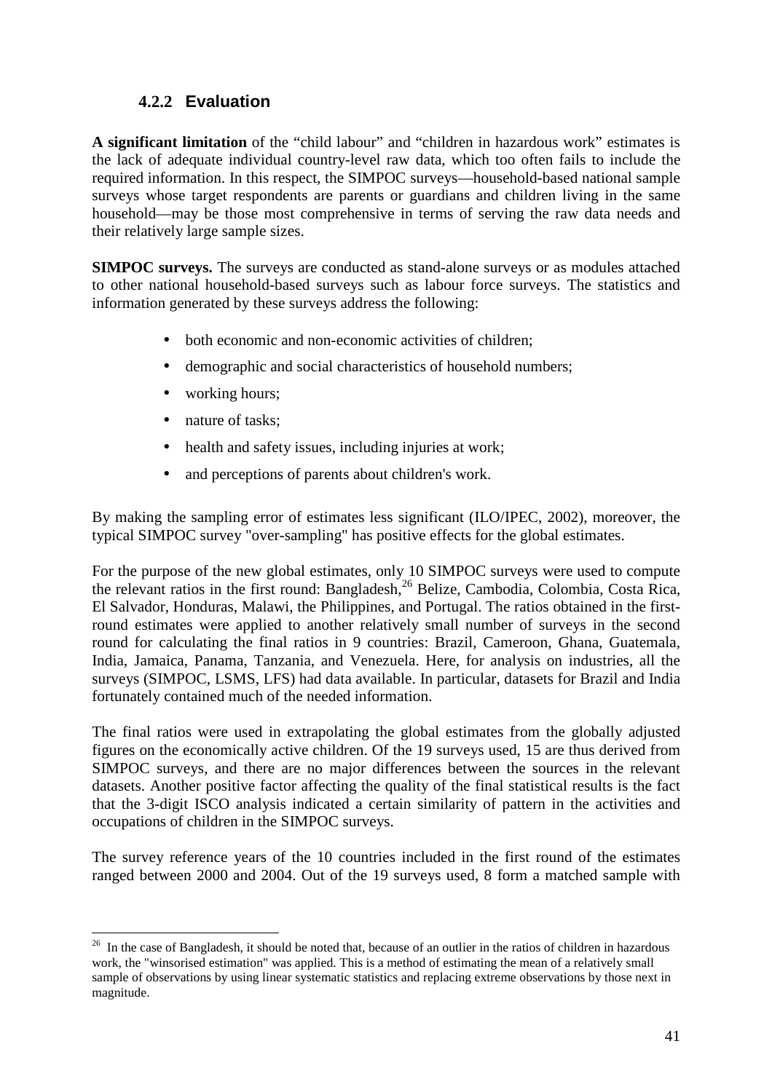## **4.2.2 Evaluation**

**A significant limitation** of the "child labour" and "children in hazardous work" estimates is the lack of adequate individual country-level raw data, which too often fails to include the required information. In this respect, the SIMPOC surveys—household-based national sample surveys whose target respondents are parents or guardians and children living in the same household—may be those most comprehensive in terms of serving the raw data needs and their relatively large sample sizes.

**SIMPOC surveys.** The surveys are conducted as stand-alone surveys or as modules attached to other national household-based surveys such as labour force surveys. The statistics and information generated by these surveys address the following:

- both economic and non-economic activities of children;
- demographic and social characteristics of household numbers;
- working hours;
- nature of tasks;

 $\overline{a}$ 

- health and safety issues, including injuries at work;
- and perceptions of parents about children's work.

By making the sampling error of estimates less significant (ILO/IPEC, 2002), moreover, the typical SIMPOC survey "over-sampling" has positive effects for the global estimates.

For the purpose of the new global estimates, only 10 SIMPOC surveys were used to compute the relevant ratios in the first round: Bangladesh,<sup>26</sup> Belize, Cambodia, Colombia, Costa Rica, El Salvador, Honduras, Malawi, the Philippines, and Portugal. The ratios obtained in the firstround estimates were applied to another relatively small number of surveys in the second round for calculating the final ratios in 9 countries: Brazil, Cameroon, Ghana, Guatemala, India, Jamaica, Panama, Tanzania, and Venezuela. Here, for analysis on industries, all the surveys (SIMPOC, LSMS, LFS) had data available. In particular, datasets for Brazil and India fortunately contained much of the needed information.

The final ratios were used in extrapolating the global estimates from the globally adjusted figures on the economically active children. Of the 19 surveys used, 15 are thus derived from SIMPOC surveys, and there are no major differences between the sources in the relevant datasets. Another positive factor affecting the quality of the final statistical results is the fact that the 3-digit ISCO analysis indicated a certain similarity of pattern in the activities and occupations of children in the SIMPOC surveys.

The survey reference years of the 10 countries included in the first round of the estimates ranged between 2000 and 2004. Out of the 19 surveys used, 8 form a matched sample with

 $26$  In the case of Bangladesh, it should be noted that, because of an outlier in the ratios of children in hazardous work, the "winsorised estimation" was applied. This is a method of estimating the mean of a relatively small sample of observations by using linear systematic statistics and replacing extreme observations by those next in magnitude.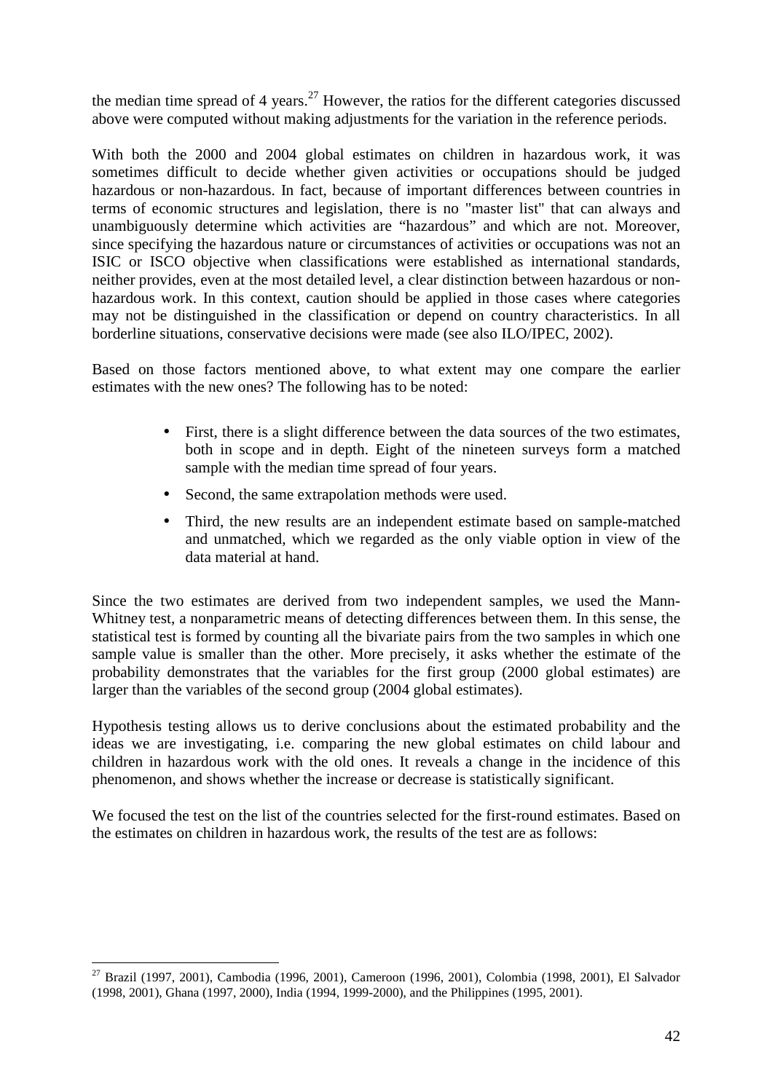the median time spread of 4 years.<sup>27</sup> However, the ratios for the different categories discussed above were computed without making adjustments for the variation in the reference periods.

With both the 2000 and 2004 global estimates on children in hazardous work, it was sometimes difficult to decide whether given activities or occupations should be judged hazardous or non-hazardous. In fact, because of important differences between countries in terms of economic structures and legislation, there is no "master list" that can always and unambiguously determine which activities are "hazardous" and which are not. Moreover, since specifying the hazardous nature or circumstances of activities or occupations was not an ISIC or ISCO objective when classifications were established as international standards, neither provides, even at the most detailed level, a clear distinction between hazardous or nonhazardous work. In this context, caution should be applied in those cases where categories may not be distinguished in the classification or depend on country characteristics. In all borderline situations, conservative decisions were made (see also ILO/IPEC, 2002).

Based on those factors mentioned above, to what extent may one compare the earlier estimates with the new ones? The following has to be noted:

- First, there is a slight difference between the data sources of the two estimates, both in scope and in depth. Eight of the nineteen surveys form a matched sample with the median time spread of four years.
- Second, the same extrapolation methods were used.
- Third, the new results are an independent estimate based on sample-matched and unmatched, which we regarded as the only viable option in view of the data material at hand.

Since the two estimates are derived from two independent samples, we used the Mann-Whitney test, a nonparametric means of detecting differences between them. In this sense, the statistical test is formed by counting all the bivariate pairs from the two samples in which one sample value is smaller than the other. More precisely, it asks whether the estimate of the probability demonstrates that the variables for the first group (2000 global estimates) are larger than the variables of the second group (2004 global estimates).

Hypothesis testing allows us to derive conclusions about the estimated probability and the ideas we are investigating, i.e. comparing the new global estimates on child labour and children in hazardous work with the old ones. It reveals a change in the incidence of this phenomenon, and shows whether the increase or decrease is statistically significant.

We focused the test on the list of the countries selected for the first-round estimates. Based on the estimates on children in hazardous work, the results of the test are as follows:

 $\overline{a}$ 

<sup>&</sup>lt;sup>27</sup> Brazil (1997, 2001), Cambodia (1996, 2001), Cameroon (1996, 2001), Colombia (1998, 2001), El Salvador (1998, 2001), Ghana (1997, 2000), India (1994, 1999-2000), and the Philippines (1995, 2001).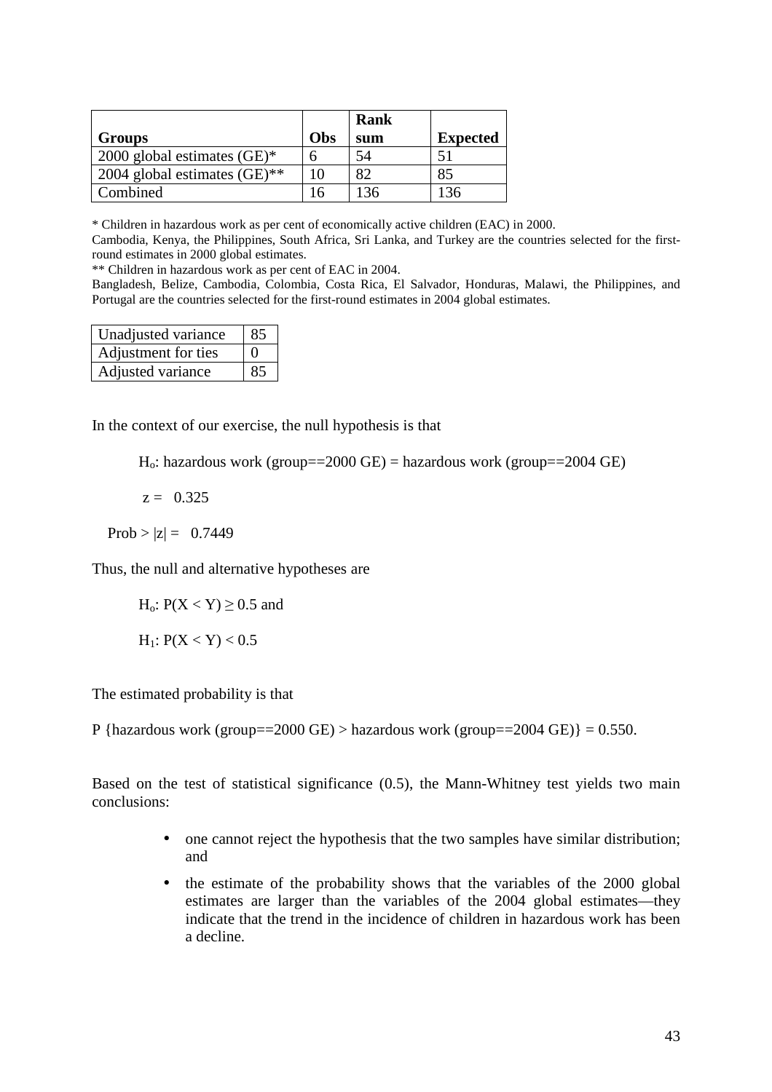|                                |     | <b>Rank</b> |                 |
|--------------------------------|-----|-------------|-----------------|
| Groups                         | Obs | sum         | <b>Expected</b> |
| 2000 global estimates $(GE)^*$ | n   | 54          |                 |
| 2004 global estimates $(GE)**$ | 10  | 82          | 85              |
| Combined                       | 16  | 136         |                 |

\* Children in hazardous work as per cent of economically active children (EAC) in 2000.

Cambodia, Kenya, the Philippines, South Africa, Sri Lanka, and Turkey are the countries selected for the firstround estimates in 2000 global estimates.

\*\* Children in hazardous work as per cent of EAC in 2004.

Bangladesh, Belize, Cambodia, Colombia, Costa Rica, El Salvador, Honduras, Malawi, the Philippines, and Portugal are the countries selected for the first-round estimates in 2004 global estimates.

| Unadjusted variance | 85                |
|---------------------|-------------------|
| Adjustment for ties | $\mathbf{\Omega}$ |
| Adjusted variance   | 85                |

In the context of our exercise, the null hypothesis is that

 $H<sub>o</sub>$ : hazardous work (group==2000 GE) = hazardous work (group==2004 GE)

 $z = 0.325$ 

 $Prob > |z| = 0.7449$ 

Thus, the null and alternative hypotheses are

 $H_o: P(X < Y) \ge 0.5$  and  $H_1$ :  $P(X < Y) < 0.5$ 

The estimated probability is that

P {hazardous work (group==2000 GE) > hazardous work (group==2004 GE)} =  $0.550$ .

Based on the test of statistical significance (0.5), the Mann-Whitney test yields two main conclusions:

- one cannot reject the hypothesis that the two samples have similar distribution; and
- the estimate of the probability shows that the variables of the 2000 global estimates are larger than the variables of the 2004 global estimates—they indicate that the trend in the incidence of children in hazardous work has been a decline.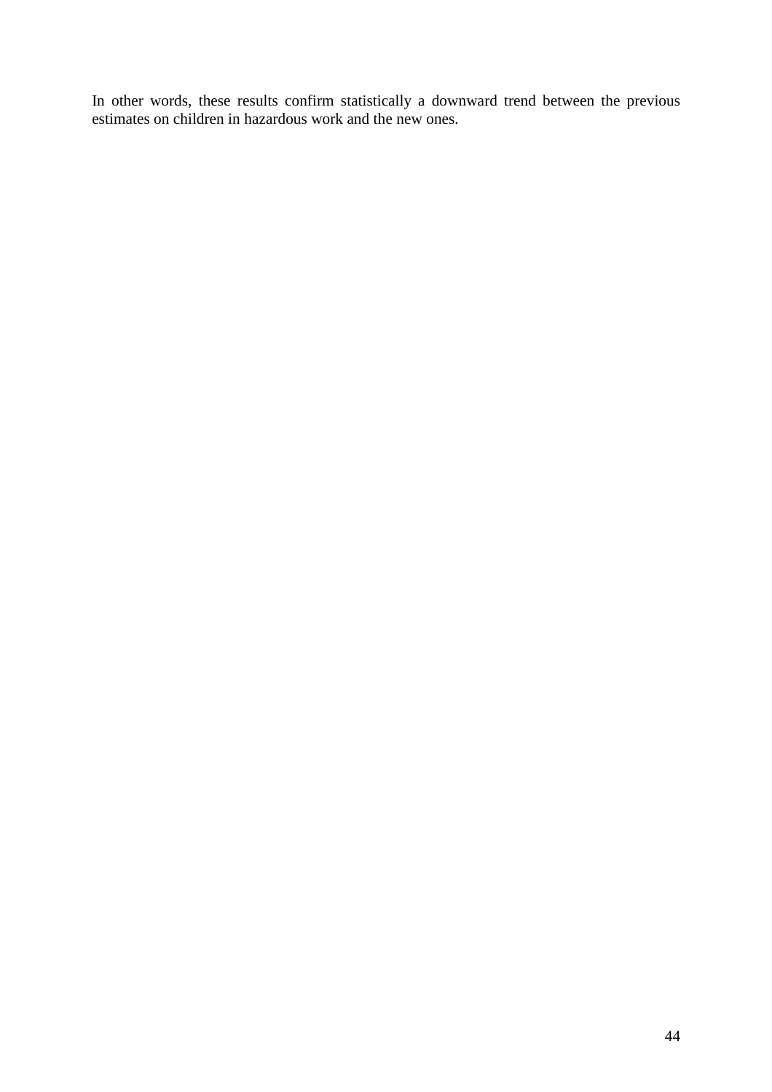In other words, these results confirm statistically a downward trend between the previous estimates on children in hazardous work and the new ones.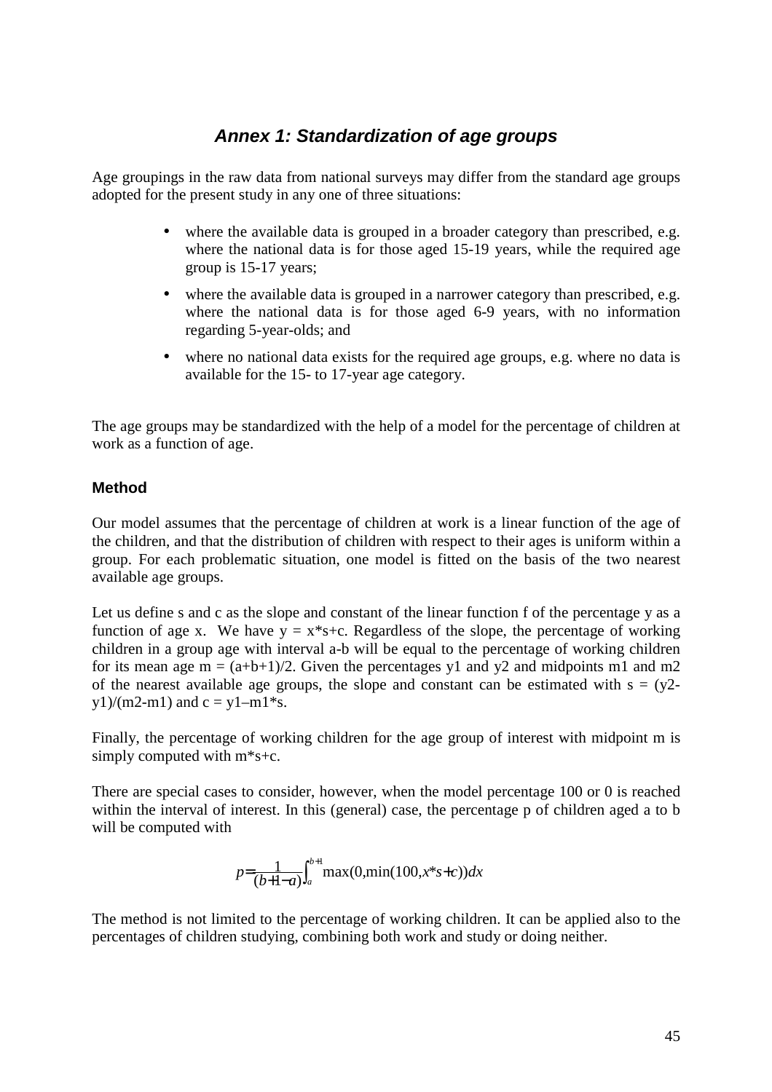## **Annex 1: Standardization of age groups**

Age groupings in the raw data from national surveys may differ from the standard age groups adopted for the present study in any one of three situations:

- where the available data is grouped in a broader category than prescribed, e.g. where the national data is for those aged 15-19 years, while the required age group is 15-17 years;
- where the available data is grouped in a narrower category than prescribed, e.g. where the national data is for those aged 6-9 years, with no information regarding 5-year-olds; and
- where no national data exists for the required age groups, e.g. where no data is available for the 15- to 17-year age category.

The age groups may be standardized with the help of a model for the percentage of children at work as a function of age.

## **Method**

Our model assumes that the percentage of children at work is a linear function of the age of the children, and that the distribution of children with respect to their ages is uniform within a group. For each problematic situation, one model is fitted on the basis of the two nearest available age groups.

Let us define s and c as the slope and constant of the linear function f of the percentage y as a function of age x. We have  $y = x*s+c$ . Regardless of the slope, the percentage of working children in a group age with interval a-b will be equal to the percentage of working children for its mean age  $m = (a+b+1)/2$ . Given the percentages y1 and y2 and midpoints m1 and m2 of the nearest available age groups, the slope and constant can be estimated with  $s = (y^2 - y^2)$  $y1)/(m2-m1)$  and  $c = y1-m1*s$ .

Finally, the percentage of working children for the age group of interest with midpoint m is simply computed with m\*s+c.

There are special cases to consider, however, when the model percentage 100 or 0 is reached within the interval of interest. In this (general) case, the percentage p of children aged a to b will be computed with

$$
p = \frac{1}{(b+1-a)} \int_{a}^{b+1} \max(0, \min(100, x^*s+c)) dx
$$

The method is not limited to the percentage of working children. It can be applied also to the percentages of children studying, combining both work and study or doing neither.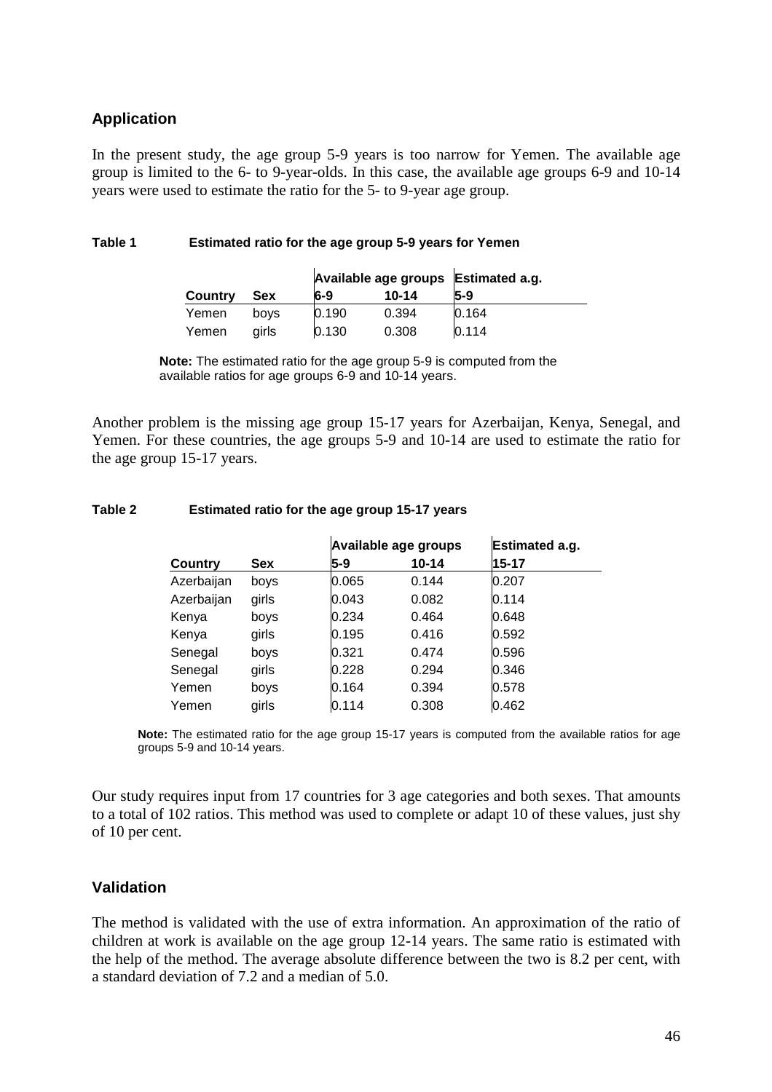## **Application**

In the present study, the age group 5-9 years is too narrow for Yemen. The available age group is limited to the 6- to 9-year-olds. In this case, the available age groups 6-9 and 10-14 years were used to estimate the ratio for the 5- to 9-year age group.

#### **Table 1 Estimated ratio for the age group 5-9 years for Yemen**

|         |            |       |           | Available age groups Estimated a.g. |
|---------|------------|-------|-----------|-------------------------------------|
| Country | <b>Sex</b> | 6-9   | $10 - 14$ | 5-9                                 |
| Yemen   | bovs       | 0.190 | 0.394     | 0.164                               |
| Yemen   | airls      | 0.130 | 0.308     | 0.114                               |

 **Note:** The estimated ratio for the age group 5-9 is computed from the available ratios for age groups 6-9 and 10-14 years.

Another problem is the missing age group 15-17 years for Azerbaijan, Kenya, Senegal, and Yemen. For these countries, the age groups 5-9 and 10-14 are used to estimate the ratio for the age group 15-17 years.

#### **Table 2 Estimated ratio for the age group 15-17 years**

|            |            |       | Available age groups | Estimated a.g. |
|------------|------------|-------|----------------------|----------------|
| Country    | <b>Sex</b> | 5-9   | 10-14                | 15-17          |
| Azerbaijan | boys       | 0.065 | 0.144                | 0.207          |
| Azerbaijan | girls      | 0.043 | 0.082                | 0.114          |
| Kenya      | boys       | 0.234 | 0.464                | 0.648          |
| Kenya      | girls      | 0.195 | 0.416                | 0.592          |
| Senegal    | boys       | 0.321 | 0.474                | 0.596          |
| Senegal    | girls      | 0.228 | 0.294                | 0.346          |
| Yemen      | boys       | 0.164 | 0.394                | 0.578          |
| Yemen      | girls      | 0.114 | 0.308                | 0.462          |

**Note:** The estimated ratio for the age group 15-17 years is computed from the available ratios for age groups 5-9 and 10-14 years.

Our study requires input from 17 countries for 3 age categories and both sexes. That amounts to a total of 102 ratios. This method was used to complete or adapt 10 of these values, just shy of 10 per cent.

### **Validation**

The method is validated with the use of extra information. An approximation of the ratio of children at work is available on the age group 12-14 years. The same ratio is estimated with the help of the method. The average absolute difference between the two is 8.2 per cent, with a standard deviation of 7.2 and a median of 5.0.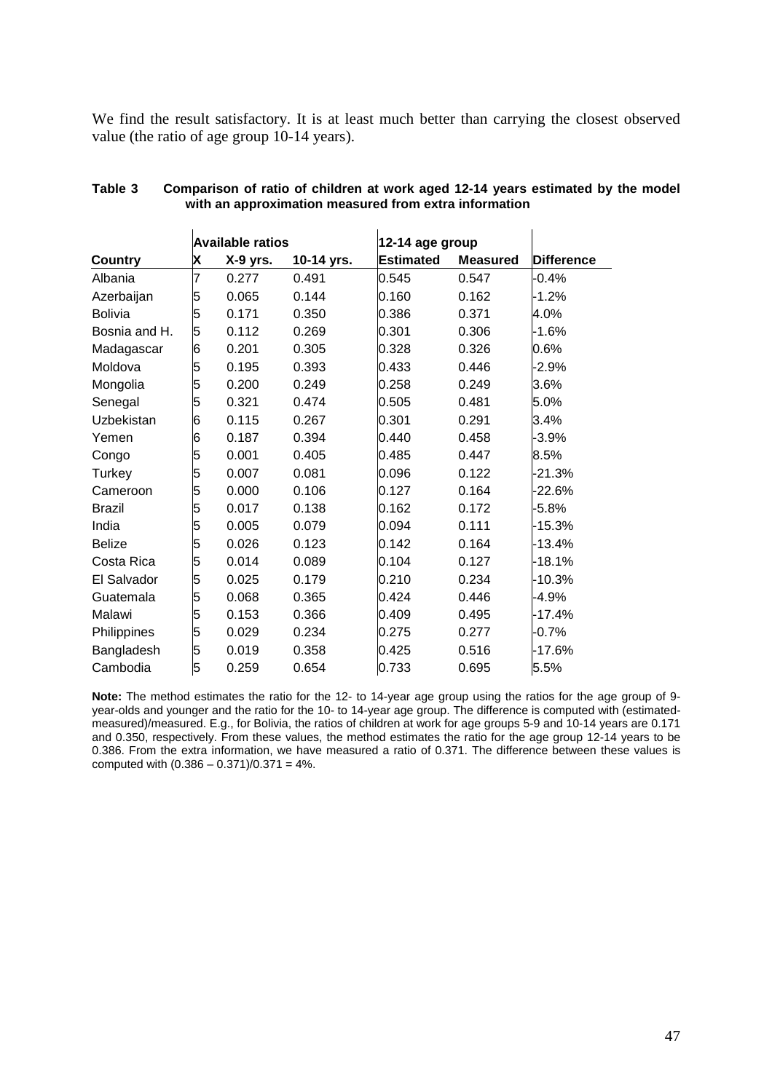We find the result satisfactory. It is at least much better than carrying the closest observed value (the ratio of age group 10-14 years).

|                |   | <b>Available ratios</b> |            | 12-14 age group  |                 |                   |
|----------------|---|-------------------------|------------|------------------|-----------------|-------------------|
| <b>Country</b> | X | X-9 yrs.                | 10-14 yrs. | <b>Estimated</b> | <b>Measured</b> | <b>Difference</b> |
| Albania        | 7 | 0.277                   | 0.491      | 0.545            | 0.547           | $-0.4\%$          |
| Azerbaijan     | 5 | 0.065                   | 0.144      | 0.160            | 0.162           | $-1.2%$           |
| <b>Bolivia</b> | 5 | 0.171                   | 0.350      | 0.386            | 0.371           | 4.0%              |
| Bosnia and H.  | 5 | 0.112                   | 0.269      | 0.301            | 0.306           | -1.6%             |
| Madagascar     | 6 | 0.201                   | 0.305      | 0.328            | 0.326           | 0.6%              |
| Moldova        | 5 | 0.195                   | 0.393      | 0.433            | 0.446           | $-2.9\%$          |
| Mongolia       | 5 | 0.200                   | 0.249      | 0.258            | 0.249           | 3.6%              |
| Senegal        | 5 | 0.321                   | 0.474      | 0.505            | 0.481           | 5.0%              |
| Uzbekistan     | 6 | 0.115                   | 0.267      | 0.301            | 0.291           | 3.4%              |
| Yemen          | 6 | 0.187                   | 0.394      | 0.440            | 0.458           | $-3.9%$           |
| Congo          | 5 | 0.001                   | 0.405      | 0.485            | 0.447           | 8.5%              |
| Turkey         | 5 | 0.007                   | 0.081      | 0.096            | 0.122           | -21.3%            |
| Cameroon       | 5 | 0.000                   | 0.106      | 0.127            | 0.164           | -22.6%            |
| <b>Brazil</b>  | 5 | 0.017                   | 0.138      | 0.162            | 0.172           | $-5.8%$           |
| India          | 5 | 0.005                   | 0.079      | 0.094            | 0.111           | $-15.3%$          |
| <b>Belize</b>  | 5 | 0.026                   | 0.123      | 0.142            | 0.164           | $-13.4%$          |
| Costa Rica     | 5 | 0.014                   | 0.089      | 0.104            | 0.127           | $-18.1%$          |
| El Salvador    | 5 | 0.025                   | 0.179      | 0.210            | 0.234           | $-10.3%$          |
| Guatemala      | 5 | 0.068                   | 0.365      | 0.424            | 0.446           | -4.9%             |
| Malawi         | 5 | 0.153                   | 0.366      | 0.409            | 0.495           | -17.4%            |
| Philippines    | 5 | 0.029                   | 0.234      | 0.275            | 0.277           | $-0.7%$           |
| Bangladesh     | 5 | 0.019                   | 0.358      | 0.425            | 0.516           | $-17.6%$          |
| Cambodia       | 5 | 0.259                   | 0.654      | 0.733            | 0.695           | 5.5%              |

| Table 3 | Comparison of ratio of children at work aged 12-14 years estimated by the model |
|---------|---------------------------------------------------------------------------------|
|         | with an approximation measured from extra information                           |

**Note:** The method estimates the ratio for the 12- to 14-year age group using the ratios for the age group of 9 year-olds and younger and the ratio for the 10- to 14-year age group. The difference is computed with (estimatedmeasured)/measured. E.g., for Bolivia, the ratios of children at work for age groups 5-9 and 10-14 years are 0.171 and 0.350, respectively. From these values, the method estimates the ratio for the age group 12-14 years to be 0.386. From the extra information, we have measured a ratio of 0.371. The difference between these values is computed with  $(0.386 - 0.371)/0.371 = 4\%$ .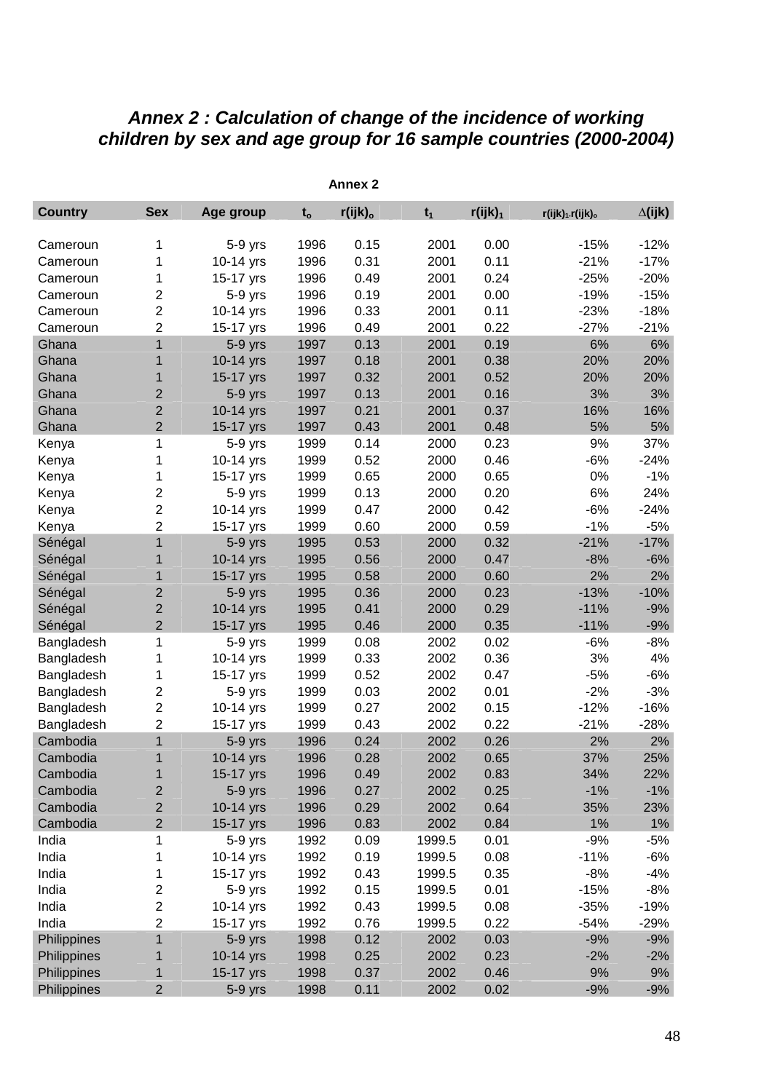## **Annex 2 : Calculation of change of the incidence of working children by sex and age group for 16 sample countries (2000-2004)**

| <b>Country</b> | <b>Sex</b>              | Age group            | $t_{o}$ | $r(ijk)$ <sub>o</sub> | $t_1$  | $r(ijk)_1$ | $r(ijk)_{1}.r(ijk)_{0}$ | $\Delta$ (ijk) |
|----------------|-------------------------|----------------------|---------|-----------------------|--------|------------|-------------------------|----------------|
|                |                         |                      |         |                       |        |            |                         |                |
| Cameroun       | 1                       | 5-9 yrs              | 1996    | 0.15                  | 2001   | 0.00       | $-15%$                  | $-12%$         |
| Cameroun       | 1                       | 10-14 yrs            | 1996    | 0.31                  | 2001   | 0.11       | $-21%$                  | $-17%$         |
| Cameroun       | 1                       | 15-17 yrs            | 1996    | 0.49                  | 2001   | 0.24       | $-25%$                  | $-20%$         |
| Cameroun       | $\overline{2}$          | 5-9 yrs              | 1996    | 0.19                  | 2001   | 0.00       | $-19%$                  | $-15%$         |
| Cameroun       | $\overline{2}$          | 10-14 yrs            | 1996    | 0.33                  | 2001   | 0.11       | $-23%$                  | $-18%$         |
| Cameroun       | $\mathbf 2$             | 15-17 yrs            | 1996    | 0.49                  | 2001   | 0.22       | $-27%$                  | $-21%$         |
| Ghana          | $\overline{1}$          | 5-9 yrs              | 1997    | 0.13                  | 2001   | 0.19       | 6%                      | 6%             |
| Ghana          | 1                       | 10-14 yrs            | 1997    | 0.18                  | 2001   | 0.38       | 20%                     | 20%            |
| Ghana          | 1                       | 15-17 yrs            | 1997    | 0.32                  | 2001   | 0.52       | 20%                     | 20%            |
| Ghana          | $\overline{2}$          | 5-9 yrs              | 1997    | 0.13                  | 2001   | 0.16       | 3%                      | 3%             |
| Ghana          | $\overline{2}$          | 10-14 yrs            | 1997    | 0.21                  | 2001   | 0.37       | 16%                     | 16%            |
| Ghana          | $\overline{2}$          | 15-17 yrs            | 1997    | 0.43                  | 2001   | 0.48       | 5%                      | 5%             |
| Kenya          | 1                       | 5-9 yrs              | 1999    | 0.14                  | 2000   | 0.23       | 9%                      | 37%            |
| Kenya          | 1                       | 10-14 yrs            | 1999    | 0.52                  | 2000   | 0.46       | $-6%$                   | $-24%$         |
| Kenya          | 1                       | 15-17 yrs            | 1999    | 0.65                  | 2000   | 0.65       | 0%                      | $-1%$          |
| Kenya          | $\overline{c}$          | 5-9 yrs              | 1999    | 0.13                  | 2000   | 0.20       | 6%                      | 24%            |
| Kenya          | $\overline{c}$          | 10-14 yrs            | 1999    | 0.47                  | 2000   | 0.42       | $-6%$                   | $-24%$         |
| Kenya          | 2                       | 15-17 yrs            | 1999    | 0.60                  | 2000   | 0.59       | $-1%$                   | $-5%$          |
| Sénégal        | $\overline{1}$          | 5-9 yrs              | 1995    | 0.53                  | 2000   | 0.32       | $-21%$                  | $-17%$         |
| Sénégal        | 1                       | 10-14 yrs            | 1995    | 0.56                  | 2000   | 0.47       | $-8%$                   | $-6%$          |
| Sénégal        | 1                       | 15-17 yrs            | 1995    | 0.58                  | 2000   | 0.60       | 2%                      | 2%             |
| Sénégal        | $\overline{c}$          | 5-9 yrs              | 1995    | 0.36                  | 2000   | 0.23       | $-13%$                  | $-10%$         |
| Sénégal        | $\overline{2}$          | 10-14 yrs            | 1995    | 0.41                  | 2000   | 0.29       | $-11%$                  | $-9%$          |
| Sénégal        | $\overline{2}$          | 15-17 yrs            | 1995    | 0.46                  | 2000   | 0.35       | $-11%$                  | $-9%$          |
| Bangladesh     | 1                       | 5-9 yrs              | 1999    | 0.08                  | 2002   | 0.02       | $-6%$                   | $-8%$          |
| Bangladesh     | 1                       | 10-14 yrs            | 1999    | 0.33                  | 2002   | 0.36       | 3%                      | 4%             |
| Bangladesh     | 1                       | 15-17 yrs            | 1999    | 0.52                  | 2002   | 0.47       | $-5%$                   | $-6%$          |
| Bangladesh     | $\overline{2}$          | 5-9 yrs              | 1999    | 0.03                  | 2002   | 0.01       | $-2%$                   | $-3%$          |
| Bangladesh     | $\overline{c}$          | 10-14 yrs            | 1999    | 0.27                  | 2002   | 0.15       | $-12%$                  | $-16%$         |
| Bangladesh     | $\overline{2}$          | 15-17 yrs            | 1999    | 0.43                  | 2002   | 0.22       | $-21%$                  | $-28%$         |
| Cambodia       | $\overline{1}$          | 5-9 yrs              | 1996    | 0.24                  | 2002   | 0.26       | 2%                      | 2%             |
| Cambodia       | 1                       | 10-14 yrs            | 1996    | 0.28                  | 2002   | 0.65       | 37%                     | 25%            |
| Cambodia       | 1                       | 15-17 yrs            | 1996    | 0.49                  | 2002   | 0.83       | 34%                     | 22%            |
| Cambodia       | $\overline{\mathbf{c}}$ | 5-9 yrs              | 1996    | 0.27                  | 2002   | 0.25       | $-1%$                   | $-1%$          |
| Cambodia       | $\boldsymbol{2}$        | 10-14 yrs            | 1996    | 0.29                  | 2002   | 0.64       | 35%                     | 23%            |
| Cambodia       | $\overline{2}$          | 15-17 yrs            | 1996    | 0.83                  | 2002   | 0.84       | 1%                      | 1%             |
| India          | 1                       |                      | 1992    | 0.09                  | 1999.5 | 0.01       | $-9%$                   | $-5%$          |
| India          | 1                       | 5-9 yrs<br>10-14 yrs | 1992    | 0.19                  | 1999.5 | 0.08       | $-11%$                  | $-6%$          |
|                |                         |                      |         |                       |        |            |                         |                |
| India          | 1                       | 15-17 yrs            | 1992    | 0.43                  | 1999.5 | 0.35       | $-8%$                   | $-4%$          |
| India          | $\boldsymbol{2}$        | 5-9 yrs              | 1992    | 0.15                  | 1999.5 | 0.01       | $-15%$                  | $-8%$          |
| India          | $\boldsymbol{2}$        | 10-14 yrs            | 1992    | 0.43                  | 1999.5 | 0.08       | $-35%$                  | $-19%$         |
| India          | $\mathbf 2$             | 15-17 yrs            | 1992    | 0.76                  | 1999.5 | 0.22       | $-54%$                  | $-29%$         |
| Philippines    | $\mathbf 1$             | 5-9 yrs              | 1998    | 0.12                  | 2002   | 0.03       | $-9%$                   | $-9%$          |
| Philippines    | 1                       | 10-14 yrs            | 1998    | 0.25                  | 2002   | 0.23       | $-2%$                   | $-2%$          |
| Philippines    | 1                       | 15-17 yrs            | 1998    | 0.37                  | 2002   | 0.46       | 9%                      | 9%             |
| Philippines    | $\mathbf 2$             | 5-9 yrs              | 1998    | 0.11                  | 2002   | 0.02       | $-9%$                   | $-9%$          |

**Annex 2**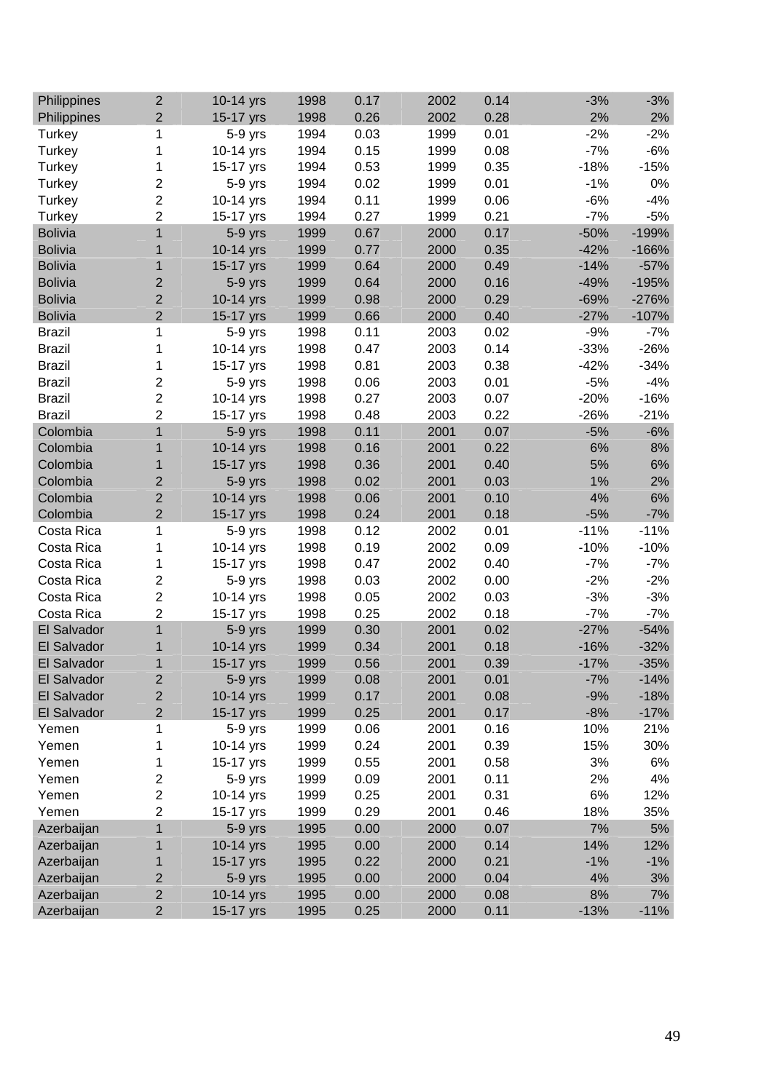| Philippines    | $\overline{2}$          | 10-14 yrs | 1998 | 0.17 | 2002 | 0.14 | $-3%$  | $-3%$   |
|----------------|-------------------------|-----------|------|------|------|------|--------|---------|
| Philippines    | $\overline{2}$          | 15-17 yrs | 1998 | 0.26 | 2002 | 0.28 | 2%     | 2%      |
| Turkey         | 1                       | 5-9 yrs   | 1994 | 0.03 | 1999 | 0.01 | $-2%$  | $-2%$   |
| Turkey         | 1                       | 10-14 yrs | 1994 | 0.15 | 1999 | 0.08 | $-7%$  | $-6%$   |
| <b>Turkey</b>  | 1                       | 15-17 yrs | 1994 | 0.53 | 1999 | 0.35 | $-18%$ | $-15%$  |
| Turkey         | $\overline{\mathbf{c}}$ | 5-9 yrs   | 1994 | 0.02 | 1999 | 0.01 | $-1%$  | 0%      |
| Turkey         | $\overline{c}$          | 10-14 yrs | 1994 | 0.11 | 1999 | 0.06 | $-6%$  | $-4%$   |
| <b>Turkey</b>  | $\overline{2}$          | 15-17 yrs | 1994 | 0.27 | 1999 | 0.21 | $-7%$  | $-5%$   |
| <b>Bolivia</b> | $\mathbf 1$             | 5-9 yrs   | 1999 | 0.67 | 2000 | 0.17 | $-50%$ | $-199%$ |
| <b>Bolivia</b> | 1                       | 10-14 yrs | 1999 | 0.77 | 2000 | 0.35 | $-42%$ | $-166%$ |
| <b>Bolivia</b> | 1                       | 15-17 yrs | 1999 | 0.64 | 2000 | 0.49 | $-14%$ | $-57%$  |
| <b>Bolivia</b> | $\overline{2}$          | 5-9 yrs   | 1999 | 0.64 | 2000 | 0.16 | $-49%$ | $-195%$ |
| <b>Bolivia</b> | $\overline{2}$          | 10-14 yrs | 1999 | 0.98 | 2000 | 0.29 | $-69%$ | $-276%$ |
| <b>Bolivia</b> | $\overline{2}$          | 15-17 yrs | 1999 | 0.66 | 2000 | 0.40 | $-27%$ | $-107%$ |
| <b>Brazil</b>  | 1                       | 5-9 yrs   | 1998 | 0.11 | 2003 | 0.02 | $-9%$  | $-7%$   |
| <b>Brazil</b>  | 1                       | 10-14 yrs | 1998 | 0.47 | 2003 | 0.14 | $-33%$ | $-26%$  |
| <b>Brazil</b>  | 1                       | 15-17 yrs | 1998 | 0.81 | 2003 | 0.38 | $-42%$ | $-34%$  |
| <b>Brazil</b>  | 2                       | 5-9 yrs   | 1998 | 0.06 | 2003 | 0.01 | $-5%$  | $-4%$   |
| <b>Brazil</b>  | $\overline{c}$          | 10-14 yrs | 1998 | 0.27 | 2003 | 0.07 | $-20%$ | $-16%$  |
| <b>Brazil</b>  | $\overline{c}$          | 15-17 yrs | 1998 | 0.48 | 2003 | 0.22 | $-26%$ | $-21%$  |
| Colombia       | $\mathbf{1}$            | 5-9 yrs   | 1998 | 0.11 | 2001 | 0.07 | $-5%$  | $-6%$   |
| Colombia       | 1                       | 10-14 yrs | 1998 | 0.16 | 2001 | 0.22 | 6%     | 8%      |
| Colombia       | 1                       | 15-17 yrs | 1998 | 0.36 | 2001 | 0.40 | 5%     | 6%      |
| Colombia       | $\overline{c}$          | $5-9$ yrs | 1998 | 0.02 | 2001 | 0.03 | 1%     | 2%      |
| Colombia       | $\overline{2}$          | 10-14 yrs | 1998 | 0.06 | 2001 | 0.10 | 4%     | 6%      |
| Colombia       | $\overline{2}$          | 15-17 yrs | 1998 | 0.24 | 2001 | 0.18 | $-5%$  | $-7%$   |
| Costa Rica     | 1                       | 5-9 yrs   | 1998 | 0.12 | 2002 | 0.01 | $-11%$ | $-11%$  |
| Costa Rica     | 1                       | 10-14 yrs | 1998 | 0.19 | 2002 | 0.09 | $-10%$ | $-10%$  |
| Costa Rica     | 1                       | 15-17 yrs | 1998 | 0.47 | 2002 | 0.40 | $-7%$  | $-7%$   |
| Costa Rica     | $\overline{2}$          | 5-9 yrs   | 1998 | 0.03 | 2002 | 0.00 | $-2%$  | $-2%$   |
| Costa Rica     | $\overline{2}$          | 10-14 yrs | 1998 | 0.05 | 2002 | 0.03 | $-3%$  | $-3%$   |
| Costa Rica     | $\overline{2}$          | 15-17 yrs | 1998 | 0.25 | 2002 | 0.18 | $-7%$  | $-7%$   |
| El Salvador    | $\mathbf{1}$            | 5-9 yrs   | 1999 | 0.30 | 2001 | 0.02 | $-27%$ | $-54%$  |
| El Salvador    | 1                       | 10-14 yrs | 1999 | 0.34 | 2001 | 0.18 | $-16%$ | $-32%$  |
| El Salvador    | 1                       | 15-17 yrs | 1999 | 0.56 | 2001 | 0.39 | $-17%$ | $-35%$  |
| El Salvador    | 2                       | 5-9 yrs   | 1999 | 0.08 | 2001 | 0.01 | $-7%$  | $-14%$  |
| El Salvador    | $\overline{2}$          | 10-14 yrs | 1999 | 0.17 | 2001 | 0.08 | $-9%$  | $-18%$  |
| El Salvador    | $\overline{2}$          | 15-17 yrs | 1999 | 0.25 | 2001 | 0.17 | $-8%$  | $-17%$  |
| Yemen          | 1                       | 5-9 yrs   | 1999 | 0.06 | 2001 | 0.16 | 10%    | 21%     |
| Yemen          | 1                       | 10-14 yrs | 1999 | 0.24 | 2001 | 0.39 | 15%    | 30%     |
| Yemen          | 1                       | 15-17 yrs | 1999 | 0.55 | 2001 | 0.58 | 3%     | 6%      |
| Yemen          | $\overline{\mathbf{c}}$ | 5-9 yrs   | 1999 | 0.09 | 2001 | 0.11 | 2%     | 4%      |
| Yemen          | $\overline{c}$          | 10-14 yrs | 1999 | 0.25 | 2001 | 0.31 | 6%     | 12%     |
| Yemen          | $\overline{c}$          | 15-17 yrs | 1999 | 0.29 | 2001 | 0.46 | 18%    | 35%     |
| Azerbaijan     | $\mathbf 1$             | 5-9 yrs   | 1995 | 0.00 | 2000 | 0.07 | 7%     | $5%$    |
| Azerbaijan     | 1                       | 10-14 yrs | 1995 | 0.00 | 2000 | 0.14 | 14%    | 12%     |
| Azerbaijan     | 1                       | 15-17 yrs | 1995 | 0.22 | 2000 | 0.21 | $-1%$  | $-1%$   |
| Azerbaijan     | $\overline{2}$          | 5-9 yrs   | 1995 | 0.00 | 2000 | 0.04 | 4%     | 3%      |
| Azerbaijan     | $\overline{c}$          | 10-14 yrs | 1995 | 0.00 | 2000 | 0.08 | 8%     | 7%      |
| Azerbaijan     | $\overline{2}$          | 15-17 yrs | 1995 | 0.25 | 2000 | 0.11 | $-13%$ | $-11%$  |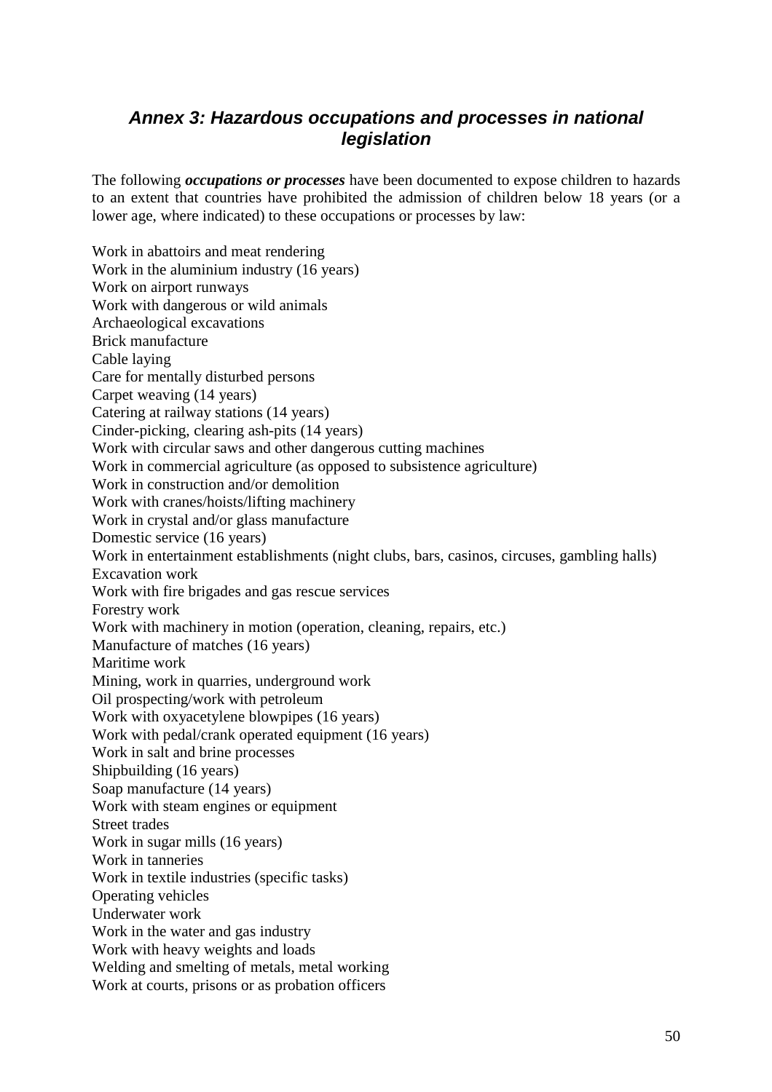## **Annex 3: Hazardous occupations and processes in national legislation**

The following *occupations or processes* have been documented to expose children to hazards to an extent that countries have prohibited the admission of children below 18 years (or a lower age, where indicated) to these occupations or processes by law:

Work in abattoirs and meat rendering Work in the aluminium industry (16 years) Work on airport runways Work with dangerous or wild animals Archaeological excavations Brick manufacture Cable laying Care for mentally disturbed persons Carpet weaving (14 years) Catering at railway stations (14 years) Cinder-picking, clearing ash-pits (14 years) Work with circular saws and other dangerous cutting machines Work in commercial agriculture (as opposed to subsistence agriculture) Work in construction and/or demolition Work with cranes/hoists/lifting machinery Work in crystal and/or glass manufacture Domestic service (16 years) Work in entertainment establishments (night clubs, bars, casinos, circuses, gambling halls) Excavation work Work with fire brigades and gas rescue services Forestry work Work with machinery in motion (operation, cleaning, repairs, etc.) Manufacture of matches (16 years) Maritime work Mining, work in quarries, underground work Oil prospecting/work with petroleum Work with oxyacetylene blowpipes (16 years) Work with pedal/crank operated equipment (16 years) Work in salt and brine processes Shipbuilding (16 years) Soap manufacture (14 years) Work with steam engines or equipment Street trades Work in sugar mills (16 years) Work in tanneries Work in textile industries (specific tasks) Operating vehicles Underwater work Work in the water and gas industry Work with heavy weights and loads Welding and smelting of metals, metal working Work at courts, prisons or as probation officers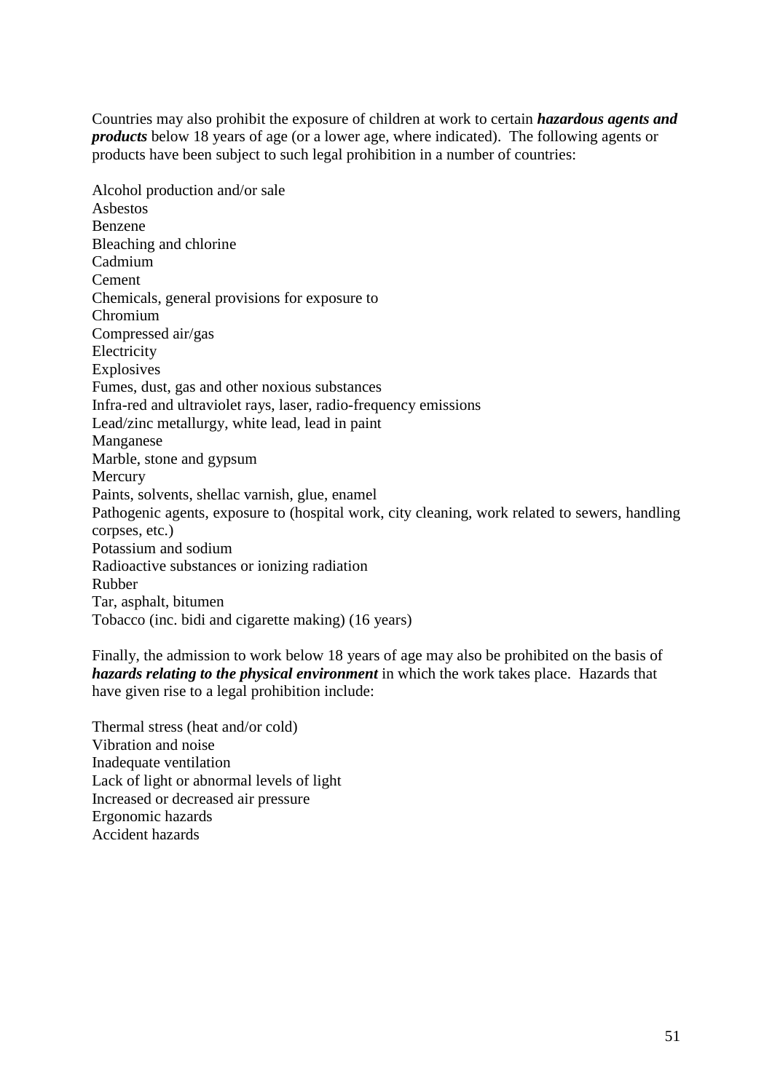Countries may also prohibit the exposure of children at work to certain *hazardous agents and products* below 18 years of age (or a lower age, where indicated). The following agents or products have been subject to such legal prohibition in a number of countries:

Alcohol production and/or sale Asbestos Benzene Bleaching and chlorine Cadmium Cement Chemicals, general provisions for exposure to Chromium Compressed air/gas Electricity Explosives Fumes, dust, gas and other noxious substances Infra-red and ultraviolet rays, laser, radio-frequency emissions Lead/zinc metallurgy, white lead, lead in paint Manganese Marble, stone and gypsum Mercury Paints, solvents, shellac varnish, glue, enamel Pathogenic agents, exposure to (hospital work, city cleaning, work related to sewers, handling corpses, etc.) Potassium and sodium Radioactive substances or ionizing radiation Rubber Tar, asphalt, bitumen Tobacco (inc. bidi and cigarette making) (16 years)

Finally, the admission to work below 18 years of age may also be prohibited on the basis of *hazards relating to the physical environment* in which the work takes place. Hazards that have given rise to a legal prohibition include:

Thermal stress (heat and/or cold) Vibration and noise Inadequate ventilation Lack of light or abnormal levels of light Increased or decreased air pressure Ergonomic hazards Accident hazards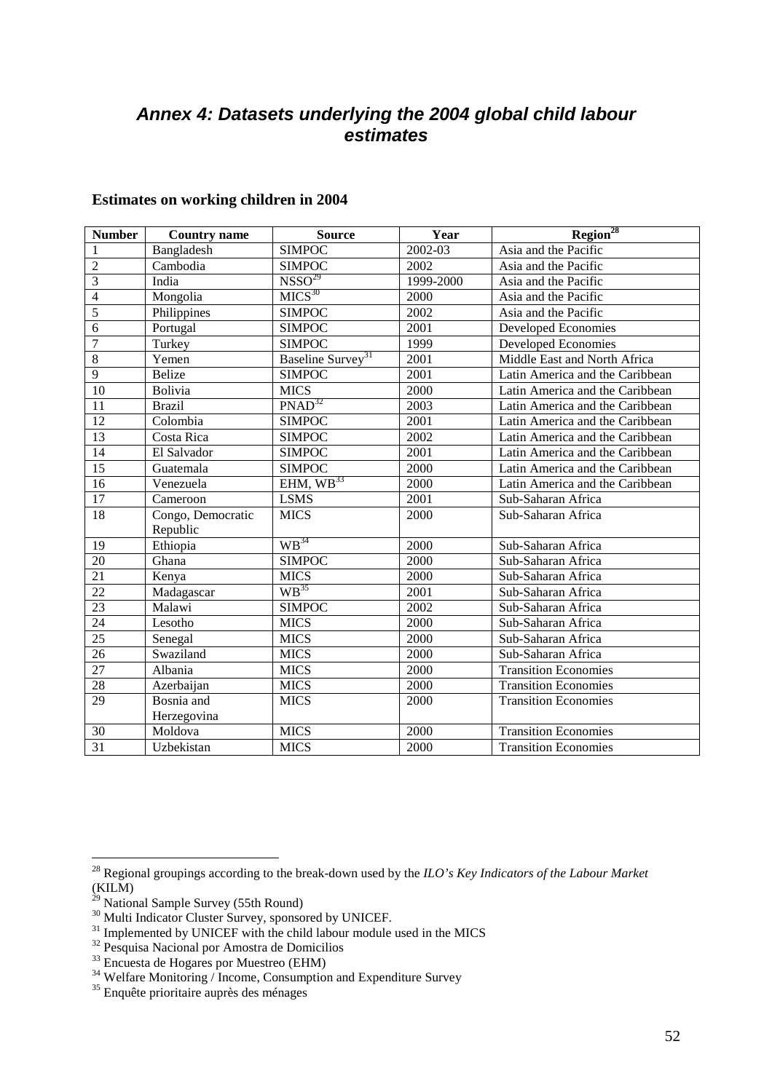## **Annex 4: Datasets underlying the 2004 global child labour estimates**

## **Estimates on working children in 2004**

| <b>Number</b>   | <b>Country name</b> | <b>Source</b>                 | Year      | Region <sup>28</sup>            |
|-----------------|---------------------|-------------------------------|-----------|---------------------------------|
| $\mathbf{1}$    | Bangladesh          | <b>SIMPOC</b>                 | 2002-03   | Asia and the Pacific            |
| $\overline{2}$  | Cambodia            | <b>SIMPOC</b>                 | 2002      | Asia and the Pacific            |
| $\overline{3}$  | India               | $\overline{\text{NSSO}^{29}}$ | 1999-2000 | Asia and the Pacific            |
| $\overline{4}$  | Mongolia            | MICS <sup>30</sup>            | 2000      | Asia and the Pacific            |
| 5               | Philippines         | <b>SIMPOC</b>                 | 2002      | Asia and the Pacific            |
| 6               | Portugal            | <b>SIMPOC</b>                 | 2001      | <b>Developed Economies</b>      |
| $\overline{7}$  | Turkey              | <b>SIMPOC</b>                 | 1999      | <b>Developed Economies</b>      |
| $\,8\,$         | Yemen               | Baseline Survey <sup>31</sup> | 2001      | Middle East and North Africa    |
| $\overline{9}$  | <b>Belize</b>       | <b>SIMPOC</b>                 | 2001      | Latin America and the Caribbean |
| 10              | Bolivia             | <b>MICS</b>                   | 2000      | Latin America and the Caribbean |
| 11              | <b>Brazil</b>       | $PNAD^{32}$                   | 2003      | Latin America and the Caribbean |
| 12              | Colombia            | <b>SIMPOC</b>                 | 2001      | Latin America and the Caribbean |
| $\overline{13}$ | Costa Rica          | <b>SIMPOC</b>                 | 2002      | Latin America and the Caribbean |
| 14              | El Salvador         | <b>SIMPOC</b>                 | 2001      | Latin America and the Caribbean |
| $\overline{15}$ | Guatemala           | <b>SIMPOC</b>                 | 2000      | Latin America and the Caribbean |
| 16              | Venezuela           | $EHM, WB^{33}$                | 2000      | Latin America and the Caribbean |
| 17              | Cameroon            | <b>LSMS</b>                   | 2001      | Sub-Saharan Africa              |
| 18              | Congo, Democratic   | <b>MICS</b>                   | 2000      | Sub-Saharan Africa              |
|                 | Republic            |                               |           |                                 |
| 19              | Ethiopia            | $WB^{34}$                     | 2000      | Sub-Saharan Africa              |
| 20              | Ghana               | <b>SIMPOC</b>                 | 2000      | Sub-Saharan Africa              |
| 21              | Kenya               | <b>MICS</b>                   | 2000      | Sub-Saharan Africa              |
| 22              | Madagascar          | $\rm WB^{35}$                 | 2001      | Sub-Saharan Africa              |
| 23              | Malawi              | <b>SIMPOC</b>                 | 2002      | Sub-Saharan Africa              |
| $\overline{24}$ | Lesotho             | <b>MICS</b>                   | 2000      | Sub-Saharan Africa              |
| $\overline{25}$ | Senegal             | <b>MICS</b>                   | 2000      | Sub-Saharan Africa              |
| $\overline{26}$ | Swaziland           | <b>MICS</b>                   | 2000      | Sub-Saharan Africa              |
| $\overline{27}$ | Albania             | <b>MICS</b>                   | 2000      | <b>Transition Economies</b>     |
| $\overline{28}$ | Azerbaijan          | <b>MICS</b>                   | 2000      | <b>Transition Economies</b>     |
| 29              | Bosnia and          | <b>MICS</b>                   | 2000      | <b>Transition Economies</b>     |
|                 | Herzegovina         |                               |           |                                 |
| 30              | Moldova             | <b>MICS</b>                   | 2000      | <b>Transition Economies</b>     |
| 31              | Uzbekistan          | <b>MICS</b>                   | 2000      | <b>Transition Economies</b>     |

 $\overline{a}$ 

<sup>28</sup> Regional groupings according to the break-down used by the *ILO's Key Indicators of the Labour Market* (KILM)

<sup>&</sup>lt;sup>29</sup> National Sample Survey (55th Round)

<sup>&</sup>lt;sup>30</sup> Multi Indicator Cluster Survey, sponsored by UNICEF.

<sup>&</sup>lt;sup>31</sup> Implemented by UNICEF with the child labour module used in the MICS

<sup>&</sup>lt;sup>32</sup> Pesquisa Nacional por Amostra de Domicilios

<sup>33</sup> Encuesta de Hogares por Muestreo (EHM)

 $34$  Welfare Monitoring / Income, Consumption and Expenditure Survey

<sup>&</sup>lt;sup>35</sup> Enquête prioritaire auprès des ménages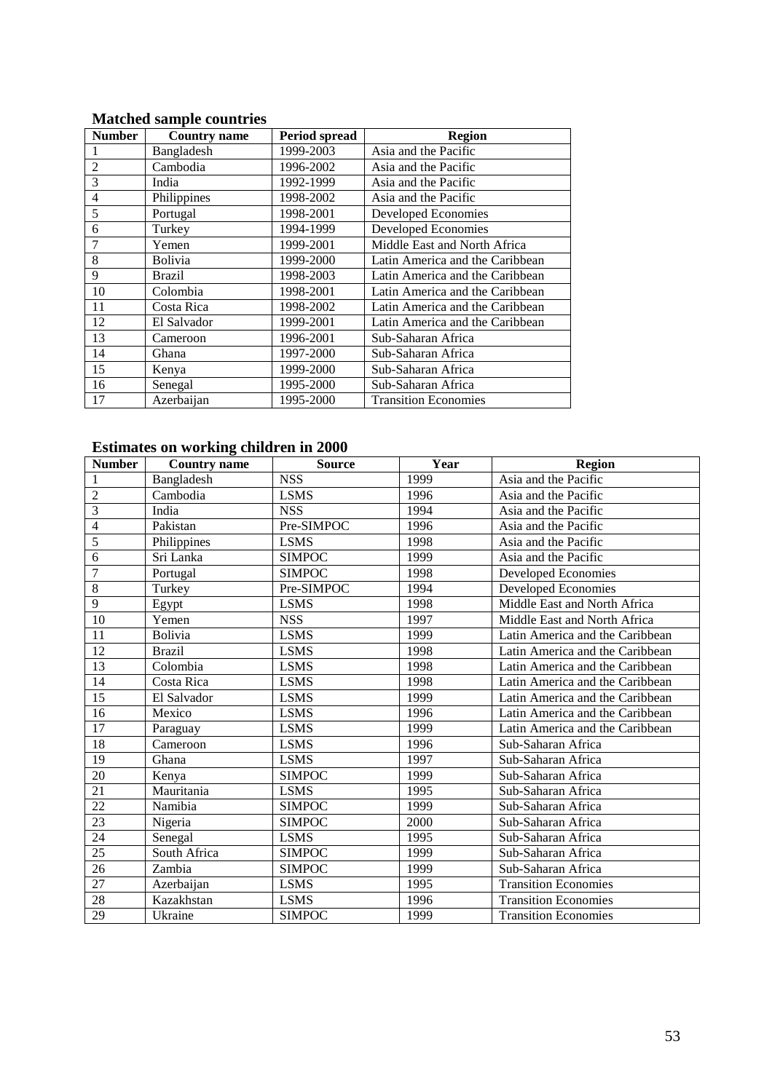#### **Matched sample countries**

| <b>Number</b>  | <b>Country name</b> | Period spread | <b>Region</b>                   |
|----------------|---------------------|---------------|---------------------------------|
|                | Bangladesh          | 1999-2003     | Asia and the Pacific            |
| $\overline{2}$ | Cambodia            | 1996-2002     | Asia and the Pacific            |
| 3              | India               | 1992-1999     | Asia and the Pacific            |
| 4              | Philippines         | 1998-2002     | Asia and the Pacific            |
| 5              | Portugal            | 1998-2001     | Developed Economies             |
| 6              | Turkey              | 1994-1999     | <b>Developed Economies</b>      |
| 7              | Yemen               | 1999-2001     | Middle East and North Africa    |
| 8              | Bolivia             | 1999-2000     | Latin America and the Caribbean |
| 9              | Brazil              | 1998-2003     | Latin America and the Caribbean |
| 10             | Colombia            | 1998-2001     | Latin America and the Caribbean |
| 11             | Costa Rica          | 1998-2002     | Latin America and the Caribbean |
| 12             | El Salvador         | 1999-2001     | Latin America and the Caribbean |
| 13             | Cameroon            | 1996-2001     | Sub-Saharan Africa              |
| 14             | Ghana               | 1997-2000     | Sub-Saharan Africa              |
| 15             | Kenya               | 1999-2000     | Sub-Saharan Africa              |
| 16             | Senegal             | 1995-2000     | Sub-Saharan Africa              |
| 17             | Azerbaijan          | 1995-2000     | <b>Transition Economies</b>     |

## **Estimates on working children in 2000**

| <b>Number</b>   | <b>Country name</b> | <b>Source</b> | Year | <b>Region</b>                   |
|-----------------|---------------------|---------------|------|---------------------------------|
| $\mathbf{1}$    | Bangladesh          | <b>NSS</b>    | 1999 | Asia and the Pacific            |
| $\overline{2}$  | Cambodia            | <b>LSMS</b>   | 1996 | Asia and the Pacific            |
| $\overline{3}$  | India               | <b>NSS</b>    | 1994 | Asia and the Pacific            |
| 4               | Pakistan            | Pre-SIMPOC    | 1996 | Asia and the Pacific            |
| 5               | Philippines         | <b>LSMS</b>   | 1998 | Asia and the Pacific            |
| 6               | Sri Lanka           | <b>SIMPOC</b> | 1999 | Asia and the Pacific            |
| $\overline{7}$  | Portugal            | <b>SIMPOC</b> | 1998 | Developed Economies             |
| 8               | Turkey              | Pre-SIMPOC    | 1994 | <b>Developed Economies</b>      |
| 9               | Egypt               | <b>LSMS</b>   | 1998 | Middle East and North Africa    |
| 10              | Yemen               | <b>NSS</b>    | 1997 | Middle East and North Africa    |
| 11              | <b>Bolivia</b>      | <b>LSMS</b>   | 1999 | Latin America and the Caribbean |
| 12              | <b>Brazil</b>       | <b>LSMS</b>   | 1998 | Latin America and the Caribbean |
| 13              | Colombia            | <b>LSMS</b>   | 1998 | Latin America and the Caribbean |
| 14              | Costa Rica          | <b>LSMS</b>   | 1998 | Latin America and the Caribbean |
| 15              | El Salvador         | <b>LSMS</b>   | 1999 | Latin America and the Caribbean |
| 16              | Mexico              | <b>LSMS</b>   | 1996 | Latin America and the Caribbean |
| 17              | Paraguay            | <b>LSMS</b>   | 1999 | Latin America and the Caribbean |
| 18              | Cameroon            | <b>LSMS</b>   | 1996 | Sub-Saharan Africa              |
| 19              | Ghana               | <b>LSMS</b>   | 1997 | Sub-Saharan Africa              |
| $20\,$          | Kenya               | <b>SIMPOC</b> | 1999 | Sub-Saharan Africa              |
| 21              | Mauritania          | <b>LSMS</b>   | 1995 | Sub-Saharan Africa              |
| $\overline{22}$ | Namibia             | <b>SIMPOC</b> | 1999 | Sub-Saharan Africa              |
| 23              | Nigeria             | <b>SIMPOC</b> | 2000 | Sub-Saharan Africa              |
| 24              | Senegal             | <b>LSMS</b>   | 1995 | Sub-Saharan Africa              |
| 25              | South Africa        | <b>SIMPOC</b> | 1999 | Sub-Saharan Africa              |
| 26              | Zambia              | <b>SIMPOC</b> | 1999 | Sub-Saharan Africa              |
| 27              | Azerbaijan          | <b>LSMS</b>   | 1995 | <b>Transition Economies</b>     |
| 28              | Kazakhstan          | <b>LSMS</b>   | 1996 | <b>Transition Economies</b>     |
| 29              | Ukraine             | <b>SIMPOC</b> | 1999 | <b>Transition Economies</b>     |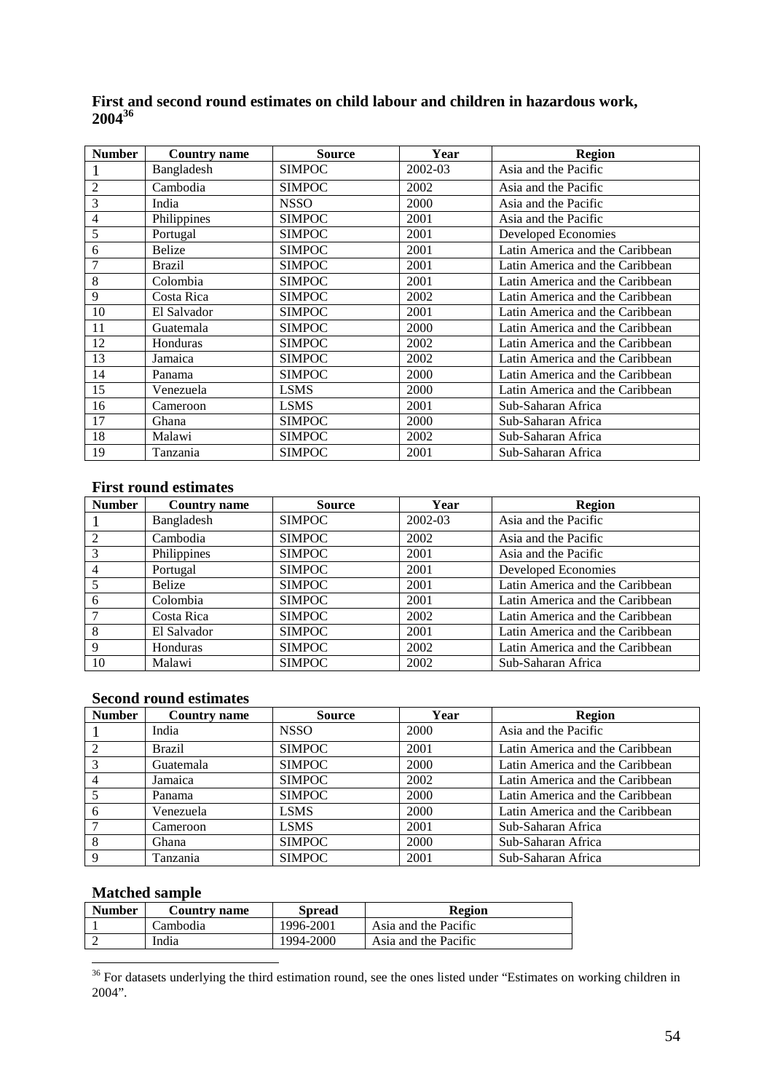#### **First and second round estimates on child labour and children in hazardous work, 2004<sup>36</sup>**

| <b>Number</b>  | <b>Country name</b> | <b>Source</b> | Year    | <b>Region</b>                   |
|----------------|---------------------|---------------|---------|---------------------------------|
| 1              | Bangladesh          | <b>SIMPOC</b> | 2002-03 | Asia and the Pacific            |
| $\overline{2}$ | Cambodia            | <b>SIMPOC</b> | 2002    | Asia and the Pacific            |
| 3              | India               | <b>NSSO</b>   | 2000    | Asia and the Pacific            |
| 4              | Philippines         | <b>SIMPOC</b> | 2001    | Asia and the Pacific            |
| 5              | Portugal            | <b>SIMPOC</b> | 2001    | Developed Economies             |
| 6              | Belize              | <b>SIMPOC</b> | 2001    | Latin America and the Caribbean |
| $\overline{7}$ | <b>Brazil</b>       | <b>SIMPOC</b> | 2001    | Latin America and the Caribbean |
| 8              | Colombia            | <b>SIMPOC</b> | 2001    | Latin America and the Caribbean |
| 9              | Costa Rica          | <b>SIMPOC</b> | 2002    | Latin America and the Caribbean |
| 10             | El Salvador         | <b>SIMPOC</b> | 2001    | Latin America and the Caribbean |
| 11             | Guatemala           | <b>SIMPOC</b> | 2000    | Latin America and the Caribbean |
| 12             | Honduras            | <b>SIMPOC</b> | 2002    | Latin America and the Caribbean |
| 13             | Jamaica             | <b>SIMPOC</b> | 2002    | Latin America and the Caribbean |
| 14             | Panama              | <b>SIMPOC</b> | 2000    | Latin America and the Caribbean |
| 15             | Venezuela           | <b>LSMS</b>   | 2000    | Latin America and the Caribbean |
| 16             | Cameroon            | <b>LSMS</b>   | 2001    | Sub-Saharan Africa              |
| 17             | Ghana               | <b>SIMPOC</b> | 2000    | Sub-Saharan Africa              |
| 18             | Malawi              | <b>SIMPOC</b> | 2002    | Sub-Saharan Africa              |
| 19             | Tanzania            | <b>SIMPOC</b> | 2001    | Sub-Saharan Africa              |

#### **First round estimates**

| <b>Number</b> | <b>Country name</b> | <b>Source</b> | Year    | <b>Region</b>                   |
|---------------|---------------------|---------------|---------|---------------------------------|
|               | Bangladesh          | <b>SIMPOC</b> | 2002-03 | Asia and the Pacific            |
|               | Cambodia            | <b>SIMPOC</b> | 2002    | Asia and the Pacific            |
|               | Philippines         | <b>SIMPOC</b> | 2001    | Asia and the Pacific            |
| 4             | Portugal            | <b>SIMPOC</b> | 2001    | Developed Economies             |
|               | Belize              | <b>SIMPOC</b> | 2001    | Latin America and the Caribbean |
| 6             | Colombia            | <b>SIMPOC</b> | 2001    | Latin America and the Caribbean |
|               | Costa Rica          | <b>SIMPOC</b> | 2002    | Latin America and the Caribbean |
| 8             | El Salvador         | <b>SIMPOC</b> | 2001    | Latin America and the Caribbean |
| $\mathbf Q$   | Honduras            | <b>SIMPOC</b> | 2002    | Latin America and the Caribbean |
| 10            | Malawi              | <b>SIMPOC</b> | 2002    | Sub-Saharan Africa              |

### **Second round estimates**

| <b>Number</b> | <b>Country name</b> | <b>Source</b> | Year | <b>Region</b>                   |
|---------------|---------------------|---------------|------|---------------------------------|
|               | India               | <b>NSSO</b>   | 2000 | Asia and the Pacific            |
|               | <b>Brazil</b>       | <b>SIMPOC</b> | 2001 | Latin America and the Caribbean |
| 3             | Guatemala           | <b>SIMPOC</b> | 2000 | Latin America and the Caribbean |
|               | Jamaica             | <b>SIMPOC</b> | 2002 | Latin America and the Caribbean |
|               | Panama              | <b>SIMPOC</b> | 2000 | Latin America and the Caribbean |
| 6             | Venezuela           | <b>LSMS</b>   | 2000 | Latin America and the Caribbean |
|               | Cameroon            | <b>LSMS</b>   | 2001 | Sub-Saharan Africa              |
|               | Ghana               | <b>SIMPOC</b> | 2000 | Sub-Saharan Africa              |
| Q             | Tanzania            | <b>SIMPOC</b> | 2001 | Sub-Saharan Africa              |

#### **Matched sample**

 $\overline{a}$ 

| <b>Number</b> | Country name | <b>Spread</b> | Region               |
|---------------|--------------|---------------|----------------------|
|               | Cambodia     | 1996-2001     | Asia and the Pacific |
|               | India        | 1994-2000     | Asia and the Pacific |

<sup>36</sup> For datasets underlying the third estimation round, see the ones listed under "Estimates on working children in 2004".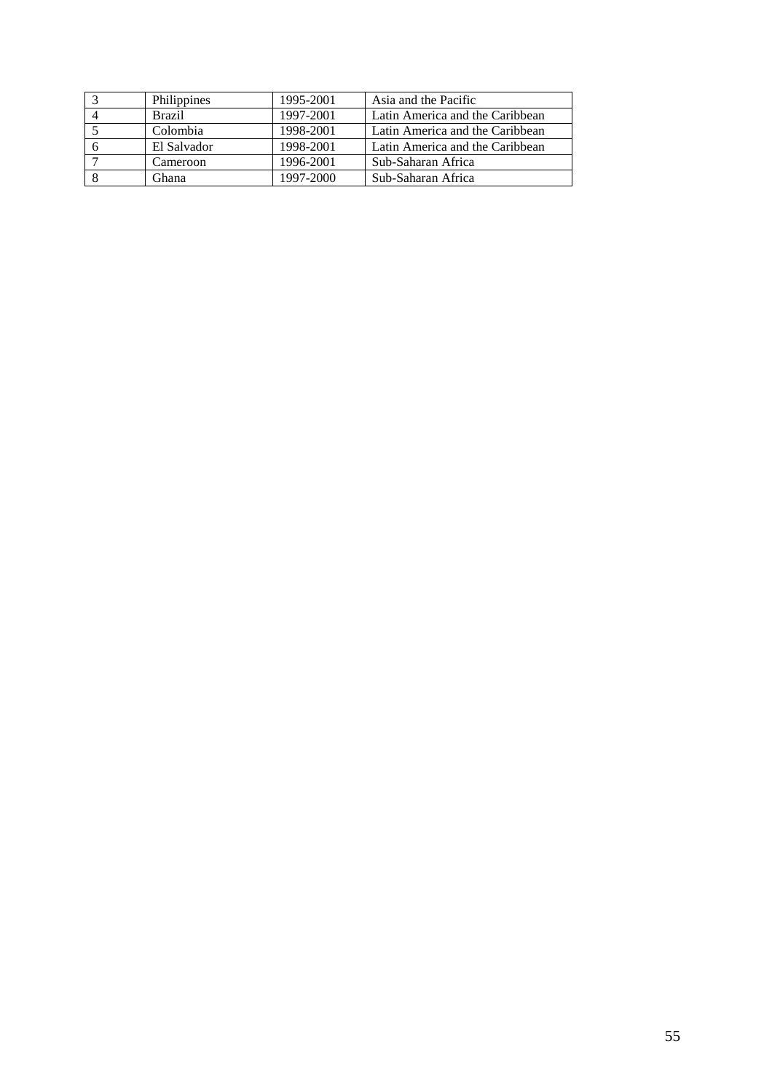| Philippines   | 1995-2001 | Asia and the Pacific            |
|---------------|-----------|---------------------------------|
| <b>Brazil</b> | 1997-2001 | Latin America and the Caribbean |
| Colombia      | 1998-2001 | Latin America and the Caribbean |
| El Salvador   | 1998-2001 | Latin America and the Caribbean |
| Cameroon      | 1996-2001 | Sub-Saharan Africa              |
| Ghana         | 1997-2000 | Sub-Saharan Africa              |